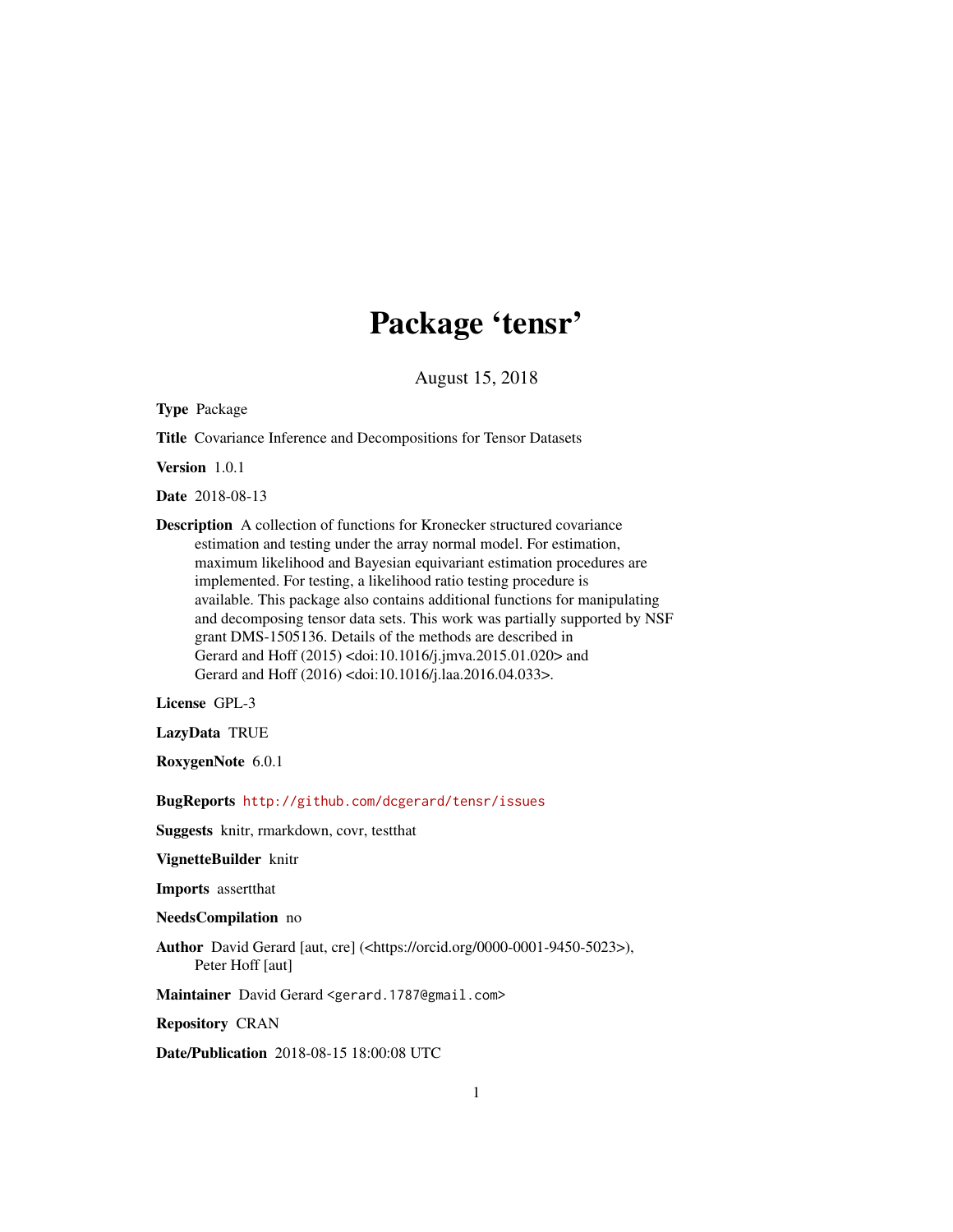# Package 'tensr'

August 15, 2018

<span id="page-0-0"></span>Type Package

Title Covariance Inference and Decompositions for Tensor Datasets

Version 1.0.1

Date 2018-08-13

Description A collection of functions for Kronecker structured covariance estimation and testing under the array normal model. For estimation, maximum likelihood and Bayesian equivariant estimation procedures are implemented. For testing, a likelihood ratio testing procedure is available. This package also contains additional functions for manipulating and decomposing tensor data sets. This work was partially supported by NSF grant DMS-1505136. Details of the methods are described in Gerard and Hoff (2015) <doi:10.1016/j.jmva.2015.01.020> and Gerard and Hoff (2016) <doi:10.1016/j.laa.2016.04.033>.

License GPL-3

LazyData TRUE

RoxygenNote 6.0.1

BugReports <http://github.com/dcgerard/tensr/issues>

Suggests knitr, rmarkdown, covr, testthat

VignetteBuilder knitr

Imports assertthat

NeedsCompilation no

Author David Gerard [aut, cre] (<https://orcid.org/0000-0001-9450-5023>), Peter Hoff [aut]

Maintainer David Gerard <gerard.1787@gmail.com>

Repository CRAN

Date/Publication 2018-08-15 18:00:08 UTC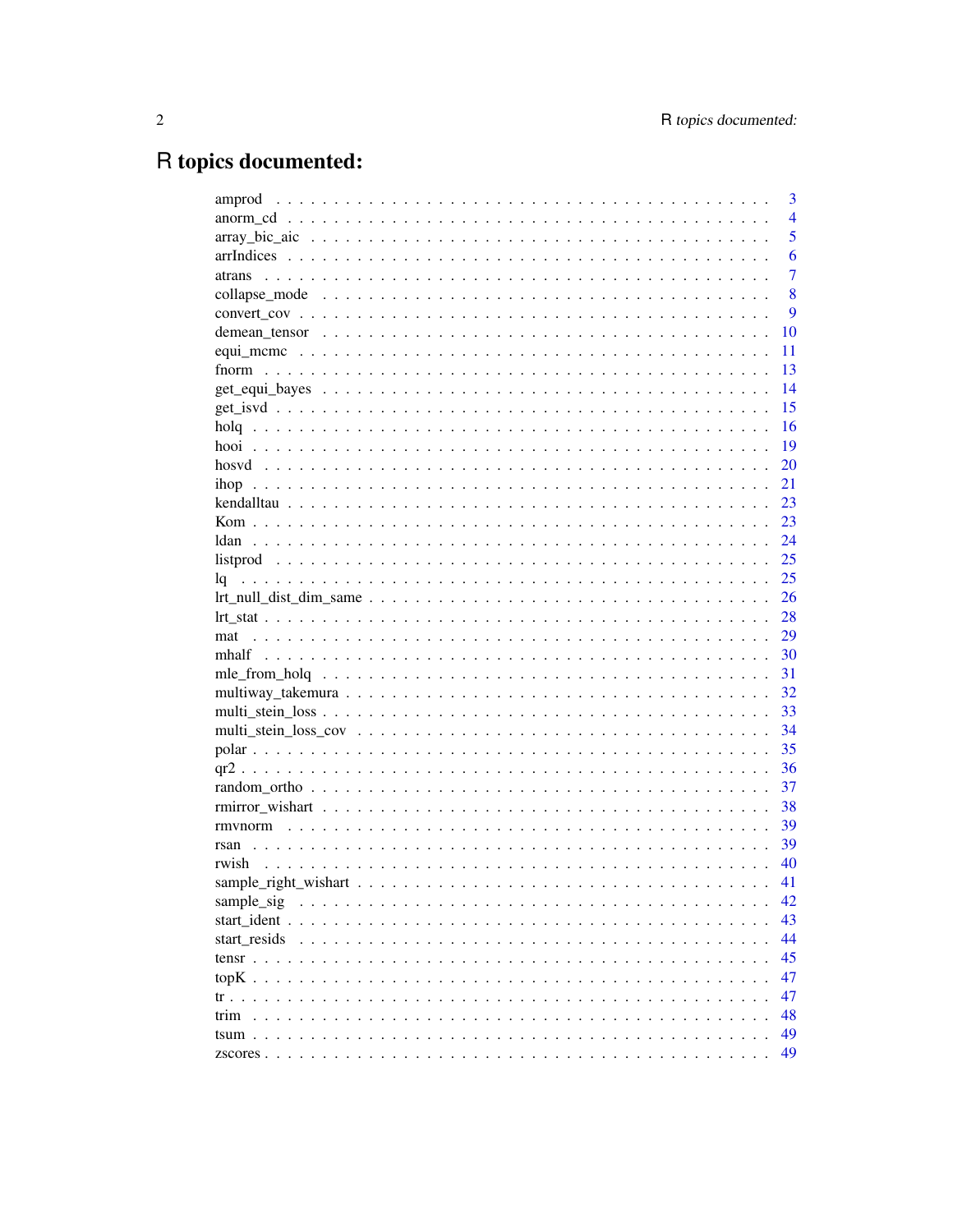# R topics documented:

| amprod       | 3              |
|--------------|----------------|
|              | $\overline{4}$ |
|              | 5              |
|              | 6              |
| atrans       | $\overline{7}$ |
|              | 8              |
|              | 9              |
|              | 10             |
|              | 11             |
|              | 13             |
|              | 14             |
|              | 15             |
|              | 16             |
|              | 19             |
|              | 20             |
|              | 21             |
|              | 23             |
|              | 23             |
|              | 24             |
|              | 25             |
|              | 25             |
|              | 26             |
|              | 28             |
| mat          | 29             |
|              | 30             |
|              | 31             |
|              | 32             |
|              | 33             |
|              | 34             |
|              | 35             |
|              | 36             |
|              | 37             |
|              | 38             |
|              | 39             |
|              | 39             |
| rwish        | 40             |
|              | 41             |
| sample_sig   | 42             |
|              | 43             |
| start resids | 44             |
|              | 45             |
|              |                |
|              | 47             |
|              | 47             |
| trim         | 48             |
|              | 49             |
|              | 49             |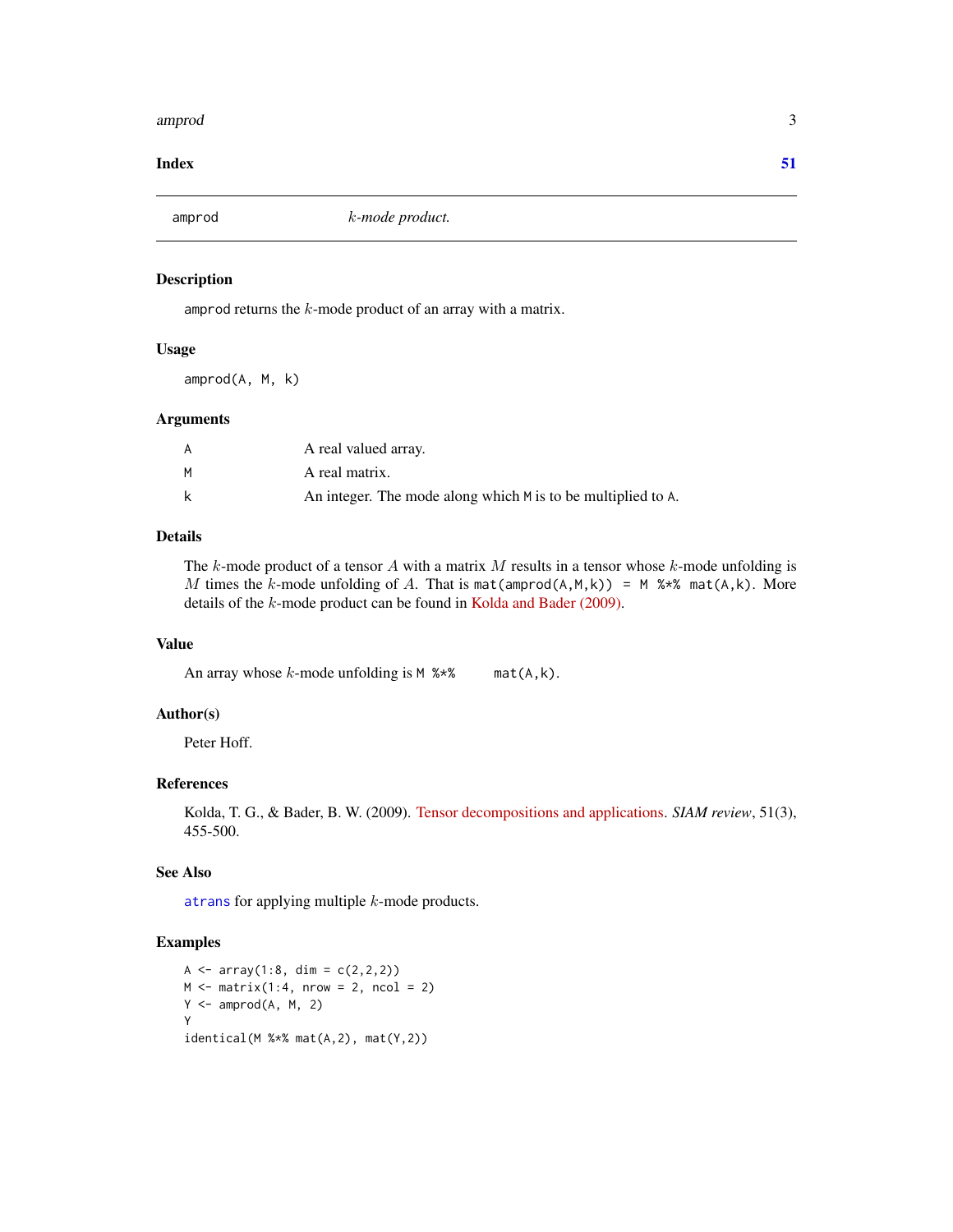#### <span id="page-2-0"></span>amprod 3

#### **Index** [51](#page-50-0)

<span id="page-2-1"></span>amprod  $k$ -mode product.

#### Description

amprod returns the  $k$ -mode product of an array with a matrix.

# Usage

amprod(A, M, k)

# Arguments

|   | A real valued array.                                         |
|---|--------------------------------------------------------------|
| м | A real matrix.                                               |
| k | An integer. The mode along which M is to be multiplied to A. |

# Details

The k-mode product of a tensor A with a matrix M results in a tensor whose k-mode unfolding is M times the k-mode unfolding of A. That is mat(amprod(A,M,k)) = M %\*% mat(A,k). More details of the k-mode product can be found in [Kolda and Bader \(2009\).](https://doi.org/10.1137/07070111X)

# Value

An array whose  $k$ -mode unfolding is  $M$  %\*% mat(A,k).

#### Author(s)

Peter Hoff.

#### References

Kolda, T. G., & Bader, B. W. (2009). [Tensor decompositions and applications.](https://doi.org/10.1137/07070111X) *SIAM review*, 51(3), 455-500.

# See Also

[atrans](#page-6-1) for applying multiple k-mode products.

# Examples

```
A <- array(1:8, dim = c(2,2,2))M \leq - matrix(1:4, nrow = 2, ncol = 2)
Y \leq -\text{amprod}(A, M, 2)Y
identical(M %*% mat(A,2), mat(Y,2))
```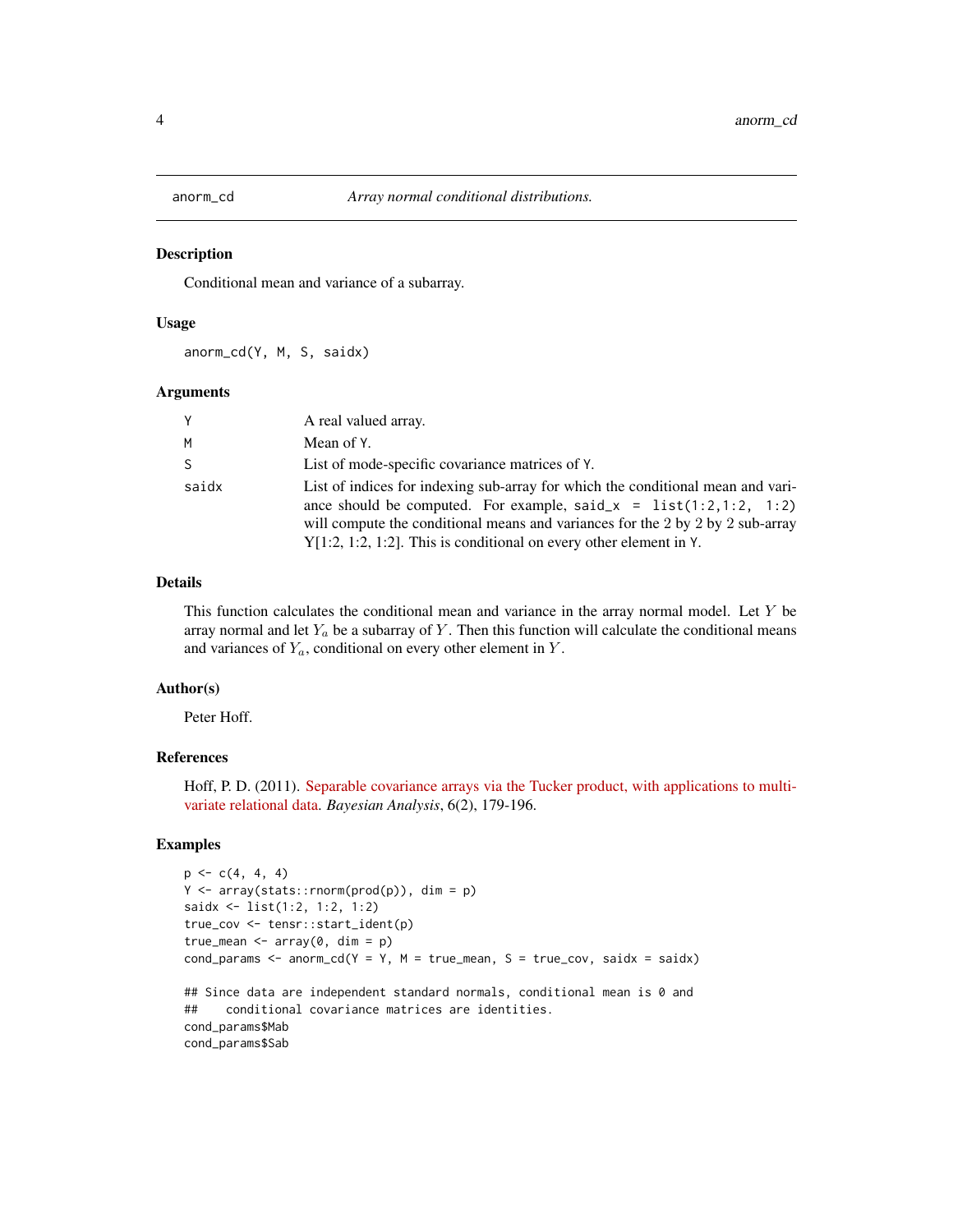<span id="page-3-1"></span><span id="page-3-0"></span>

Conditional mean and variance of a subarray.

#### Usage

anorm\_cd(Y, M, S, saidx)

#### Arguments

| Υ     | A real valued array.                                                                                                                                                                                                                                                                                              |
|-------|-------------------------------------------------------------------------------------------------------------------------------------------------------------------------------------------------------------------------------------------------------------------------------------------------------------------|
| м     | Mean of Y.                                                                                                                                                                                                                                                                                                        |
| S.    | List of mode-specific covariance matrices of Y.                                                                                                                                                                                                                                                                   |
| saidx | List of indices for indexing sub-array for which the conditional mean and vari-<br>ance should be computed. For example, said_x = $list(1:2,1:2, 1:2)$<br>will compute the conditional means and variances for the 2 by 2 by 2 sub-array<br>$Y[1:2, 1:2, 1:2]$ . This is conditional on every other element in Y. |

# Details

This function calculates the conditional mean and variance in the array normal model. Let Y be array normal and let  $Y_a$  be a subarray of Y. Then this function will calculate the conditional means and variances of  $Y_a$ , conditional on every other element in  $Y$ .

#### Author(s)

Peter Hoff.

# References

Hoff, P. D. (2011). [Separable covariance arrays via the Tucker product, with applications to multi](http://doi.org/10.1214/11-BA606)[variate relational data.](http://doi.org/10.1214/11-BA606) *Bayesian Analysis*, 6(2), 179-196.

### Examples

```
p \leftarrow c(4, 4, 4)Y \leftarrow array(stats::rnorm(prod(p)), dim = p)saidx <- list(1:2, 1:2, 1:2)
true_cov <- tensr::start_ident(p)
true_mean \leq array(0, dim = p)
cond_params <- anorm_cd(Y = Y, M = true_mean, S = true_cov, saidx = saidx)
## Since data are independent standard normals, conditional mean is 0 and
## conditional covariance matrices are identities.
cond_params$Mab
cond_params$Sab
```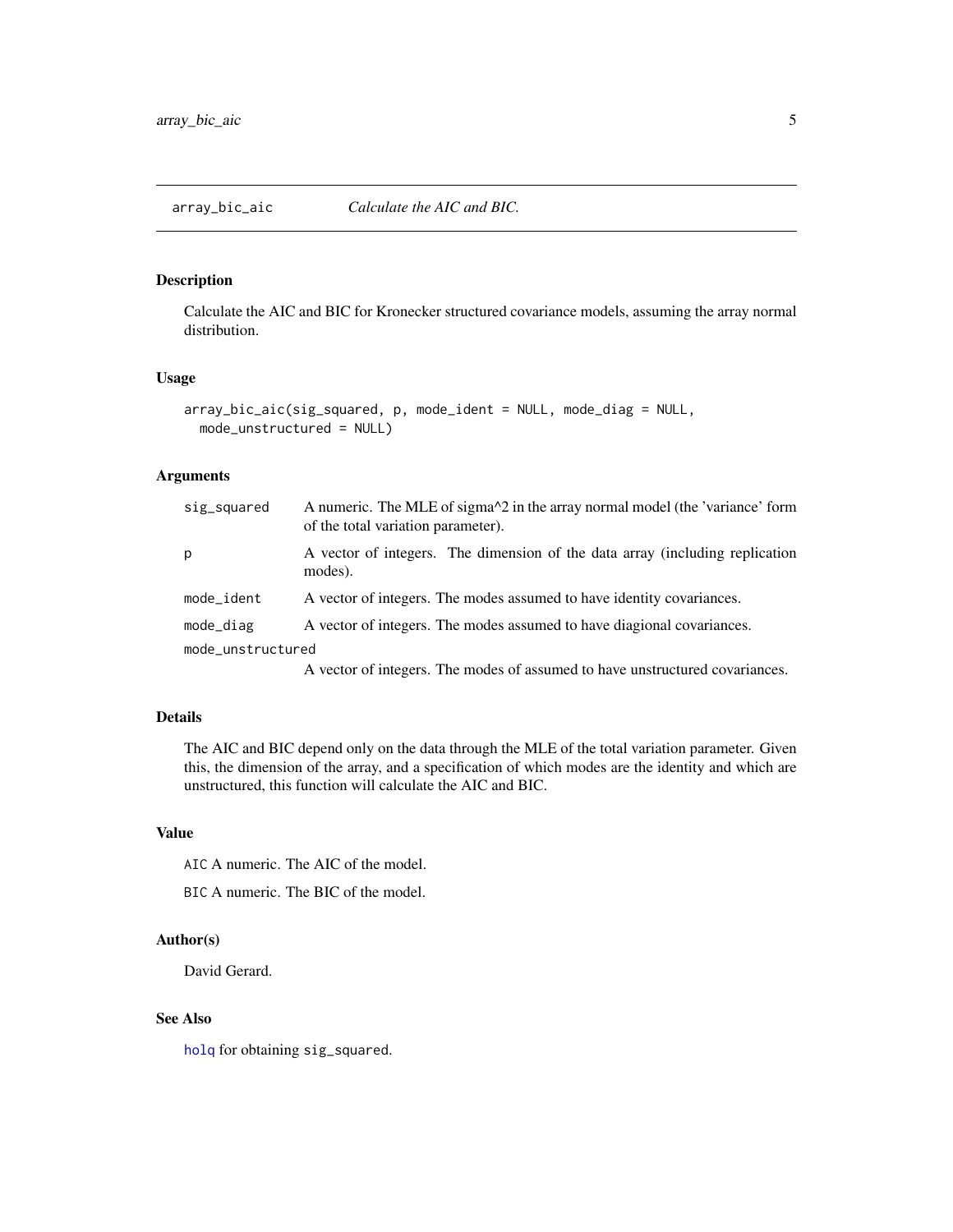<span id="page-4-1"></span><span id="page-4-0"></span>Calculate the AIC and BIC for Kronecker structured covariance models, assuming the array normal distribution.

# Usage

```
array_bic_aic(sig_squared, p, mode_ident = NULL, mode_diag = NULL,
 mode_unstructured = NULL)
```
# Arguments

| sig_squared       | A numeric. The MLE of sigma <sup><math>\lambda</math>2</sup> in the array normal model (the 'variance' form<br>of the total variation parameter). |  |
|-------------------|---------------------------------------------------------------------------------------------------------------------------------------------------|--|
| p                 | A vector of integers. The dimension of the data array (including replication<br>modes).                                                           |  |
| mode_ident        | A vector of integers. The modes assumed to have identity covariances.                                                                             |  |
| $mode\_diag$      | A vector of integers. The modes assumed to have diagional covariances.                                                                            |  |
| mode_unstructured |                                                                                                                                                   |  |
|                   | A vector of integers. The modes of assumed to have unstructured covariances                                                                       |  |

A vector of integers. The modes of assumed to have unstructured covariances.

# Details

The AIC and BIC depend only on the data through the MLE of the total variation parameter. Given this, the dimension of the array, and a specification of which modes are the identity and which are unstructured, this function will calculate the AIC and BIC.

# Value

AIC A numeric. The AIC of the model.

BIC A numeric. The BIC of the model.

# Author(s)

David Gerard.

#### See Also

[holq](#page-15-1) for obtaining sig\_squared.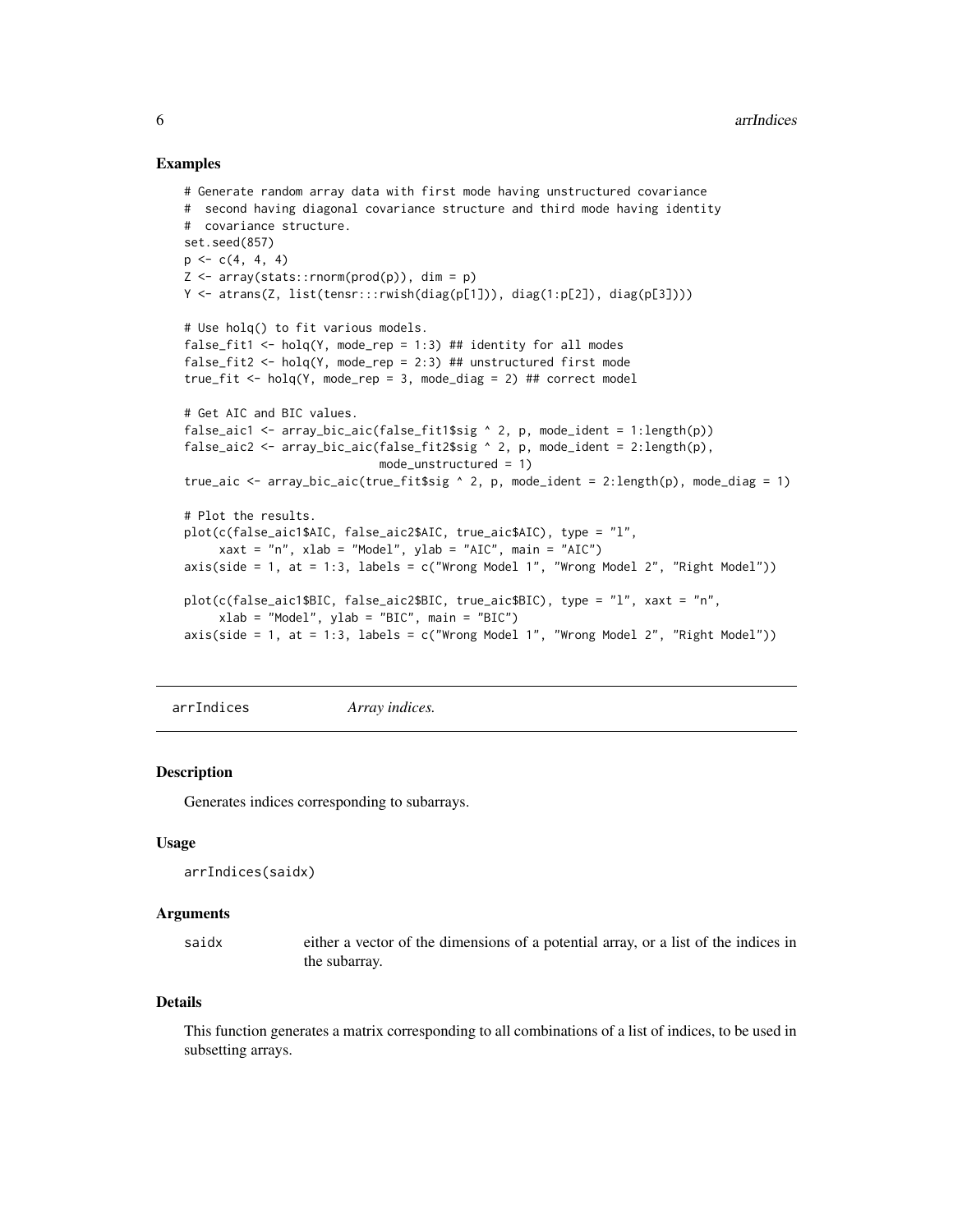#### <span id="page-5-0"></span>Examples

```
# Generate random array data with first mode having unstructured covariance
# second having diagonal covariance structure and third mode having identity
# covariance structure.
set.seed(857)
p \leftarrow c(4, 4, 4)Z \leq -\arctan(\text{stats}:rnorm(prod(p)), \text{dim} = p)Y <- atrans(Z, list(tensr:::rwish(diag(p[1])), diag(1:p[2]), diag(p[3])))
# Use holq() to fit various models.
false_fit1 <- holq(Y, mode_rep = 1:3) ## identity for all modes
false_fit2 <- holq(Y, mode_rep = 2:3) ## unstructured first mode
true_fit <- holq(Y, mode_rep = 3, mode_diag = 2) ## correct model
# Get AIC and BIC values.
false_aic1 <- array_bic_aic(false_fit1$sig \land 2, p, mode_ident = 1:length(p))
false_aic2 <- array_bic_aic(false_fit2$sig \land 2, p, mode_ident = 2:length(p),
                            mode_unstructured = 1)
true_aic <- array_bic_aic(true_fit$sig \land 2, p, mode_ident = 2:length(p), mode_diag = 1)
# Plot the results.
plot(c(false_aic1$AIC, false_aic2$AIC, true_aic$AIC), type = "l",
     xaxt = "n", xlab = "Model", ylab = "AIC", main = "AIC")
axis(side = 1, at = 1:3, labels = c("Wrong Model 1", "Wrong Model 2", "Right Model"))plot(c(false_aic1$BIC, false_aic2$BIC, true_aic$BIC), type = "l", xaxt = "n",
     xlab = "Model", ylab = "BIC", main = "BIC")
axis(side = 1, at = 1:3, labels = c("Wrong Model 1", "Wrong Model 2", "Right Model"))
```
<span id="page-5-1"></span>arrIndices *Array indices.*

#### Description

Generates indices corresponding to subarrays.

#### Usage

```
arrIndices(saidx)
```
#### Arguments

saidx either a vector of the dimensions of a potential array, or a list of the indices in the subarray.

#### Details

This function generates a matrix corresponding to all combinations of a list of indices, to be used in subsetting arrays.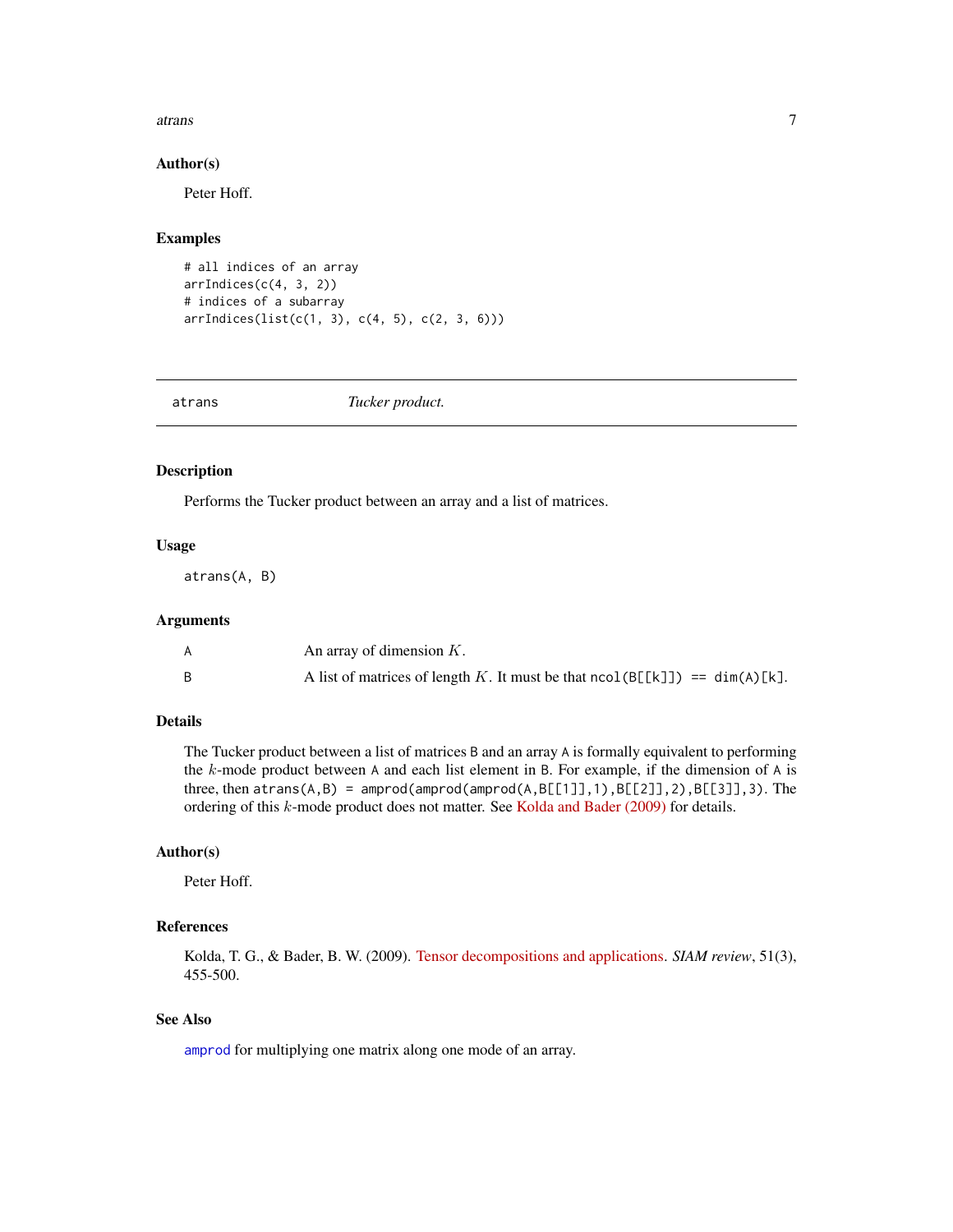#### <span id="page-6-0"></span>atrans 7

#### Author(s)

Peter Hoff.

#### Examples

```
# all indices of an array
arrIndices(c(4, 3, 2))
# indices of a subarray
arrIndices(list(c(1, 3), c(4, 5), c(2, 3, 6)))
```
<span id="page-6-1"></span>atrans *Tucker product.*

# Description

Performs the Tucker product between an array and a list of matrices.

#### Usage

atrans(A, B)

#### Arguments

| An array of dimension $K$ .                                                   |
|-------------------------------------------------------------------------------|
| A list of matrices of length K. It must be that $ncol(B[[k]]) == dim(A)[k]$ . |

# Details

The Tucker product between a list of matrices B and an array A is formally equivalent to performing the k-mode product between A and each list element in B. For example, if the dimension of A is three, then  $atrans(A, B) = amprod(amprod(R,pCl)],1), BE[2]],2), BE[3]],3).$  The ordering of this k-mode product does not matter. See [Kolda and Bader \(2009\)](https://doi.org/10.1137/07070111X) for details.

#### Author(s)

Peter Hoff.

# References

Kolda, T. G., & Bader, B. W. (2009). [Tensor decompositions and applications.](https://doi.org/10.1137/07070111X) *SIAM review*, 51(3), 455-500.

# See Also

[amprod](#page-2-1) for multiplying one matrix along one mode of an array.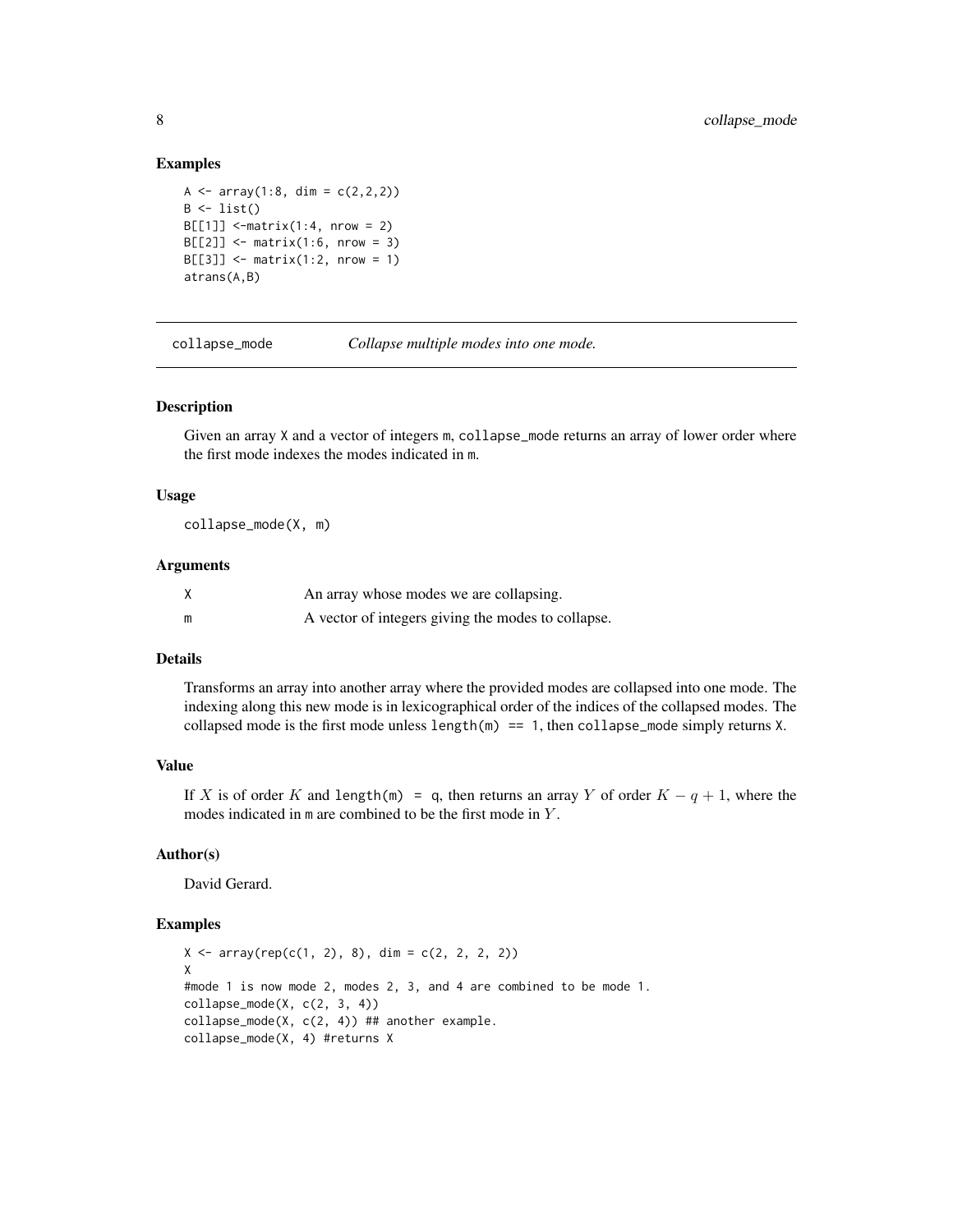#### Examples

```
A <- array(1:8, dim = c(2,2,2))B \leftarrow list()B[[1]] <-matrix(1:4, nrow = 2)
B[[2]] \le - matrix(1:6, nrow = 3)
B[[3]] \le - matrix(1:2, nrow = 1)
atrans(A,B)
```
<span id="page-7-1"></span>collapse\_mode *Collapse multiple modes into one mode.*

#### Description

Given an array X and a vector of integers m, collapse\_mode returns an array of lower order where the first mode indexes the modes indicated in m.

#### Usage

collapse\_mode(X, m)

#### Arguments

|   | An array whose modes we are collapsing.            |
|---|----------------------------------------------------|
| m | A vector of integers giving the modes to collapse. |

# Details

Transforms an array into another array where the provided modes are collapsed into one mode. The indexing along this new mode is in lexicographical order of the indices of the collapsed modes. The collapsed mode is the first mode unless length $(m) == 1$ , then collapse\_mode simply returns X.

# Value

If X is of order K and length(m) = q, then returns an array Y of order  $K - q + 1$ , where the modes indicated in m are combined to be the first mode in Y.

# Author(s)

David Gerard.

# Examples

```
X \le -\arctan(\text{rep}(c(1, 2), 8), \text{dim} = c(2, 2, 2, 2))X
#mode 1 is now mode 2, modes 2, 3, and 4 are combined to be mode 1.
collapse_model(X, c(2, 3, 4))collapse_mode(X, c(2, 4)) ## another example.
collapse_mode(X, 4) #returns X
```
<span id="page-7-0"></span>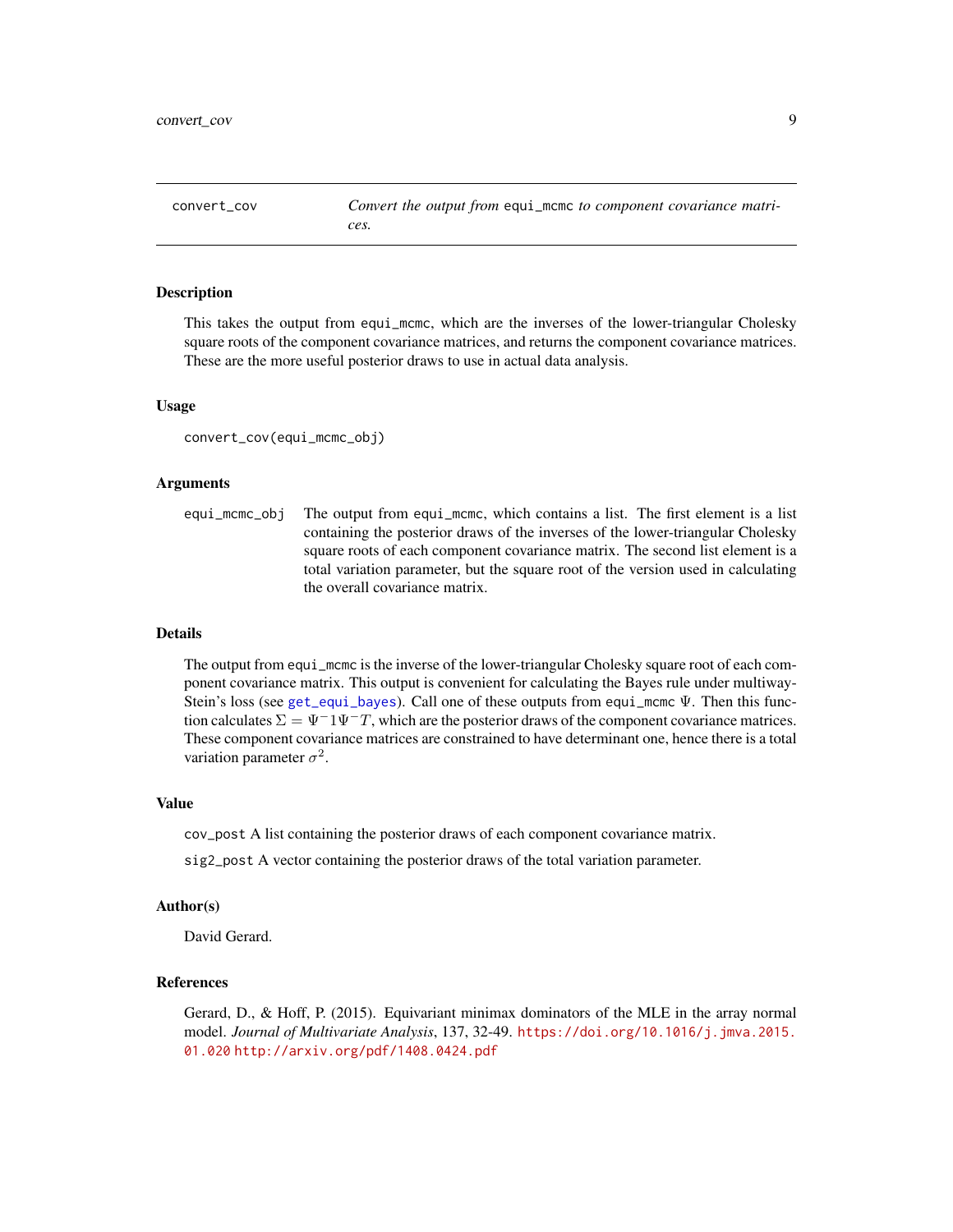<span id="page-8-1"></span><span id="page-8-0"></span>convert\_cov *Convert the output from* equi\_mcmc *to component covariance matrices.*

#### **Description**

This takes the output from equi\_mcmc, which are the inverses of the lower-triangular Cholesky square roots of the component covariance matrices, and returns the component covariance matrices. These are the more useful posterior draws to use in actual data analysis.

#### Usage

```
convert_cov(equi_mcmc_obj)
```
#### Arguments

equi\_mcmc\_obj The output from equi\_mcmc, which contains a list. The first element is a list containing the posterior draws of the inverses of the lower-triangular Cholesky square roots of each component covariance matrix. The second list element is a total variation parameter, but the square root of the version used in calculating the overall covariance matrix.

# Details

The output from equi\_mcmc is the inverse of the lower-triangular Cholesky square root of each component covariance matrix. This output is convenient for calculating the Bayes rule under multiway-Stein's loss (see [get\\_equi\\_bayes](#page-13-1)). Call one of these outputs from equi\_mcmc Ψ. Then this function calculates  $\Sigma = \Psi^{-1}\Psi^{-}T$ , which are the posterior draws of the component covariance matrices. These component covariance matrices are constrained to have determinant one, hence there is a total variation parameter  $\sigma^2$ .

#### Value

cov\_post A list containing the posterior draws of each component covariance matrix.

sig2\_post A vector containing the posterior draws of the total variation parameter.

#### Author(s)

David Gerard.

# References

Gerard, D., & Hoff, P. (2015). Equivariant minimax dominators of the MLE in the array normal model. *Journal of Multivariate Analysis*, 137, 32-49. [https://doi.org/10.1016/j.jmva.2015.](https://doi.org/10.1016/j.jmva.2015.01.020) [01.020](https://doi.org/10.1016/j.jmva.2015.01.020) <http://arxiv.org/pdf/1408.0424.pdf>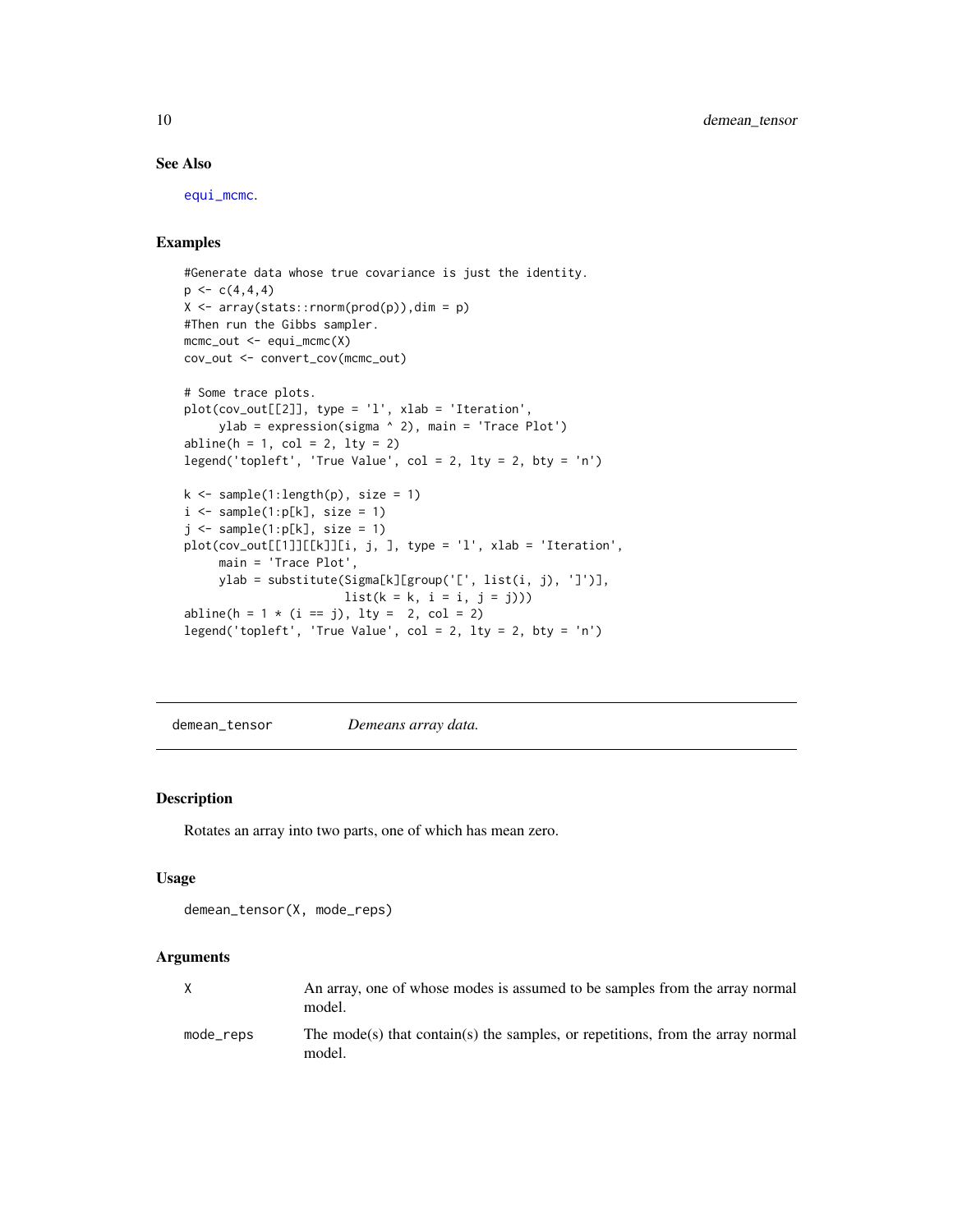#### See Also

[equi\\_mcmc](#page-10-1).

#### Examples

```
#Generate data whose true covariance is just the identity.
p \leftarrow c(4,4,4)X \leq -\arctan(\text{stack::rnorm}(\text{prod}(p)), \text{dim} = p)#Then run the Gibbs sampler.
mcmc_out <- equi_mcmc(X)
cov_out <- convert_cov(mcmc_out)
# Some trace plots.
plot(cov_out[[2]], type = 'l', xlab = 'Iteration',
     ylab = expression(sigma ^ 2), main = 'Trace Plot')
abline(h = 1, col = 2, lty = 2)legend('topleft', 'True Value', col = 2, lty = 2, bty = 'n')
k \leq sample(1:length(p), size = 1)
i \leftarrow sample(1:p[k], size = 1)j \leftarrow sample(1:p[k], size = 1)plot(cov_out[[1]][[k]][i, j, ], type = 'l', xlab = 'Iteration',
     main = 'Trace Plot',
     ylab = substitute(Sigma[k][group('[', list(i, j), ']')],
                        list(k = k, i = i, j = j)))abline(h = 1 * (i == j), lty = 2, col = 2)legend('topleft', 'True Value', col = 2, lty = 2, bty = 'n')
```
<span id="page-9-1"></span>demean\_tensor *Demeans array data.*

# Description

Rotates an array into two parts, one of which has mean zero.

#### Usage

```
demean_tensor(X, mode_reps)
```
# Arguments

| X         | An array, one of whose modes is assumed to be samples from the array normal<br>model.    |
|-----------|------------------------------------------------------------------------------------------|
| mode_reps | The mode(s) that contain(s) the samples, or repetitions, from the array normal<br>model. |

<span id="page-9-0"></span>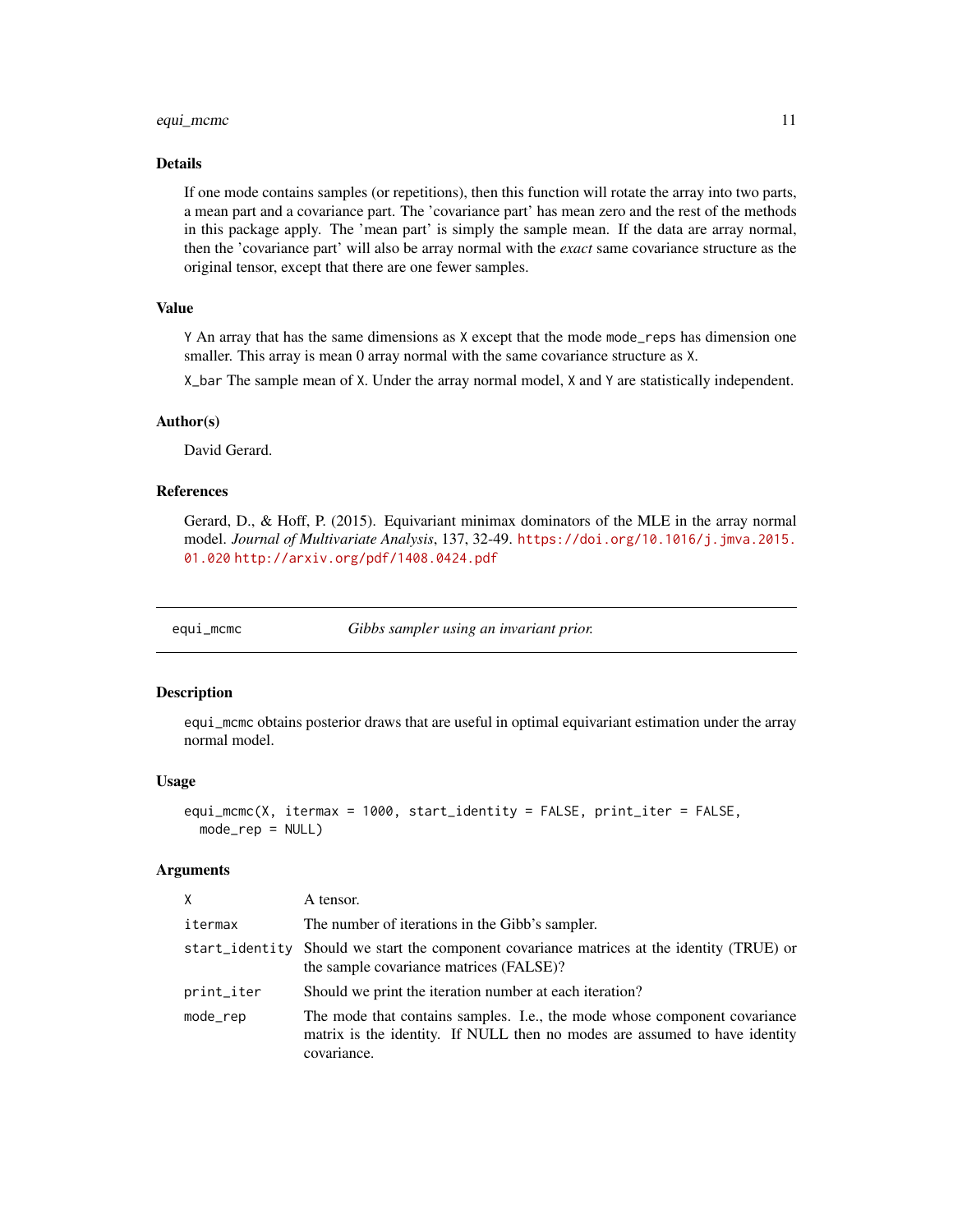#### <span id="page-10-0"></span>equi\_mcmc 11

# Details

If one mode contains samples (or repetitions), then this function will rotate the array into two parts, a mean part and a covariance part. The 'covariance part' has mean zero and the rest of the methods in this package apply. The 'mean part' is simply the sample mean. If the data are array normal, then the 'covariance part' will also be array normal with the *exact* same covariance structure as the original tensor, except that there are one fewer samples.

# Value

Y An array that has the same dimensions as X except that the mode mode\_reps has dimension one smaller. This array is mean 0 array normal with the same covariance structure as X.

X\_bar The sample mean of X. Under the array normal model, X and Y are statistically independent.

#### Author(s)

David Gerard.

#### References

Gerard, D., & Hoff, P. (2015). Equivariant minimax dominators of the MLE in the array normal model. *Journal of Multivariate Analysis*, 137, 32-49. [https://doi.org/10.1016/j.jmva.2015.](https://doi.org/10.1016/j.jmva.2015.01.020) [01.020](https://doi.org/10.1016/j.jmva.2015.01.020) <http://arxiv.org/pdf/1408.0424.pdf>

<span id="page-10-1"></span>equi\_mcmc *Gibbs sampler using an invariant prior.*

# Description

equi\_mcmc obtains posterior draws that are useful in optimal equivariant estimation under the array normal model.

#### Usage

```
equi_mcmc(X, itermax = 1000, start_identity = FALSE, print_iter = FALSE,
  mode_{rep} = NULL)
```
#### Arguments

| X          | A tensor.                                                                                                                                                              |
|------------|------------------------------------------------------------------------------------------------------------------------------------------------------------------------|
| itermax    | The number of iterations in the Gibb's sampler.                                                                                                                        |
|            | start_identity Should we start the component covariance matrices at the identity (TRUE) or<br>the sample covariance matrices (FALSE)?                                  |
| print_iter | Should we print the iteration number at each iteration?                                                                                                                |
| mode_rep   | The mode that contains samples. I.e., the mode whose component covariance<br>matrix is the identity. If NULL then no modes are assumed to have identity<br>covariance. |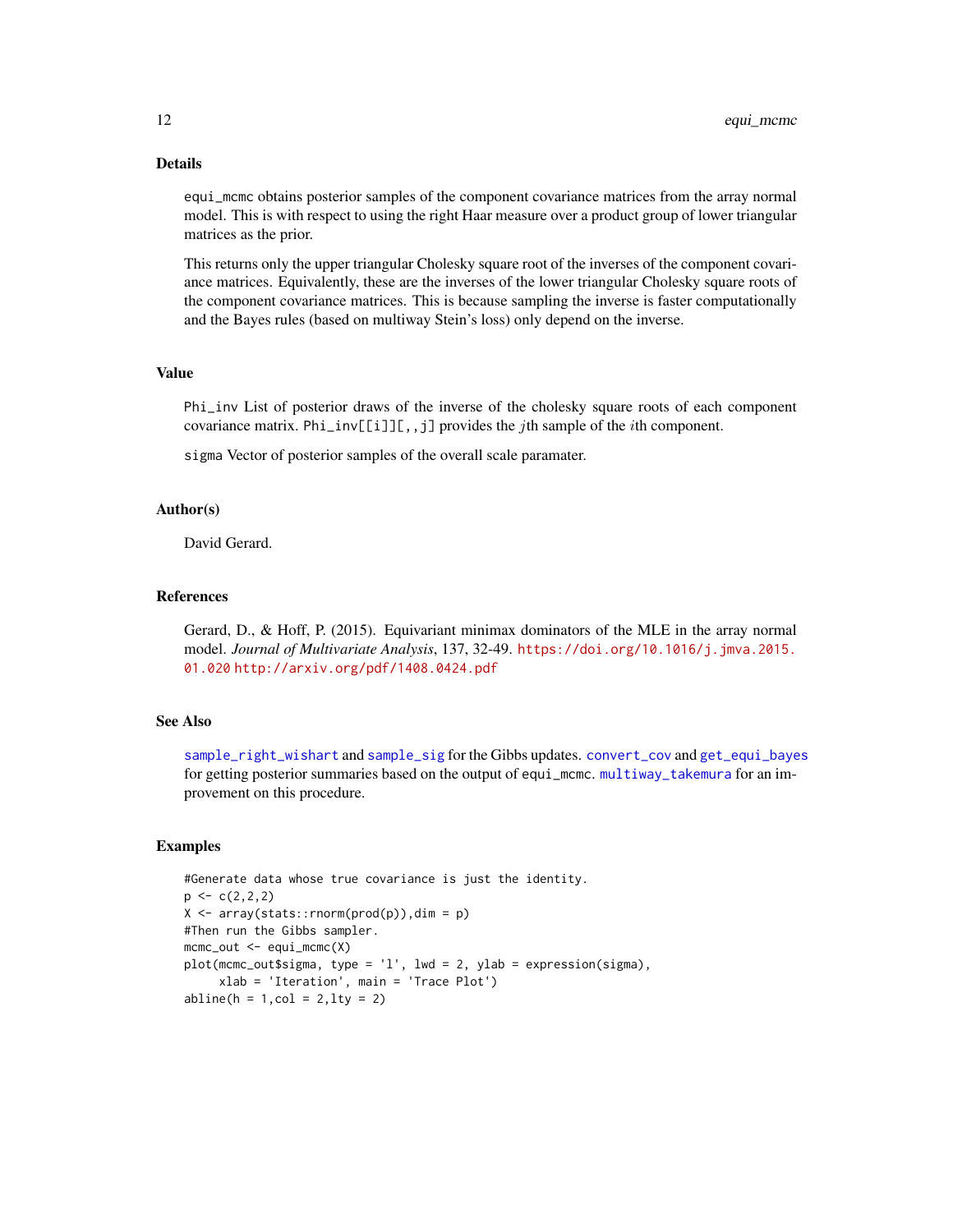# Details

equi\_mcmc obtains posterior samples of the component covariance matrices from the array normal model. This is with respect to using the right Haar measure over a product group of lower triangular matrices as the prior.

This returns only the upper triangular Cholesky square root of the inverses of the component covariance matrices. Equivalently, these are the inverses of the lower triangular Cholesky square roots of the component covariance matrices. This is because sampling the inverse is faster computationally and the Bayes rules (based on multiway Stein's loss) only depend on the inverse.

#### Value

Phi\_inv List of posterior draws of the inverse of the cholesky square roots of each component covariance matrix. Phi\_inv[[i]][,,j] provides the *j*th sample of the *i*th component.

sigma Vector of posterior samples of the overall scale paramater.

### Author(s)

David Gerard.

#### References

Gerard, D., & Hoff, P. (2015). Equivariant minimax dominators of the MLE in the array normal model. *Journal of Multivariate Analysis*, 137, 32-49. [https://doi.org/10.1016/j.jmva.2015.](https://doi.org/10.1016/j.jmva.2015.01.020) [01.020](https://doi.org/10.1016/j.jmva.2015.01.020) <http://arxiv.org/pdf/1408.0424.pdf>

#### See Also

[sample\\_right\\_wishart](#page-40-1) and [sample\\_sig](#page-41-1) for the Gibbs updates. [convert\\_cov](#page-8-1) and [get\\_equi\\_bayes](#page-13-1) for getting posterior summaries based on the output of equi\_mcmc. [multiway\\_takemura](#page-31-1) for an improvement on this procedure.

# Examples

```
#Generate data whose true covariance is just the identity.
p \leftarrow c(2, 2, 2)X \leftarrow array(stats::rnorm(prod(p)),dim = p)#Then run the Gibbs sampler.
mcmc_out <- equi_mcmc(X)
plot(mcmc_out$sigma, type = 'l', lwd = 2, ylab = expression(sigma),
     xlab = 'Iteration', main = 'Trace Plot')
abline(h = 1, col = 2, lty = 2)
```
<span id="page-11-0"></span>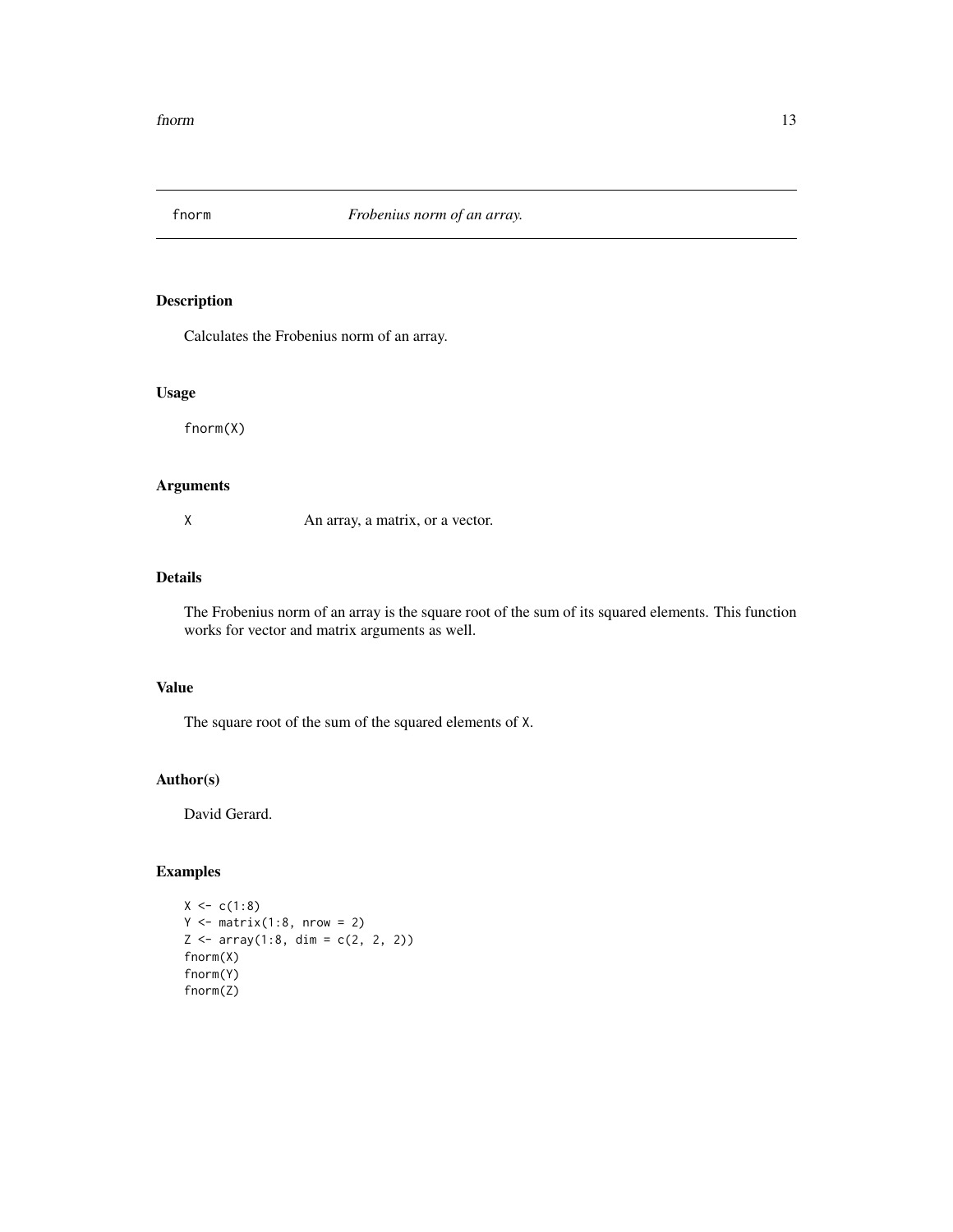<span id="page-12-1"></span><span id="page-12-0"></span>

Calculates the Frobenius norm of an array.

# Usage

fnorm(X)

#### Arguments

X An array, a matrix, or a vector.

# Details

The Frobenius norm of an array is the square root of the sum of its squared elements. This function works for vector and matrix arguments as well.

# Value

The square root of the sum of the squared elements of X.

# Author(s)

David Gerard.

# Examples

```
X \leftarrow c(1:8)Y \leftarrow matrix(1:8, nrow = 2)Z \leftarrow \text{array}(1:8, \text{ dim} = c(2, 2, 2))fnorm(X)
fnorm(Y)
fnorm(Z)
```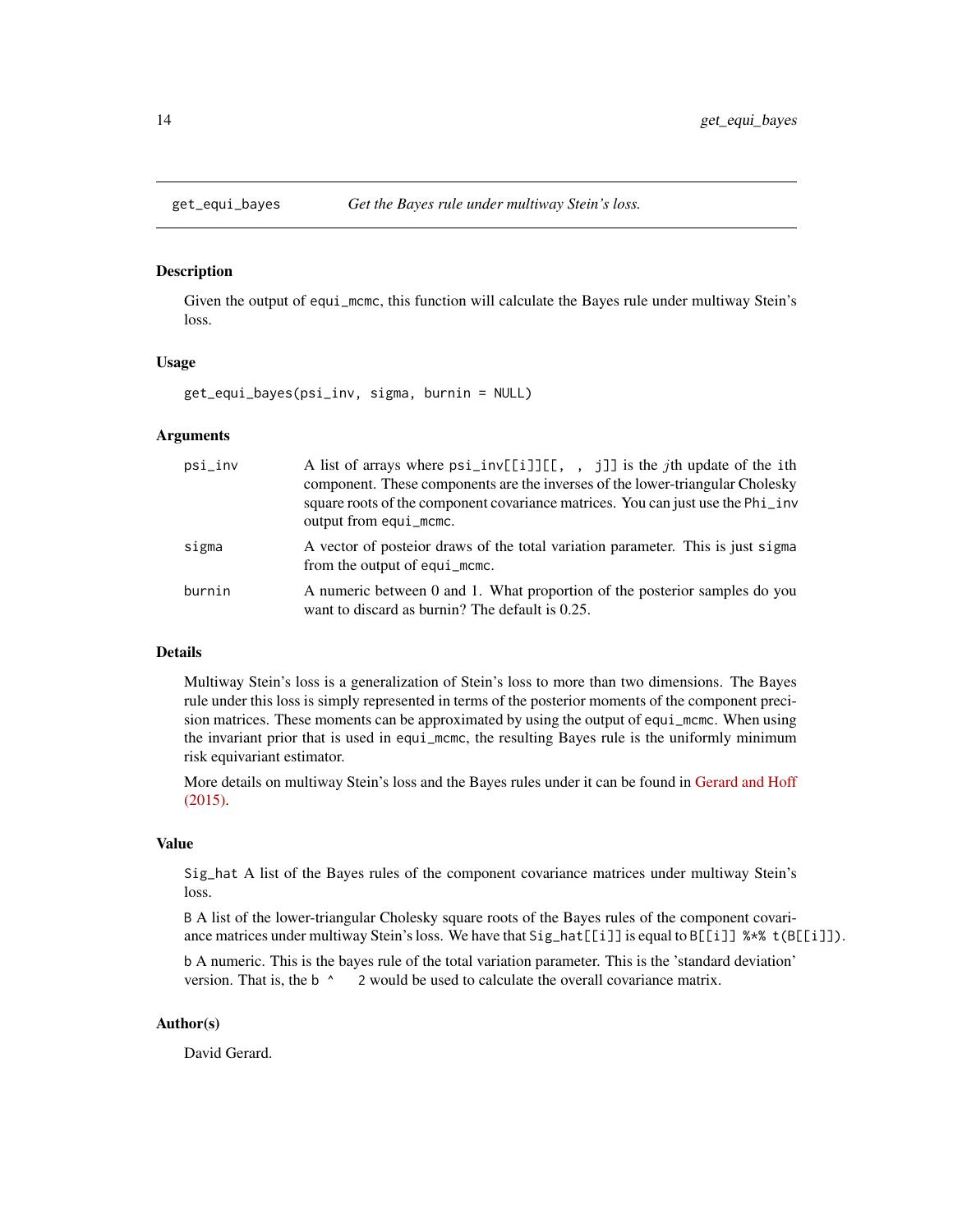<span id="page-13-1"></span><span id="page-13-0"></span>

Given the output of equi\_mcmc, this function will calculate the Bayes rule under multiway Stein's loss.

#### Usage

get\_equi\_bayes(psi\_inv, sigma, burnin = NULL)

# Arguments

| $psi\_inv$ | A list of arrays where $psi[[i]][[, , , j]]$ is the <i>j</i> th update of the ith<br>component. These components are the inverses of the lower-triangular Cholesky<br>square roots of the component covariance matrices. You can just use the Phi_inv<br>output from equi_mcmc. |
|------------|---------------------------------------------------------------------------------------------------------------------------------------------------------------------------------------------------------------------------------------------------------------------------------|
| sigma      | A vector of posteior draws of the total variation parameter. This is just sigma<br>from the output of equi_mcmc.                                                                                                                                                                |
| burnin     | A numeric between 0 and 1. What proportion of the posterior samples do you<br>want to discard as burnin? The default is 0.25.                                                                                                                                                   |

#### Details

Multiway Stein's loss is a generalization of Stein's loss to more than two dimensions. The Bayes rule under this loss is simply represented in terms of the posterior moments of the component precision matrices. These moments can be approximated by using the output of equi\_mcmc. When using the invariant prior that is used in equi\_mcmc, the resulting Bayes rule is the uniformly minimum risk equivariant estimator.

More details on multiway Stein's loss and the Bayes rules under it can be found in [Gerard and Hoff](https://doi.org/10.1016/j.jmva.2015.01.020) [\(2015\).](https://doi.org/10.1016/j.jmva.2015.01.020)

#### Value

Sig\_hat A list of the Bayes rules of the component covariance matrices under multiway Stein's loss.

B A list of the lower-triangular Cholesky square roots of the Bayes rules of the component covariance matrices under multiway Stein's loss. We have that Sig\_hat[[i]] is equal to B[[i]] %\*% t(B[[i]]).

b A numeric. This is the bayes rule of the total variation parameter. This is the 'standard deviation' version. That is, the b ^ 2 would be used to calculate the overall covariance matrix.

# Author(s)

David Gerard.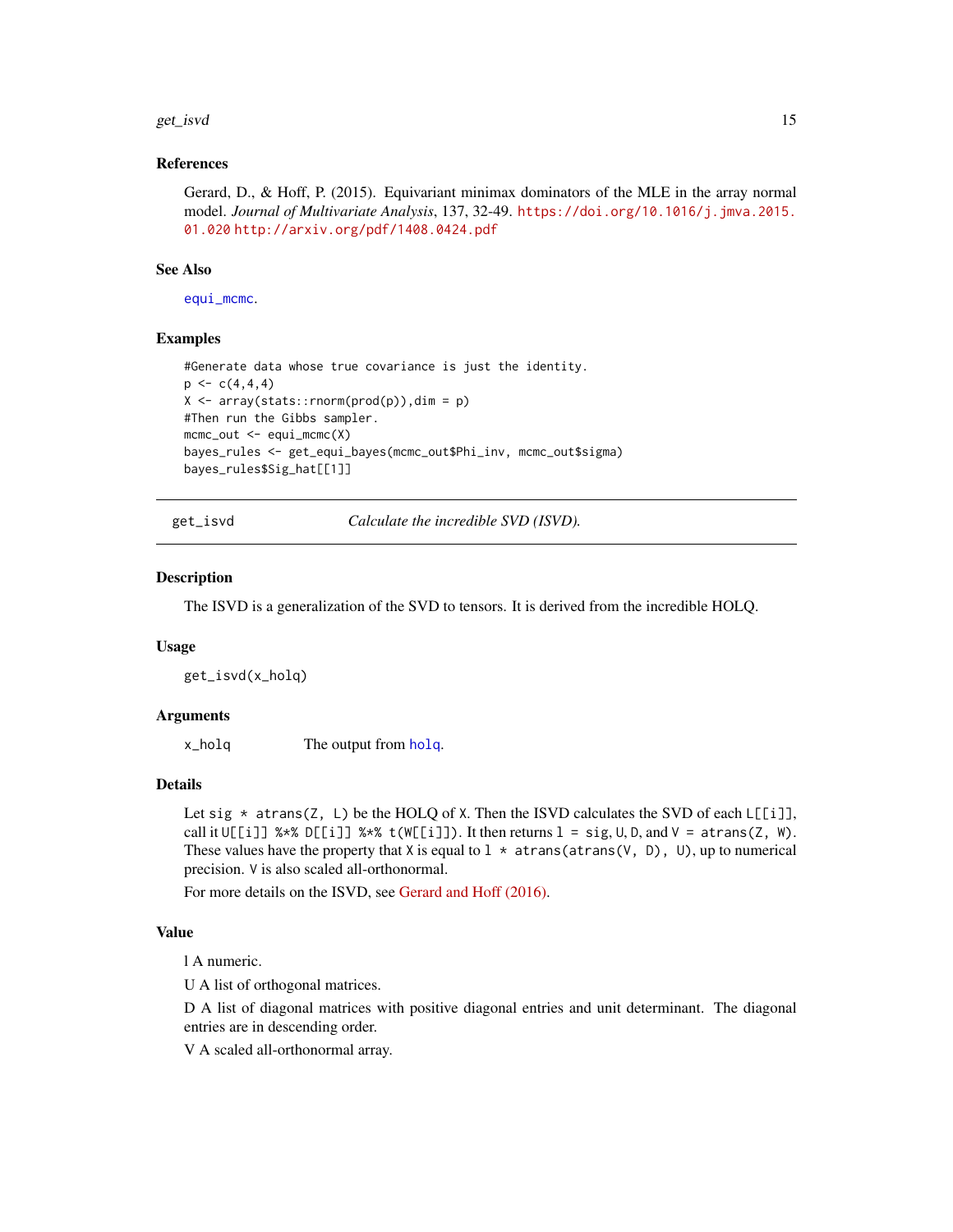#### <span id="page-14-0"></span>get\_isvd 15

#### References

Gerard, D., & Hoff, P. (2015). Equivariant minimax dominators of the MLE in the array normal model. *Journal of Multivariate Analysis*, 137, 32-49. [https://doi.org/10.1016/j.jmva.2015.](https://doi.org/10.1016/j.jmva.2015.01.020) [01.020](https://doi.org/10.1016/j.jmva.2015.01.020) <http://arxiv.org/pdf/1408.0424.pdf>

#### See Also

[equi\\_mcmc](#page-10-1).

#### Examples

```
#Generate data whose true covariance is just the identity.
p \leftarrow c(4,4,4)X \leftarrow array(stats::rnorm(prod(p)),dim = p)#Then run the Gibbs sampler.
mcmc_out <- equi_mcmc(X)
bayes_rules <- get_equi_bayes(mcmc_out$Phi_inv, mcmc_out$sigma)
bayes_rules$Sig_hat[[1]]
```
<span id="page-14-1"></span>get\_isvd *Calculate the incredible SVD (ISVD).*

#### Description

The ISVD is a generalization of the SVD to tensors. It is derived from the incredible HOLQ.

#### Usage

get\_isvd(x\_holq)

#### Arguments

x\_holq The output from [holq](#page-15-1).

#### Details

Let sig  $*$  atrans(Z, L) be the HOLQ of X. Then the ISVD calculates the SVD of each L[[i]], call it  $U[[i]]$  %\*%  $D[[i]]$  %\*% t(W[[i]]). It then returns  $l = sig, U, D,$  and  $V = \text{atrans}(Z, W)$ . These values have the property that X is equal to  $1 \times \text{atrans}(\text{atrans}(V, D), U)$ , up to numerical precision. V is also scaled all-orthonormal.

For more details on the ISVD, see [Gerard and Hoff \(2016\).](https://doi.org/10.1016/j.laa.2016.04.033)

# Value

l A numeric.

U A list of orthogonal matrices.

D A list of diagonal matrices with positive diagonal entries and unit determinant. The diagonal entries are in descending order.

V A scaled all-orthonormal array.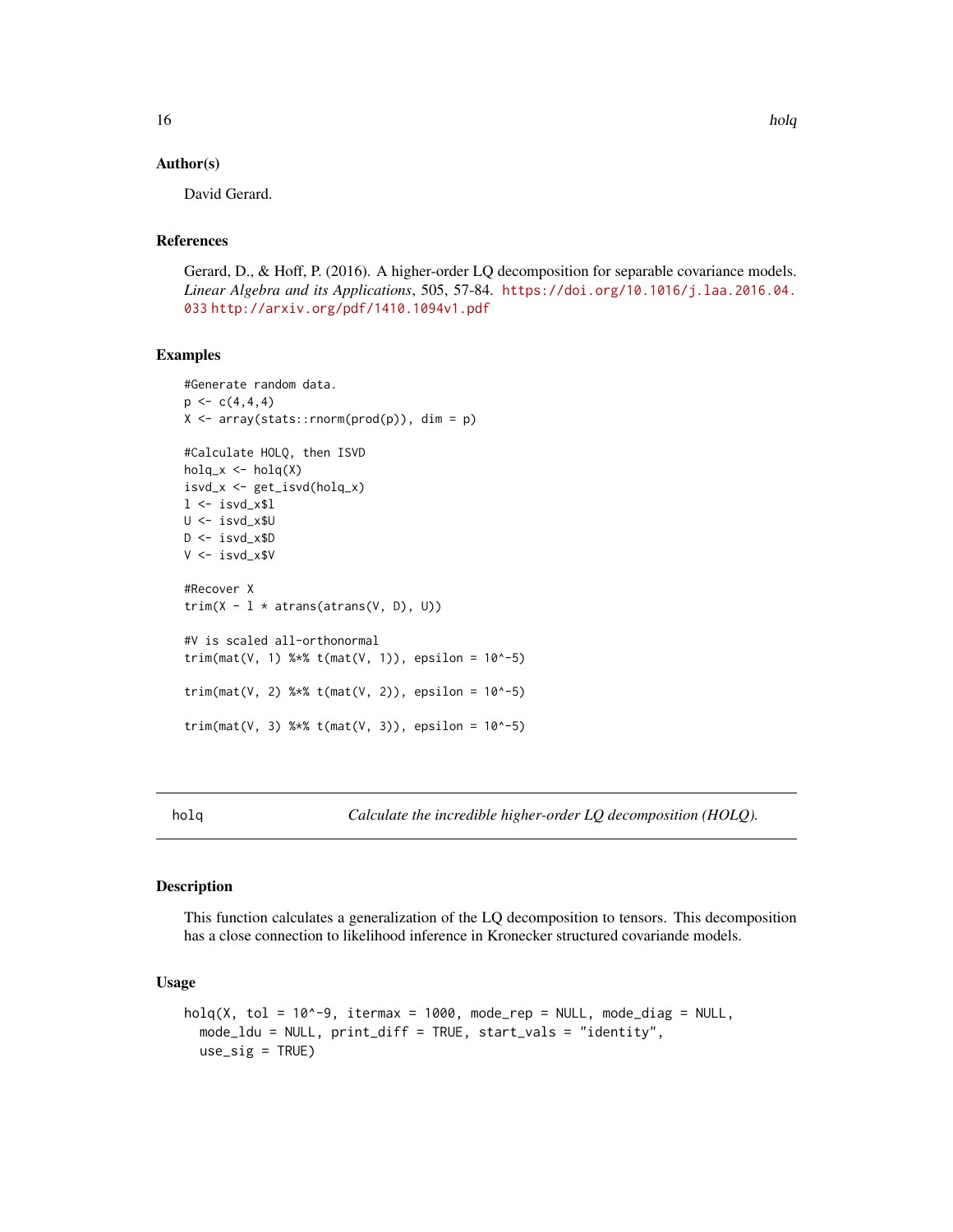#### Author(s)

David Gerard.

# References

Gerard, D., & Hoff, P. (2016). A higher-order LQ decomposition for separable covariance models. *Linear Algebra and its Applications*, 505, 57-84. [https://doi.org/10.1016/j.laa.2016.04.](https://doi.org/10.1016/j.laa.2016.04.033) [033](https://doi.org/10.1016/j.laa.2016.04.033) <http://arxiv.org/pdf/1410.1094v1.pdf>

#### Examples

```
#Generate random data.
p \leftarrow c(4, 4, 4)X \leq -\arctan(\text{stats}:rnorm(\text{prod}(p)), dim = p)
#Calculate HOLQ, then ISVD
holq_x \leftarrow holq(X)isvd_x <- get_isvd(holq_x)
1 \leftarrow \text{isvd\_x$1}U <- isvd_x$U
D <- isvd_x$D
V <- isvd_x$V
#Recover X
trim(X - 1 * \text{atrans}(\text{atrans}(V, D), U))
#V is scaled all-orthonormal
trim(max(V, 1) %*% t(max(V, 1)), epsilon = 10^{\circ}-5)
trim(max(V, 2) %*% t(max(V, 2)), epsilon = 10^{\wedge}-5)trim(mat(V, 3) % * t(mat(V, 3)), epsilon = 10^-5)
```
<span id="page-15-1"></span>holq *Calculate the incredible higher-order LQ decomposition (HOLQ).*

#### Description

This function calculates a generalization of the LQ decomposition to tensors. This decomposition has a close connection to likelihood inference in Kronecker structured covariande models.

#### Usage

```
holq(X, tol = 10^{\circ}-9, itermax = 1000, mode_{rep} = NULL, mode\_diag = NULL,mode_ldu = NULL, print_diff = TRUE, start_vals = "identity",
  use\_sig = TRUE)
```
<span id="page-15-0"></span>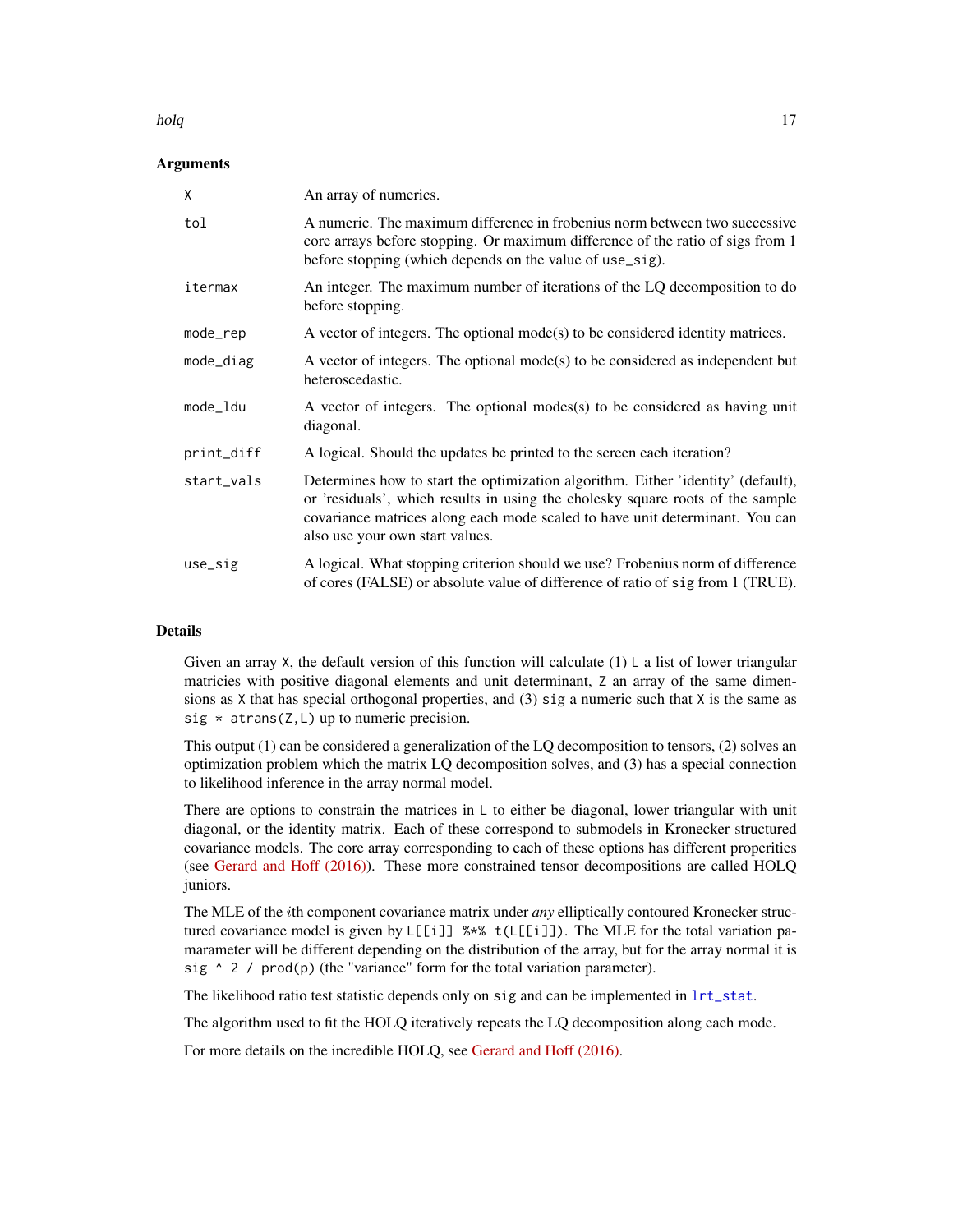#### <span id="page-16-0"></span>holq the contract of the contract of the contract of the contract of the contract of the contract of the contract of the contract of the contract of the contract of the contract of the contract of the contract of the contr

# Arguments

| X          | An array of numerics.                                                                                                                                                                                                                                                                 |
|------------|---------------------------------------------------------------------------------------------------------------------------------------------------------------------------------------------------------------------------------------------------------------------------------------|
| tol        | A numeric. The maximum difference in frobenius norm between two successive<br>core arrays before stopping. Or maximum difference of the ratio of sigs from 1<br>before stopping (which depends on the value of use_sig).                                                              |
| itermax    | An integer. The maximum number of iterations of the LQ decomposition to do<br>before stopping.                                                                                                                                                                                        |
| mode_rep   | A vector of integers. The optional $mode(s)$ to be considered identity matrices.                                                                                                                                                                                                      |
| mode_diag  | A vector of integers. The optional mode(s) to be considered as independent but<br>heteroscedastic.                                                                                                                                                                                    |
| mode_ldu   | A vector of integers. The optional modes(s) to be considered as having unit<br>diagonal.                                                                                                                                                                                              |
| print_diff | A logical. Should the updates be printed to the screen each iteration?                                                                                                                                                                                                                |
| start_vals | Determines how to start the optimization algorithm. Either 'identity' (default),<br>or 'residuals', which results in using the cholesky square roots of the sample<br>covariance matrices along each mode scaled to have unit determinant. You can<br>also use your own start values. |
| use_sig    | A logical. What stopping criterion should we use? Frobenius norm of difference<br>of cores (FALSE) or absolute value of difference of ratio of sig from 1 (TRUE).                                                                                                                     |

#### Details

Given an array X, the default version of this function will calculate  $(1)$  L a list of lower triangular matricies with positive diagonal elements and unit determinant, Z an array of the same dimensions as X that has special orthogonal properties, and (3) sig a numeric such that X is the same as sig  $*$  atrans(Z, L) up to numeric precision.

This output  $(1)$  can be considered a generalization of the LQ decomposition to tensors,  $(2)$  solves an optimization problem which the matrix LQ decomposition solves, and (3) has a special connection to likelihood inference in the array normal model.

There are options to constrain the matrices in  $\mathsf{L}$  to either be diagonal, lower triangular with unit diagonal, or the identity matrix. Each of these correspond to submodels in Kronecker structured covariance models. The core array corresponding to each of these options has different properities (see [Gerard and Hoff \(2016\)\)](https://doi.org/10.1016/j.laa.2016.04.033). These more constrained tensor decompositions are called HOLQ juniors.

The MLE of the ith component covariance matrix under *any* elliptically contoured Kronecker structured covariance model is given by  $L[[i]]$  %\* t( $L[[i]]$ ). The MLE for the total variation pamarameter will be different depending on the distribution of the array, but for the array normal it is sig  $\land$  2 / prod(p) (the "variance" form for the total variation parameter).

The likelihood ratio test statistic depends only on sig and can be implemented in [lrt\\_stat](#page-27-1).

The algorithm used to fit the HOLQ iteratively repeats the LQ decomposition along each mode.

For more details on the incredible HOLQ, see [Gerard and Hoff \(2016\).](https://doi.org/10.1016/j.laa.2016.04.033)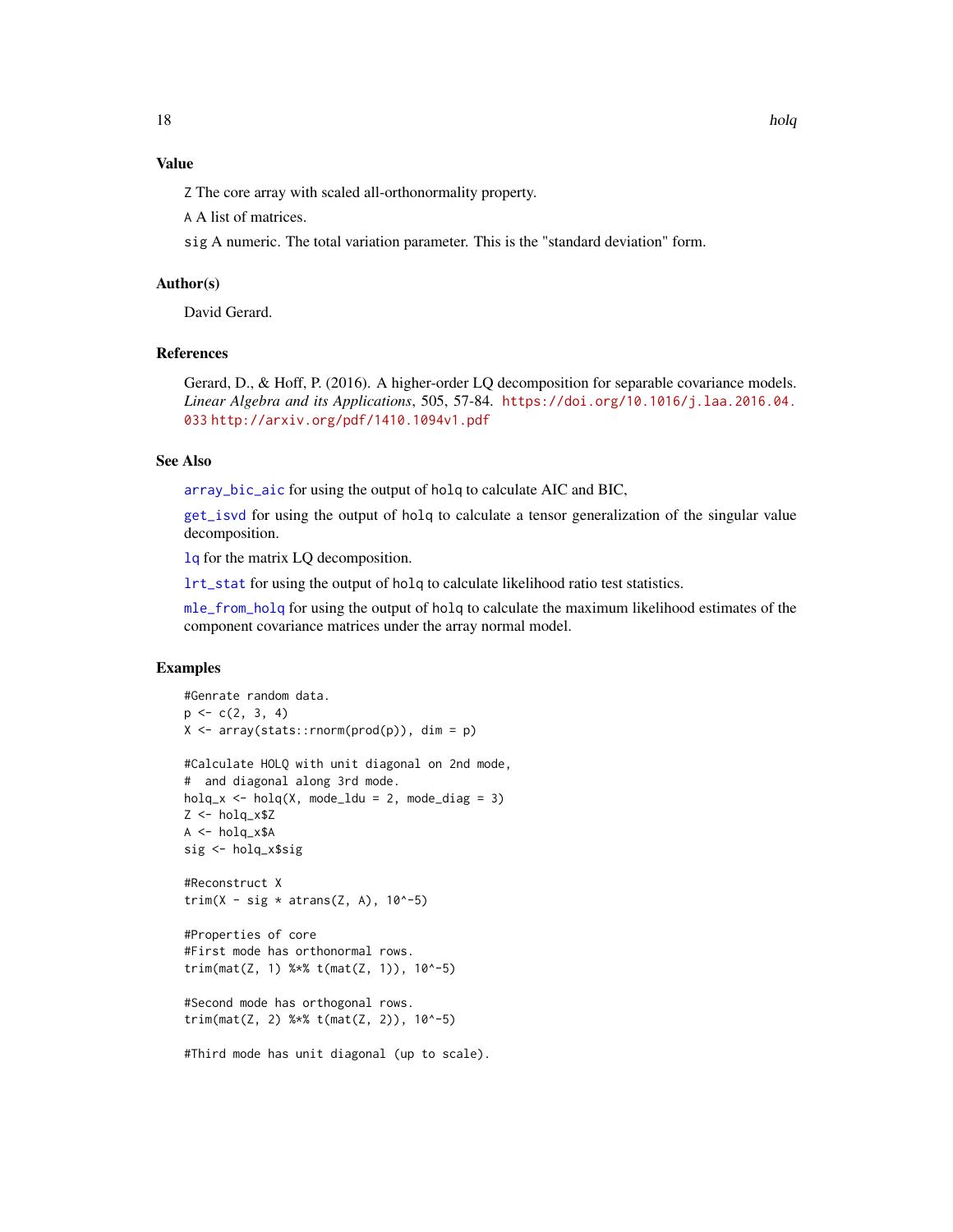# <span id="page-17-0"></span>Value

Z The core array with scaled all-orthonormality property.

A A list of matrices.

sig A numeric. The total variation parameter. This is the "standard deviation" form.

### Author(s)

David Gerard.

# References

Gerard, D., & Hoff, P. (2016). A higher-order LQ decomposition for separable covariance models. *Linear Algebra and its Applications*, 505, 57-84. [https://doi.org/10.1016/j.laa.2016.04.](https://doi.org/10.1016/j.laa.2016.04.033) [033](https://doi.org/10.1016/j.laa.2016.04.033) <http://arxiv.org/pdf/1410.1094v1.pdf>

# See Also

[array\\_bic\\_aic](#page-4-1) for using the output of holq to calculate AIC and BIC,

[get\\_isvd](#page-14-1) for using the output of holq to calculate a tensor generalization of the singular value decomposition.

[lq](#page-24-1) for the matrix LQ decomposition.

[lrt\\_stat](#page-27-1) for using the output of holq to calculate likelihood ratio test statistics.

[mle\\_from\\_holq](#page-30-1) for using the output of holq to calculate the maximum likelihood estimates of the component covariance matrices under the array normal model.

# Examples

```
#Genrate random data.
p \leftarrow c(2, 3, 4)X \leftarrow array(stats::rnorm(pred(p)), dim = p)
#Calculate HOLQ with unit diagonal on 2nd mode,
# and diagonal along 3rd mode.
holq_x \leftarrow holq(X, mode_ldu = 2, mode_ldiag = 3)Z <- holq_x$Z
A \leq -holq_x$A
sig <- holq_x$sig
#Reconstruct X
trim(X - sig * atrans(Z, A), 10^{\circ}-5)
#Properties of core
#First mode has orthonormal rows.
trim(mat(Z, 1) % * t(mat(Z, 1)), 10^-5)
#Second mode has orthogonal rows.
trim(mat(Z, 2) %*% t(mat(Z, 2)), 10^-5)
#Third mode has unit diagonal (up to scale).
```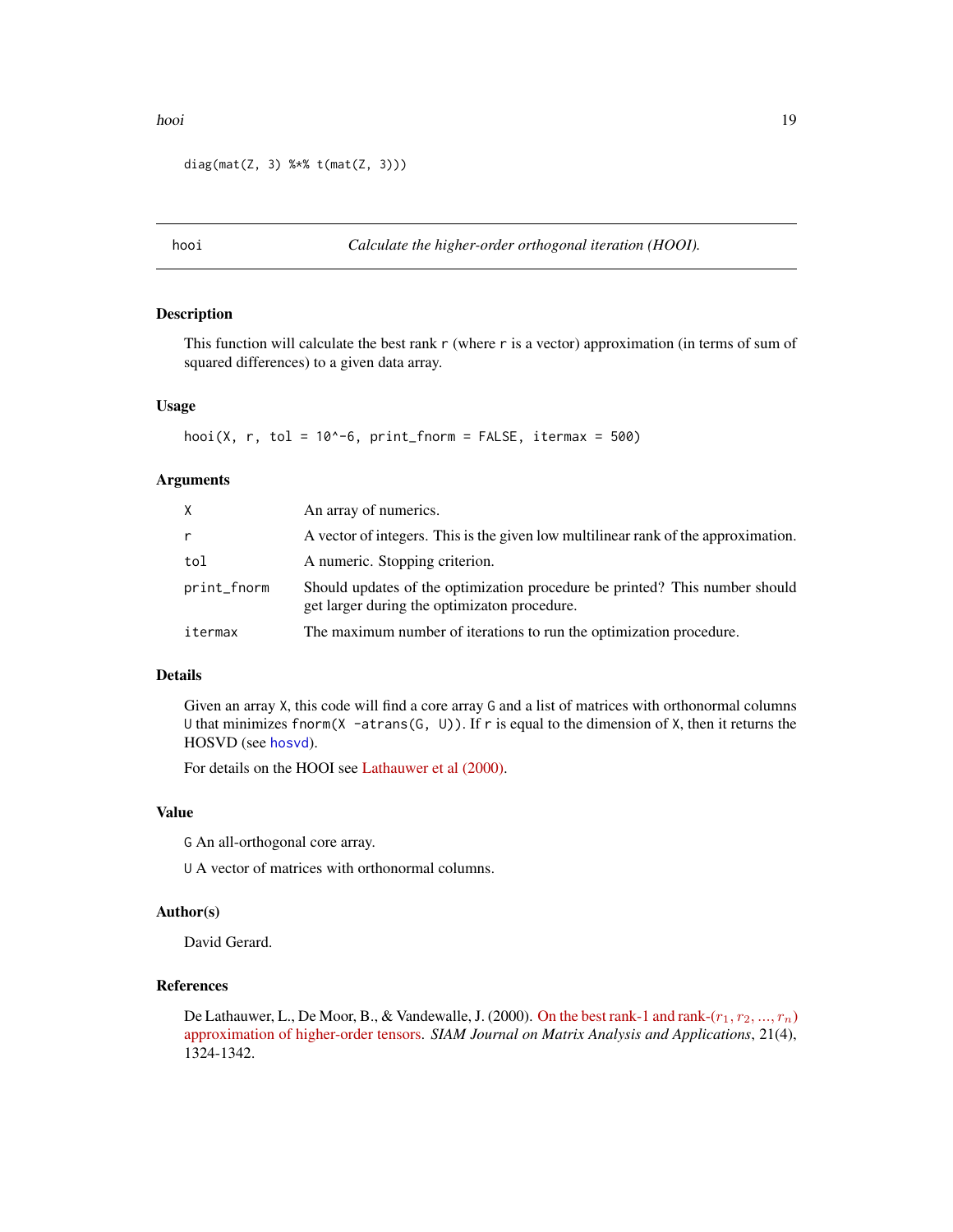```
diag(mat(Z, 3) % * t(mat(Z, 3)))
```
<span id="page-18-1"></span>hooi *Calculate the higher-order orthogonal iteration (HOOI).*

# Description

This function will calculate the best rank  $r$  (where  $r$  is a vector) approximation (in terms of sum of squared differences) to a given data array.

#### Usage

```
hooi(X, r, tol = 10^{\circ}-6, print_fnorm = FALSE, itermax = 500)
```
# Arguments

| X.          | An array of numerics.                                                                                                       |
|-------------|-----------------------------------------------------------------------------------------------------------------------------|
| r           | A vector of integers. This is the given low multilinear rank of the approximation.                                          |
| tol         | A numeric. Stopping criterion.                                                                                              |
| print_fnorm | Should updates of the optimization procedure be printed? This number should<br>get larger during the optimizaton procedure. |
| itermax     | The maximum number of iterations to run the optimization procedure.                                                         |

# Details

Given an array X, this code will find a core array G and a list of matrices with orthonormal columns U that minimizes fnorm( $X$  -atrans( $G, U$ )). If r is equal to the dimension of X, then it returns the HOSVD (see [hosvd](#page-19-1)).

For details on the HOOI see [Lathauwer et al \(2000\).](https://doi.org/10.1137/S0895479898346995)

#### Value

G An all-orthogonal core array.

U A vector of matrices with orthonormal columns.

#### Author(s)

David Gerard.

# References

De Lathauwer, L., De Moor, B., & Vandewalle, J. (2000). On the best rank-1 and rank- $(r_1, r_2, ..., r_n)$ [approximation of higher-order tensors.](http://doi.org/10.1137/S0895479898346995) *SIAM Journal on Matrix Analysis and Applications*, 21(4), 1324-1342.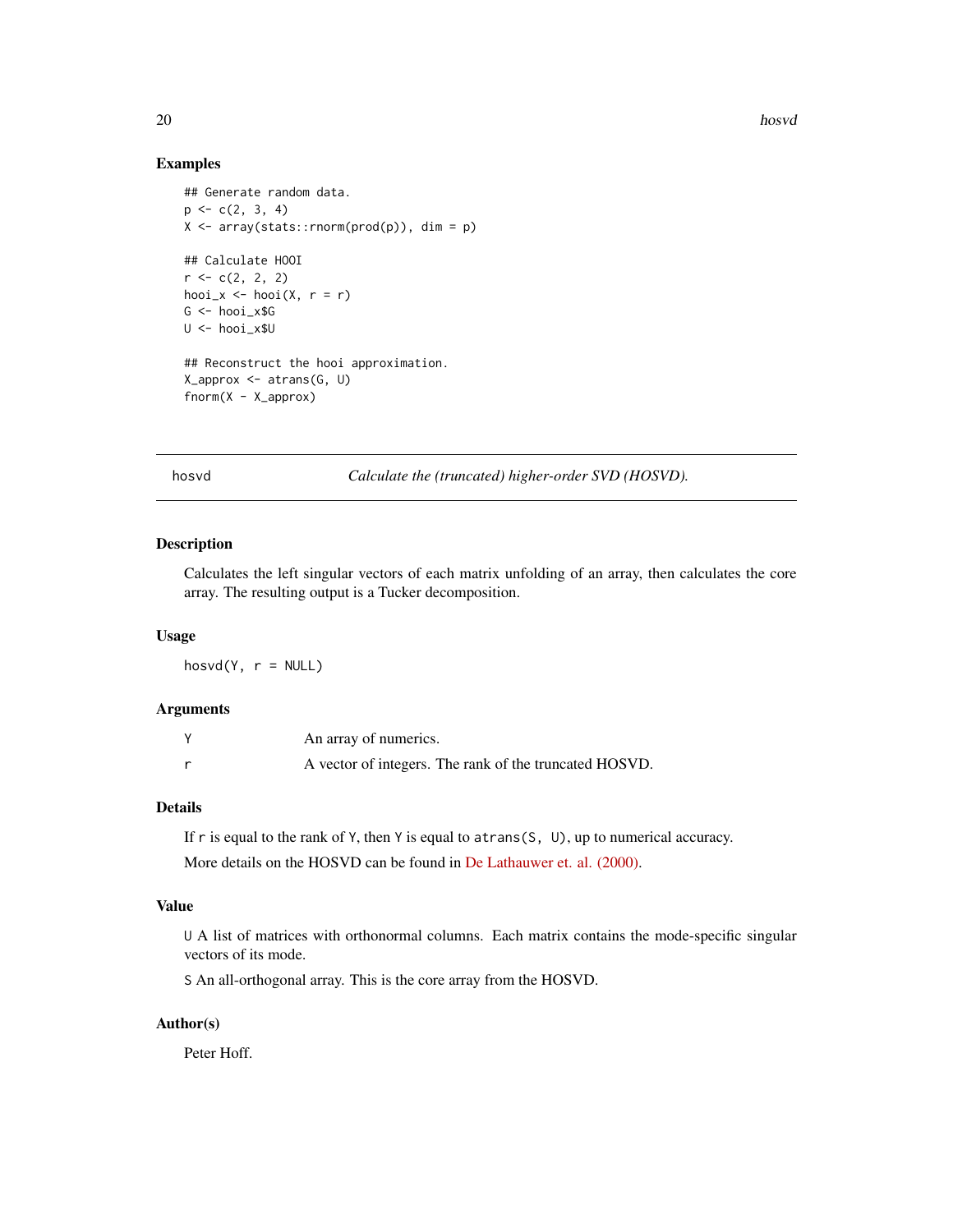# Examples

```
## Generate random data.
p \leftarrow c(2, 3, 4)X \leq -\arctan(\text{stats}:rnorm(prod(p)), \text{dim} = p)## Calculate HOOI
r < -c(2, 2, 2)hooi_x \le hooi(X, r = r)
G <- hooi_x$G
U <- hooi_x$U
## Reconstruct the hooi approximation.
X_approx <- atrans(G, U)
fnorm(X - X_approx)
```
<span id="page-19-1"></span>hosvd *Calculate the (truncated) higher-order SVD (HOSVD).*

# Description

Calculates the left singular vectors of each matrix unfolding of an array, then calculates the core array. The resulting output is a Tucker decomposition.

#### Usage

 $host(Y, r = NULL)$ 

# Arguments

| An array of numerics.                                  |
|--------------------------------------------------------|
| A vector of integers. The rank of the truncated HOSVD. |

# Details

If r is equal to the rank of Y, then Y is equal to atrans(S, U), up to numerical accuracy.

More details on the HOSVD can be found in [De Lathauwer et. al. \(2000\).](https://doi.org/10.1137/S0895479896305696)

# Value

U A list of matrices with orthonormal columns. Each matrix contains the mode-specific singular vectors of its mode.

S An all-orthogonal array. This is the core array from the HOSVD.

# Author(s)

Peter Hoff.

<span id="page-19-0"></span>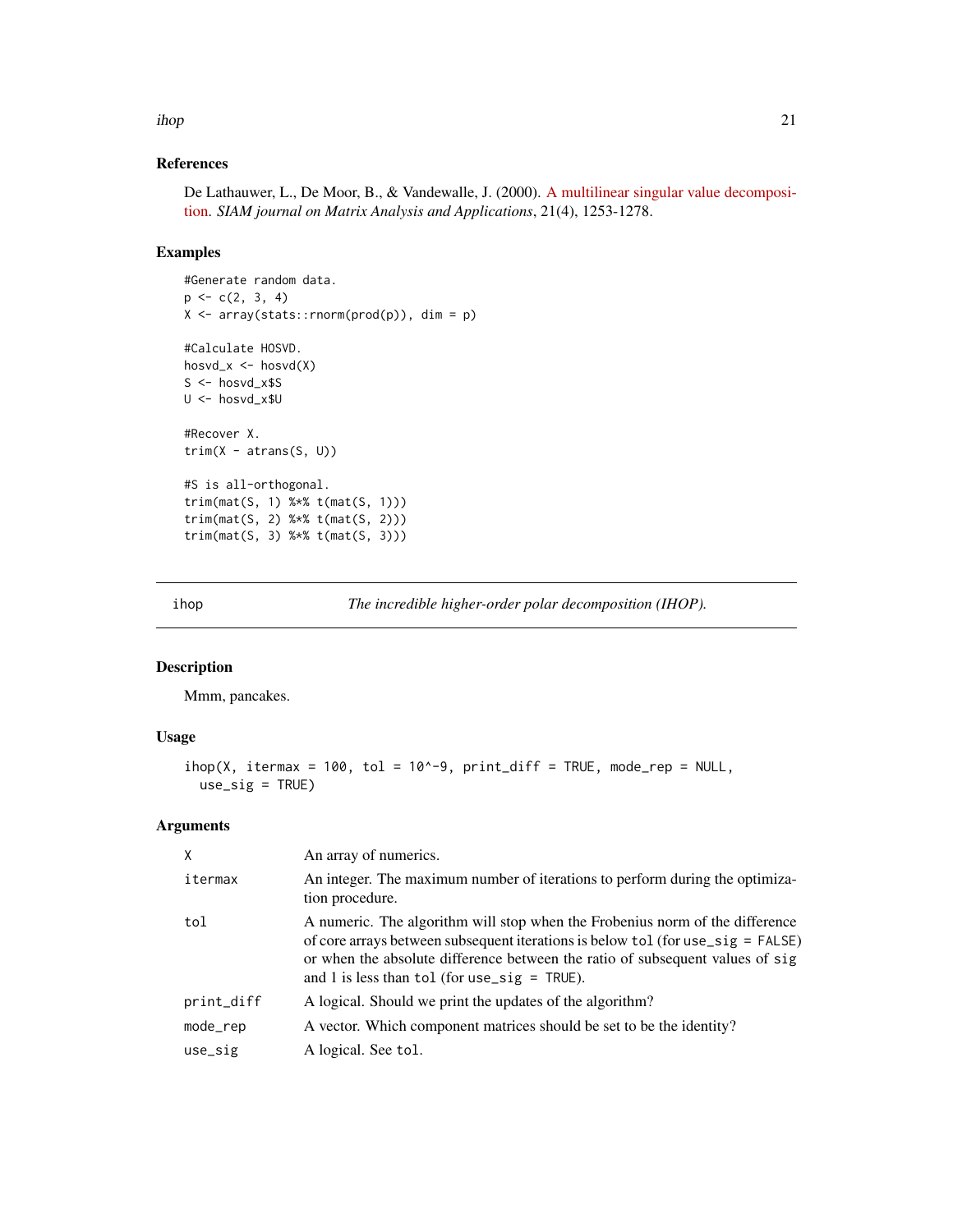<span id="page-20-0"></span>ihop 21

# References

De Lathauwer, L., De Moor, B., & Vandewalle, J. (2000). [A multilinear singular value decomposi](http://doi.org/10.1137/S0895479896305696)[tion.](http://doi.org/10.1137/S0895479896305696) *SIAM journal on Matrix Analysis and Applications*, 21(4), 1253-1278.

#### Examples

```
#Generate random data.
p \leftarrow c(2, 3, 4)X \leftarrow array(stats::rnorm(prod(p)), dim = p)#Calculate HOSVD.
hosvd_x \le - hosvd(X)S < - hosvd_x$S
U <- hosvd_x$U
#Recover X.
trim(X - atrans(S, U))#S is all-orthogonal.
trim(mat(S, 1) %*% t(mat(S, 1)))
trim(mat(S, 2) %*% t(mat(S, 2)))
trim(mat(S, 3) %*% t(mat(S, 3)))
```
<span id="page-20-1"></span>ihop *The incredible higher-order polar decomposition (IHOP).*

# Description

Mmm, pancakes.

# Usage

```
ihop(X, itermax = 100, tol = 10^{\circ}-9, print_diff = TRUE, mode_rep = NULL,use\_sig = TRUE)
```
#### Arguments

| X          | An array of numerics.                                                                                                                                                                                                                                                                               |
|------------|-----------------------------------------------------------------------------------------------------------------------------------------------------------------------------------------------------------------------------------------------------------------------------------------------------|
| itermax    | An integer. The maximum number of iterations to perform during the optimiza-<br>tion procedure.                                                                                                                                                                                                     |
| tol        | A numeric. The algorithm will stop when the Frobenius norm of the difference<br>of core arrays between subsequent iterations is below tol (for use_sig = FALSE)<br>or when the absolute difference between the ratio of subsequent values of sig<br>and 1 is less than tol (for use_sig = $TRUE$ ). |
| print_diff | A logical. Should we print the updates of the algorithm?                                                                                                                                                                                                                                            |
| mode_rep   | A vector. Which component matrices should be set to be the identity?                                                                                                                                                                                                                                |
| use_sig    | A logical. See tol.                                                                                                                                                                                                                                                                                 |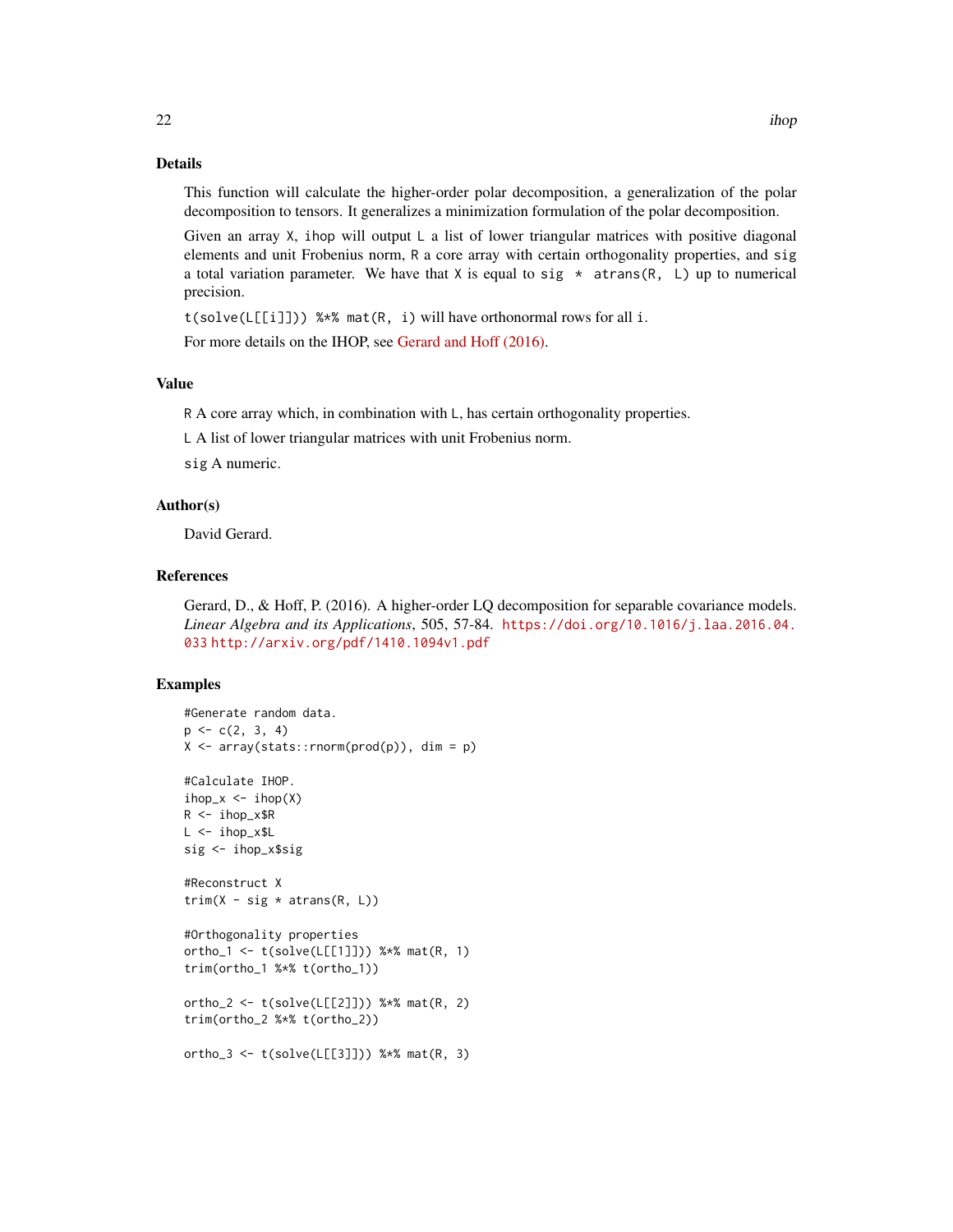# Details

This function will calculate the higher-order polar decomposition, a generalization of the polar decomposition to tensors. It generalizes a minimization formulation of the polar decomposition.

Given an array  $X$ , ihop will output L a list of lower triangular matrices with positive diagonal elements and unit Frobenius norm, R a core array with certain orthogonality properties, and sig a total variation parameter. We have that X is equal to sig  $*$  atrans(R, L) up to numerical precision.

t(solve(L[[i]])) %\*% mat(R, i) will have orthonormal rows for all i.

For more details on the IHOP, see [Gerard and Hoff \(2016\).](https://doi.org/10.1016/j.laa.2016.04.033)

# Value

R A core array which, in combination with L, has certain orthogonality properties.

L A list of lower triangular matrices with unit Frobenius norm.

sig A numeric.

#### Author(s)

David Gerard.

# References

Gerard, D., & Hoff, P. (2016). A higher-order LQ decomposition for separable covariance models. *Linear Algebra and its Applications*, 505, 57-84. [https://doi.org/10.1016/j.laa.2016.04.](https://doi.org/10.1016/j.laa.2016.04.033) [033](https://doi.org/10.1016/j.laa.2016.04.033) <http://arxiv.org/pdf/1410.1094v1.pdf>

#### Examples

```
#Generate random data.
p \leftarrow c(2, 3, 4)X \leq -\arctan(\text{stack}:rnorm(prod(p)), \text{dim} = p)#Calculate IHOP.
ihop_x \leftarrow ihop(X)R < -i hop_x$R
L <- ihop_x$L
sig <- ihop_x$sig
#Reconstruct X
trim(X - sig * atrans(R, L))#Orthogonality properties
ortho_1 <- t(solve(L[[1]])) %*% mat(R, 1)
trim(ortho_1 %*% t(ortho_1))
ortho_2 <- t(solve(L[[2]])) %*% mat(R, 2)
trim(ortho_2 %*% t(ortho_2))
ortho_3 <- t(solve(L[[3]])) %*% mat(R, 3)
```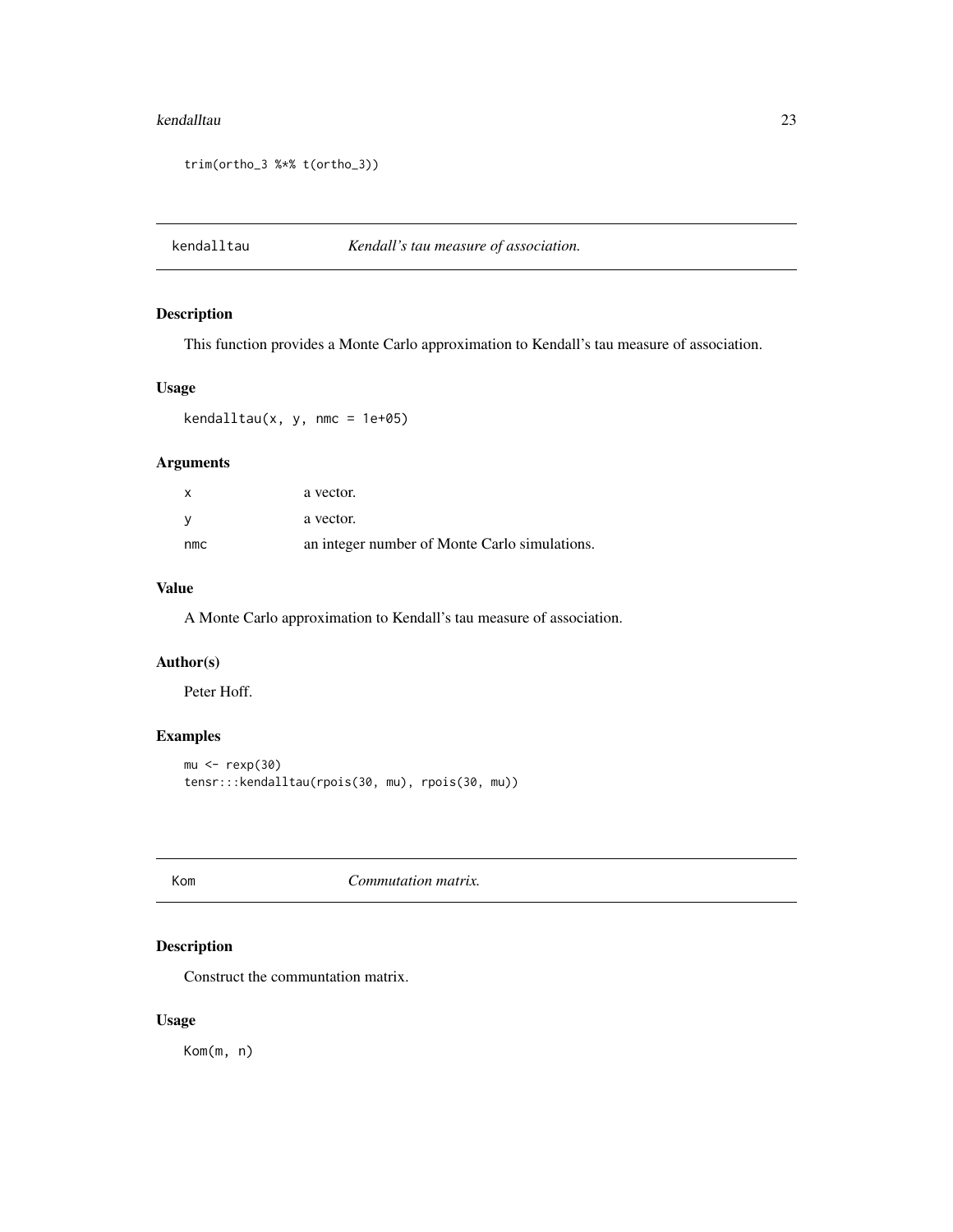#### <span id="page-22-0"></span>kendalltau 23

```
trim(ortho_3 %*% t(ortho_3))
```
kendalltau *Kendall's tau measure of association.*

# Description

This function provides a Monte Carlo approximation to Kendall's tau measure of association.

# Usage

kendalltau(x, y, nmc = 1e+05)

# Arguments

| x   | a vector.                                     |
|-----|-----------------------------------------------|
| V   | a vector.                                     |
| nmc | an integer number of Monte Carlo simulations. |

# Value

A Monte Carlo approximation to Kendall's tau measure of association.

# Author(s)

Peter Hoff.

# Examples

```
mu <- rexp(30)
tensr:::kendalltau(rpois(30, mu), rpois(30, mu))
```
<span id="page-22-1"></span>Kom *Commutation matrix.*

# Description

Construct the communtation matrix.

# Usage

Kom(m, n)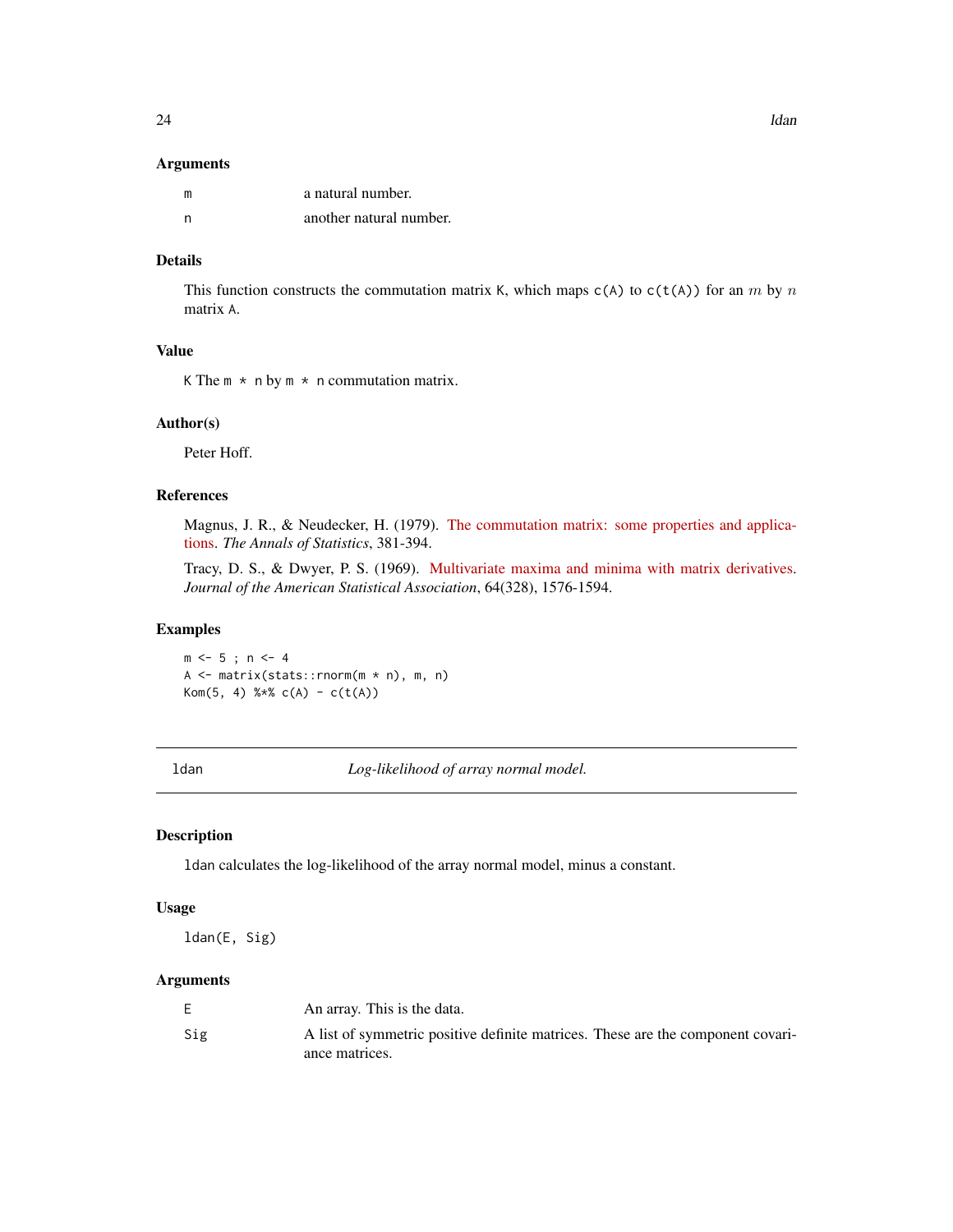#### <span id="page-23-0"></span>Arguments

| m   | a natural number.       |
|-----|-------------------------|
| - n | another natural number. |

# Details

This function constructs the commutation matrix K, which maps  $c(A)$  to  $c(t(A))$  for an m by n matrix A.

# Value

K The  $m \times n$  by  $m \times n$  commutation matrix.

#### Author(s)

Peter Hoff.

# References

Magnus, J. R., & Neudecker, H. (1979). [The commutation matrix: some properties and applica](http://doi.org/10.1214/aos/1176344621)[tions.](http://doi.org/10.1214/aos/1176344621) *The Annals of Statistics*, 381-394.

Tracy, D. S., & Dwyer, P. S. (1969). [Multivariate maxima and minima with matrix derivatives.](http://doi.org/10.1080/01621459.1969.10501078) *Journal of the American Statistical Association*, 64(328), 1576-1594.

#### Examples

 $m \le -5$ ;  $n \le -4$ A <- matrix(stats::rnorm(m \* n), m, n) Kom(5, 4)  $%x$  c(A) - c(t(A))

<span id="page-23-1"></span>ldan *Log-likelihood of array normal model.*

#### Description

ldan calculates the log-likelihood of the array normal model, minus a constant.

#### Usage

ldan(E, Sig)

# Arguments

|     | An array. This is the data.                                                     |
|-----|---------------------------------------------------------------------------------|
| Sig | A list of symmetric positive definite matrices. These are the component covari- |
|     | ance matrices.                                                                  |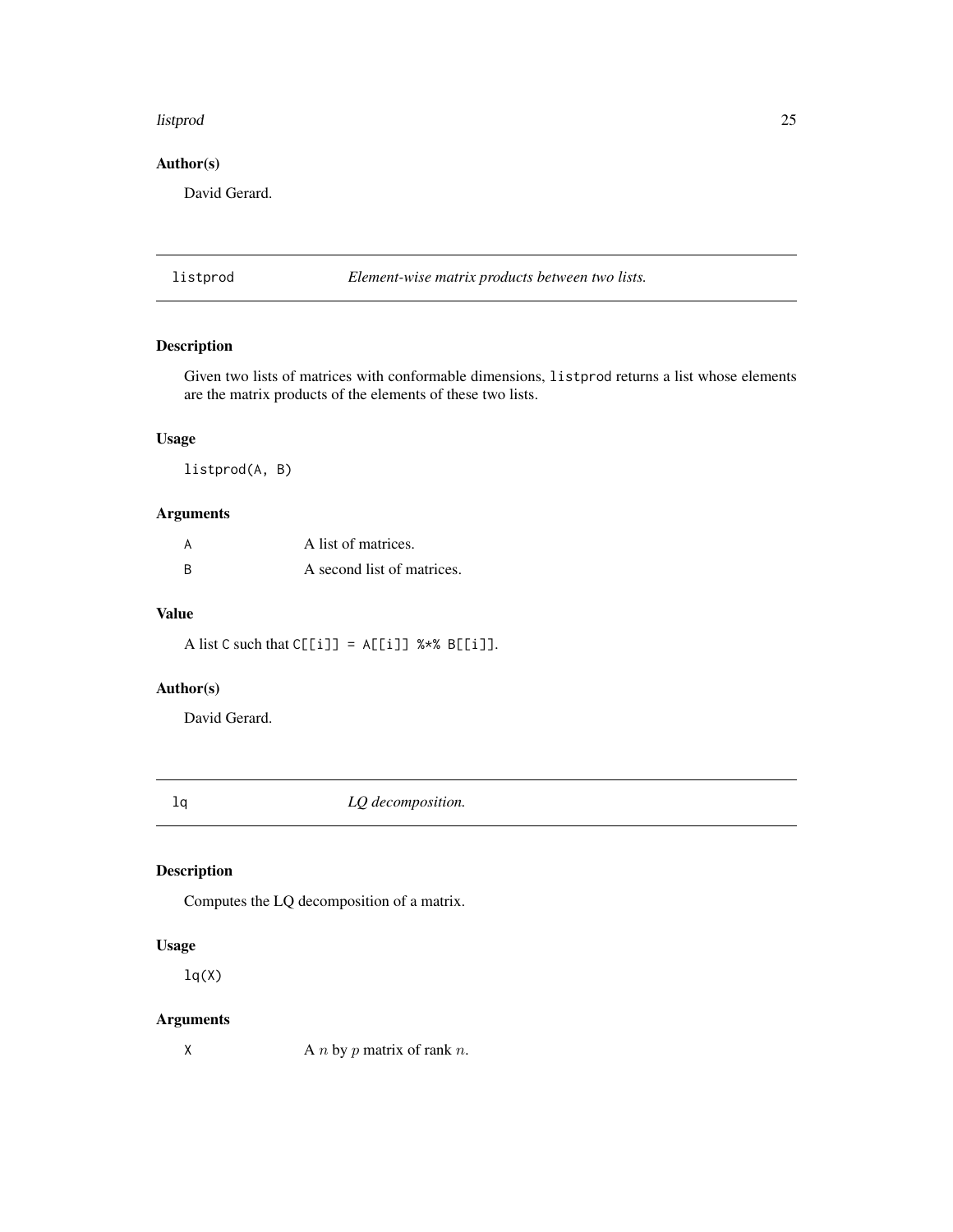#### <span id="page-24-0"></span>listprod 25

# Author(s)

David Gerard.

<span id="page-24-2"></span>listprod *Element-wise matrix products between two lists.*

# Description

Given two lists of matrices with conformable dimensions, listprod returns a list whose elements are the matrix products of the elements of these two lists.

# Usage

listprod(A, B)

# Arguments

| A | A list of matrices.        |
|---|----------------------------|
| B | A second list of matrices. |

# Value

A list C such that  $C[[i]] = A[[i]]$  %\*% B[[i]].

# Author(s)

David Gerard.

<span id="page-24-1"></span>

lq *LQ decomposition.*

# Description

Computes the LQ decomposition of a matrix.

# Usage

 $lq(X)$ 

# Arguments

X A *n* by *p* matrix of rank *n*.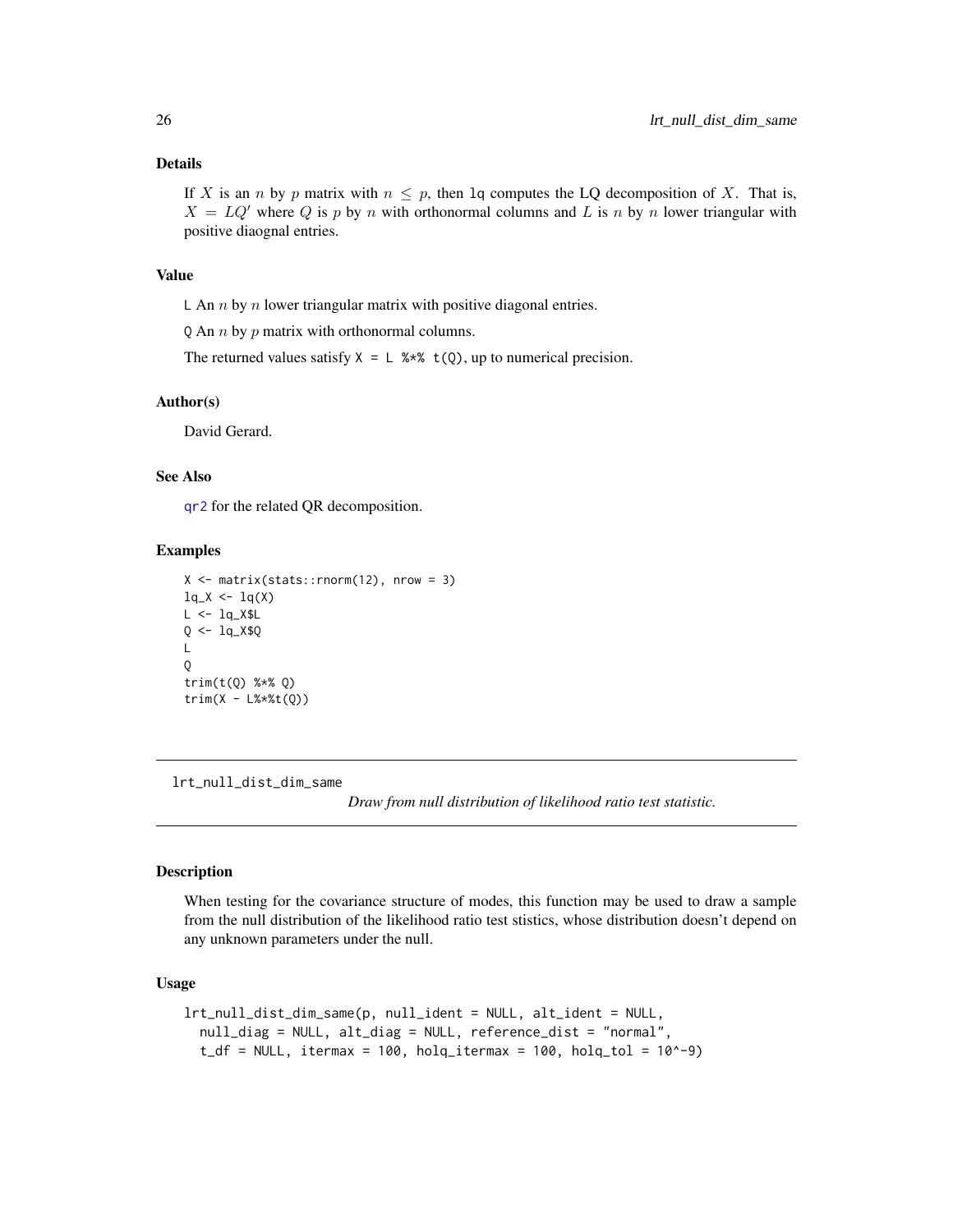#### Details

If X is an n by p matrix with  $n \leq p$ , then 1q computes the LQ decomposition of X. That is,  $X = LQ'$  where Q is p by n with orthonormal columns and L is n by n lower triangular with positive diaognal entries.

# Value

L An  $n$  by  $n$  lower triangular matrix with positive diagonal entries.

Q An  $n$  by  $p$  matrix with orthonormal columns.

The returned values satisfy  $X = L$  %\*%  $t(Q)$ , up to numerical precision.

#### Author(s)

David Gerard.

#### See Also

[qr2](#page-35-1) for the related QR decomposition.

#### Examples

```
X \leftarrow matrix(starts::rnorm(12), nrow = 3)lq_X < -lq(X)L < -1qX$LQ <- 1q X$Q\mathbf{L}Q
trim(t(Q) %*% Q)
trim(X - L% * * * (Q))
```
<span id="page-25-1"></span>lrt\_null\_dist\_dim\_same

*Draw from null distribution of likelihood ratio test statistic.*

# Description

When testing for the covariance structure of modes, this function may be used to draw a sample from the null distribution of the likelihood ratio test stistics, whose distribution doesn't depend on any unknown parameters under the null.

# Usage

```
lrt_null_dist_dim_same(p, null_ident = NULL, alt_ident = NULL,
  null_diag = NULL, alt_diag = NULL, reference_dist = "normal",
  t_df = NULL, itermax = 100, holq_itermax = 100, holq_tol = 10^-9)
```
<span id="page-25-0"></span>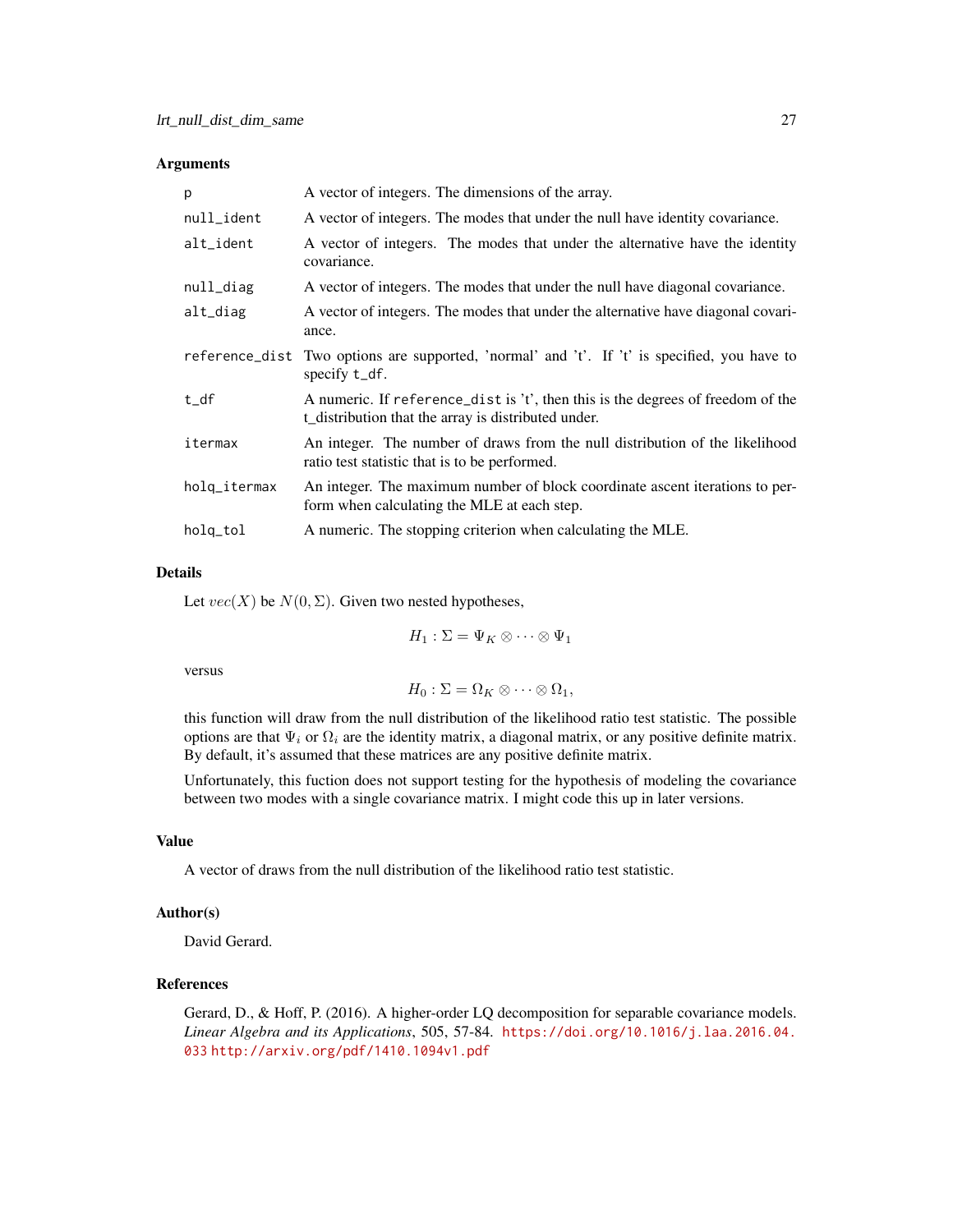#### Arguments

| p            | A vector of integers. The dimensions of the array.                                                                                     |
|--------------|----------------------------------------------------------------------------------------------------------------------------------------|
| null_ident   | A vector of integers. The modes that under the null have identity covariance.                                                          |
| alt_ident    | A vector of integers. The modes that under the alternative have the identity<br>covariance.                                            |
| null_diag    | A vector of integers. The modes that under the null have diagonal covariance.                                                          |
| alt_diag     | A vector of integers. The modes that under the alternative have diagonal covari-<br>ance.                                              |
|              | reference_dist Two options are supported, 'normal' and 't'. If 't' is specified, you have to<br>specify t_df.                          |
| t_df         | A numeric. If reference_dist is 't', then this is the degrees of freedom of the<br>t_distribution that the array is distributed under. |
| itermax      | An integer. The number of draws from the null distribution of the likelihood<br>ratio test statistic that is to be performed.          |
| holq_itermax | An integer. The maximum number of block coordinate ascent iterations to per-<br>form when calculating the MLE at each step.            |
| holq_tol     | A numeric. The stopping criterion when calculating the MLE.                                                                            |

# Details

Let  $vec(X)$  be  $N(0, \Sigma)$ . Given two nested hypotheses,

 $H_1 : \Sigma = \Psi_K \otimes \cdots \otimes \Psi_1$ 

versus

 $H_0: \Sigma = \Omega_K \otimes \cdots \otimes \Omega_1,$ 

this function will draw from the null distribution of the likelihood ratio test statistic. The possible options are that  $\Psi_i$  or  $\Omega_i$  are the identity matrix, a diagonal matrix, or any positive definite matrix. By default, it's assumed that these matrices are any positive definite matrix.

Unfortunately, this fuction does not support testing for the hypothesis of modeling the covariance between two modes with a single covariance matrix. I might code this up in later versions.

#### Value

A vector of draws from the null distribution of the likelihood ratio test statistic.

# Author(s)

David Gerard.

# References

Gerard, D., & Hoff, P. (2016). A higher-order LQ decomposition for separable covariance models. *Linear Algebra and its Applications*, 505, 57-84. [https://doi.org/10.1016/j.laa.2016.04.](https://doi.org/10.1016/j.laa.2016.04.033) [033](https://doi.org/10.1016/j.laa.2016.04.033) <http://arxiv.org/pdf/1410.1094v1.pdf>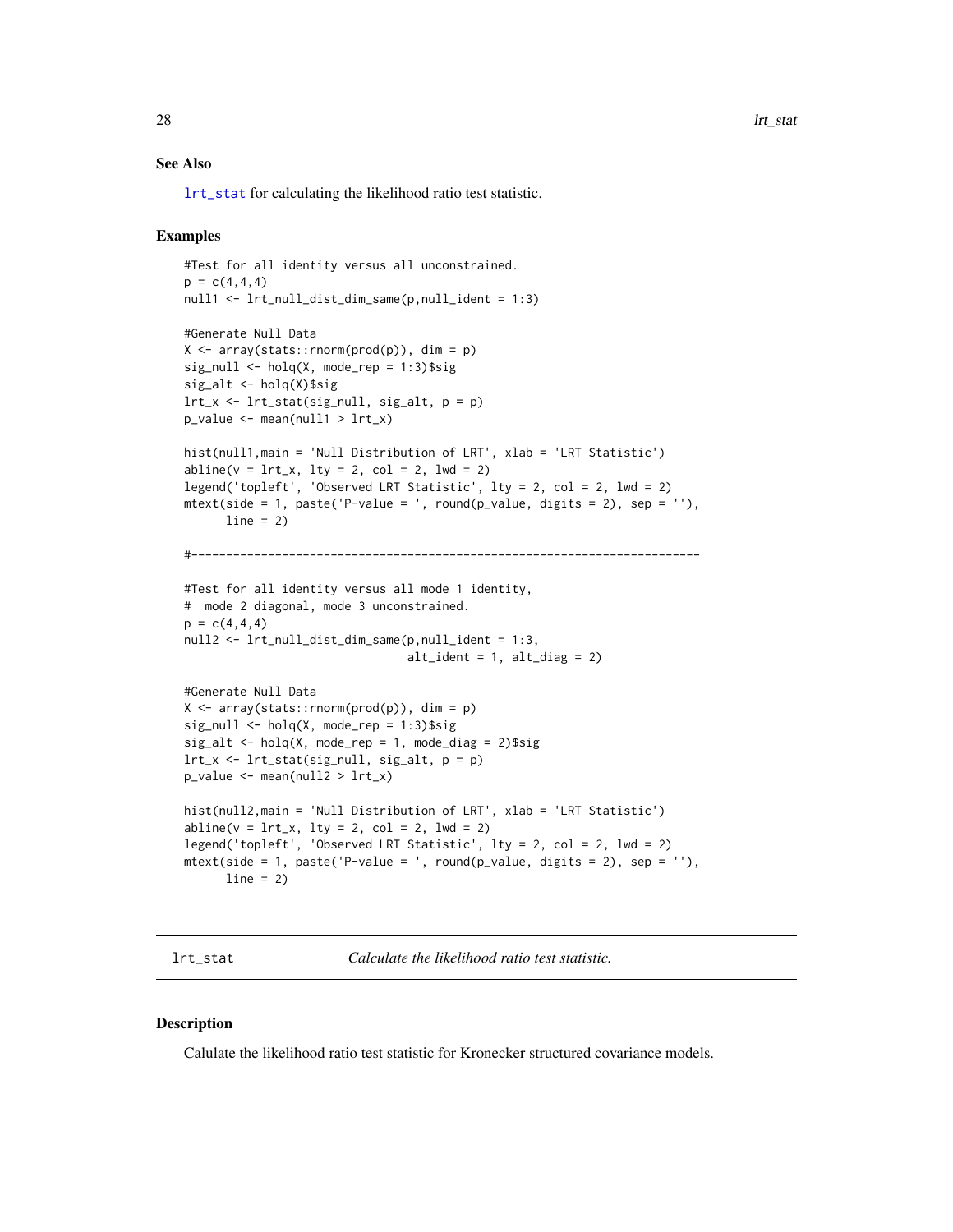<span id="page-27-0"></span>28 let us a set of the set of the set of the set of the set of the set of the set of the set of the set of the set of the set of the set of the set of the set of the set of the set of the set of the set of the set of the s

#### See Also

[lrt\\_stat](#page-27-1) for calculating the likelihood ratio test statistic.

#### Examples

```
#Test for all identity versus all unconstrained.
p = c(4, 4, 4)null1 <- lrt_null_dist_dim_same(p,null_ident = 1:3)
#Generate Null Data
X \leq -\arctan(\text{stats}:rnorm(\text{prod}(p)), dim = p)
sig\_null \leftarrow holq(X, mode\_rep = 1:3)$sig
sig_alt <- holq(X)$sig
lrt_x \leftarrow lrt_stat(signull, sig_alt, p = p)p_value <- mean(null1 > lrt_x)
hist(null1,main = 'Null Distribution of LRT', xlab = 'LRT Statistic')
abline(v = lrt_x, lty = 2, col = 2, lwd = 2)legend('topleft', 'Observed LRT Statistic', lty = 2, col = 2, lwd = 2)
mtext{text(side = 1, paste('P-value = ', round(p_value, digits = 2), sep = ''),line = 2)#-------------------------------------------------------------------------
#Test for all identity versus all mode 1 identity,
# mode 2 diagonal, mode 3 unconstrained.
p = c(4, 4, 4)null2 <- lrt_null_dist_dim_same(p,null_ident = 1:3,
                                  alt\_ident = 1, alt\_diag = 2)
#Generate Null Data
X \leq -\arctan(\text{stats}:rnorm(prod(p)), \text{dim} = p)sig\_null \leftarrow holq(X, mode\_rep = 1:3)$sig
sig\_alt \leq holq(X, mode\_rep = 1, mode\_diag = 2)$sig
lrt_x \leftarrow lrt\_stat(sig\_null, sig\_alt, p = p)p_value < - mean-null2 > lrt_x)hist(null2,main = 'Null Distribution of LRT', xlab = 'LRT Statistic')
abline(v = lrt_x, lty = 2, col = 2, lwd = 2)legend('topleft', 'Observed LRT Statistic', lty = 2, col = 2, lwd = 2)
mtext{text(side = 1, paste('P-value = ', round(p_value, digits = 2), sep = ''),line = 2)
```
<span id="page-27-1"></span>lrt\_stat *Calculate the likelihood ratio test statistic.*

#### Description

Calulate the likelihood ratio test statistic for Kronecker structured covariance models.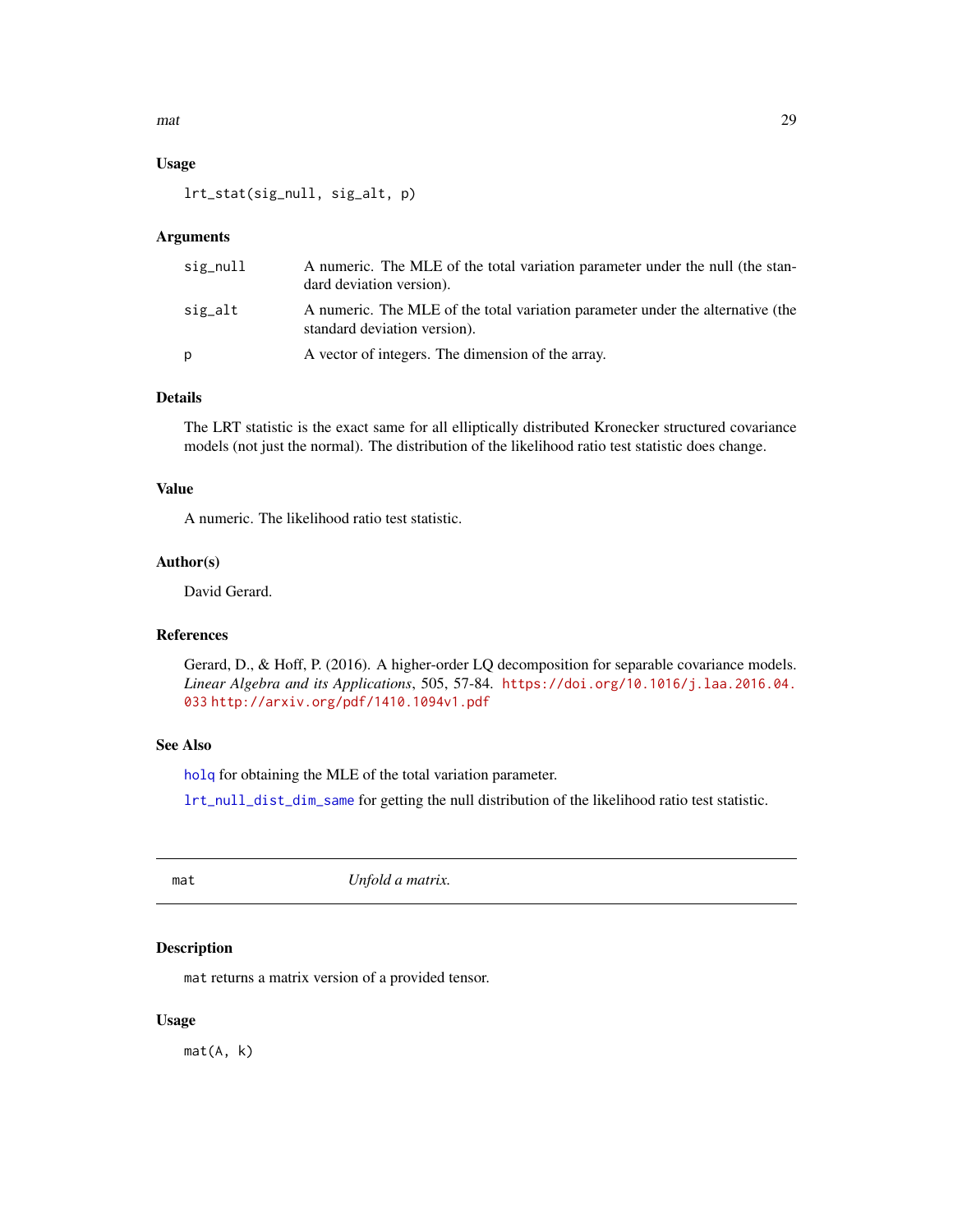<span id="page-28-0"></span> $\frac{m}{2}$  and  $\frac{29}{2}$ 

# Usage

lrt\_stat(sig\_null, sig\_alt, p)

# Arguments

| sig_null | A numeric. The MLE of the total variation parameter under the null (the stan-<br>dard deviation version).      |
|----------|----------------------------------------------------------------------------------------------------------------|
| sig_alt  | A numeric. The MLE of the total variation parameter under the alternative (the<br>standard deviation version). |
| D        | A vector of integers. The dimension of the array.                                                              |

# Details

The LRT statistic is the exact same for all elliptically distributed Kronecker structured covariance models (not just the normal). The distribution of the likelihood ratio test statistic does change.

#### Value

A numeric. The likelihood ratio test statistic.

#### Author(s)

David Gerard.

### References

Gerard, D., & Hoff, P. (2016). A higher-order LQ decomposition for separable covariance models. *Linear Algebra and its Applications*, 505, 57-84. [https://doi.org/10.1016/j.laa.2016.04.](https://doi.org/10.1016/j.laa.2016.04.033) [033](https://doi.org/10.1016/j.laa.2016.04.033) <http://arxiv.org/pdf/1410.1094v1.pdf>

# See Also

[holq](#page-15-1) for obtaining the MLE of the total variation parameter.

[lrt\\_null\\_dist\\_dim\\_same](#page-25-1) for getting the null distribution of the likelihood ratio test statistic.

<span id="page-28-1"></span>mat *Unfold a matrix.*

# Description

mat returns a matrix version of a provided tensor.

#### Usage

mat(A, k)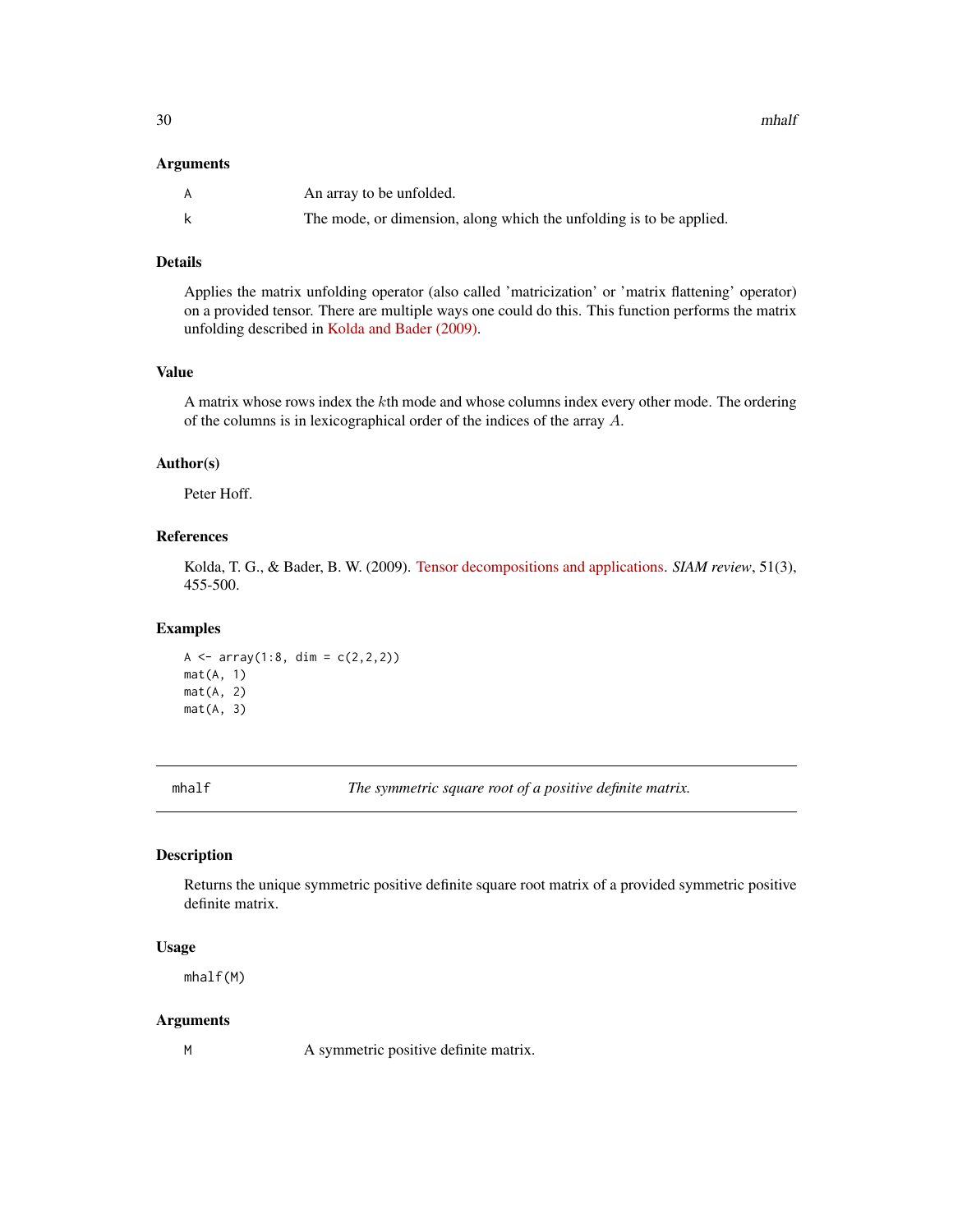<span id="page-29-0"></span>30 mhalf

#### Arguments

| A | An array to be unfolded.                                            |
|---|---------------------------------------------------------------------|
|   | The mode, or dimension, along which the unfolding is to be applied. |

#### Details

Applies the matrix unfolding operator (also called 'matricization' or 'matrix flattening' operator) on a provided tensor. There are multiple ways one could do this. This function performs the matrix unfolding described in [Kolda and Bader \(2009\).](https://doi.org/10.1137/07070111X)

# Value

A matrix whose rows index the kth mode and whose columns index every other mode. The ordering of the columns is in lexicographical order of the indices of the array A.

#### Author(s)

Peter Hoff.

# References

Kolda, T. G., & Bader, B. W. (2009). [Tensor decompositions and applications.](https://doi.org/10.1137/07070111X) *SIAM review*, 51(3), 455-500.

#### Examples

A  $\leq$  array(1:8, dim =  $c(2,2,2)$ ) mat(A, 1) mat(A, 2) mat(A, 3)

<span id="page-29-1"></span>

mhalf *The symmetric square root of a positive definite matrix.*

# Description

Returns the unique symmetric positive definite square root matrix of a provided symmetric positive definite matrix.

#### Usage

mhalf(M)

#### Arguments

M A symmetric positive definite matrix.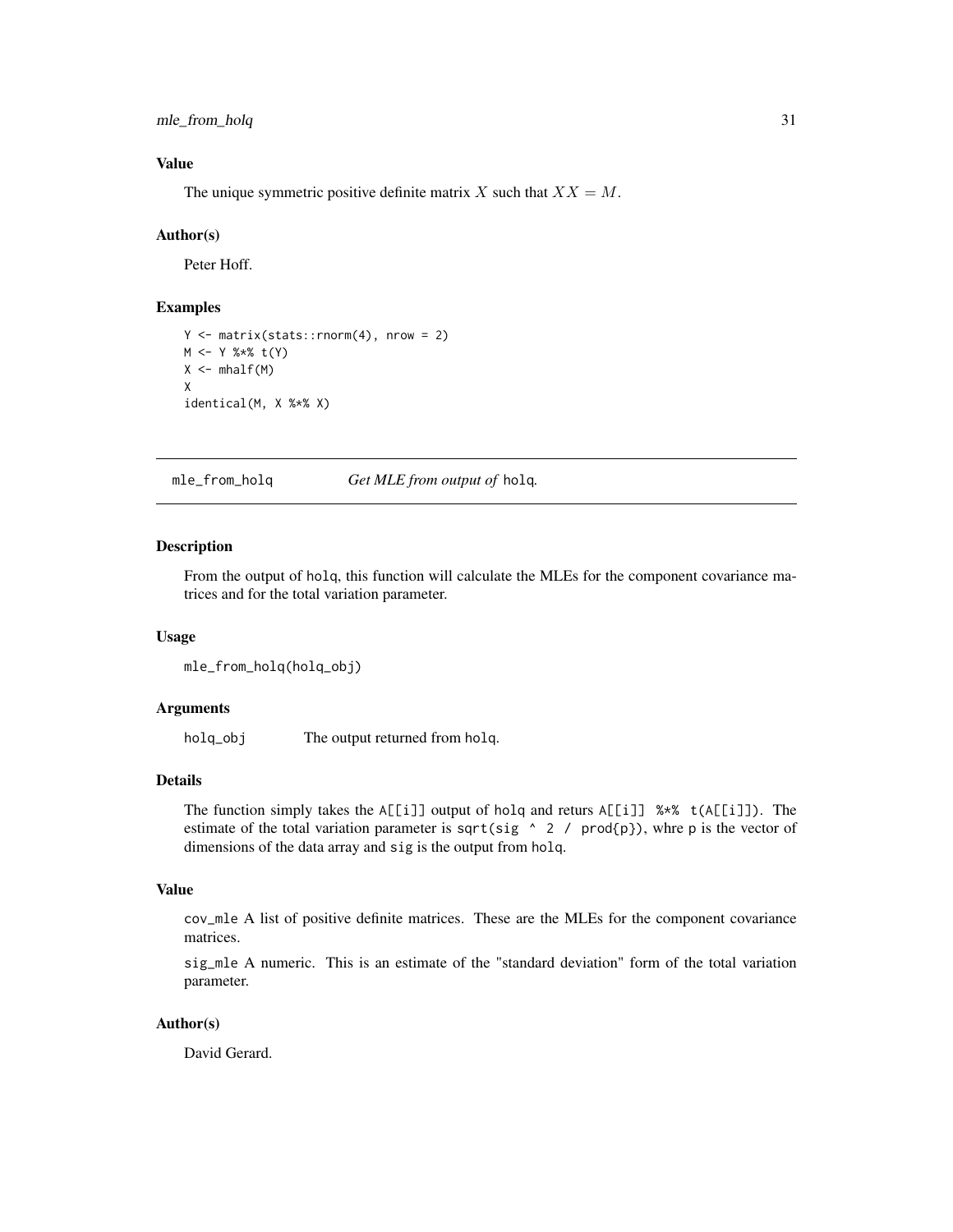<span id="page-30-0"></span>mle\_from\_holq 31

# Value

The unique symmetric positive definite matrix X such that  $XX = M$ .

#### Author(s)

Peter Hoff.

# Examples

```
Y \leq - matrix(stats:: rnorm(4), nrow = 2)
M <- Y %*% t(Y)
X \leftarrow mhalf(M)X
identical(M, X %*% X)
```
<span id="page-30-1"></span>mle\_from\_holq *Get MLE from output of* holq*.*

# Description

From the output of holq, this function will calculate the MLEs for the component covariance matrices and for the total variation parameter.

#### Usage

```
mle_from_holq(holq_obj)
```
# Arguments

holq\_obj The output returned from holq.

#### Details

The function simply takes the A[[i]] output of holq and returs A[[i]] %\*% t(A[[i]]). The estimate of the total variation parameter is sqrt(sig  $\land$  2 / prod{p}), whre p is the vector of dimensions of the data array and sig is the output from holq.

# Value

cov\_mle A list of positive definite matrices. These are the MLEs for the component covariance matrices.

sig\_mle A numeric. This is an estimate of the "standard deviation" form of the total variation parameter.

# Author(s)

David Gerard.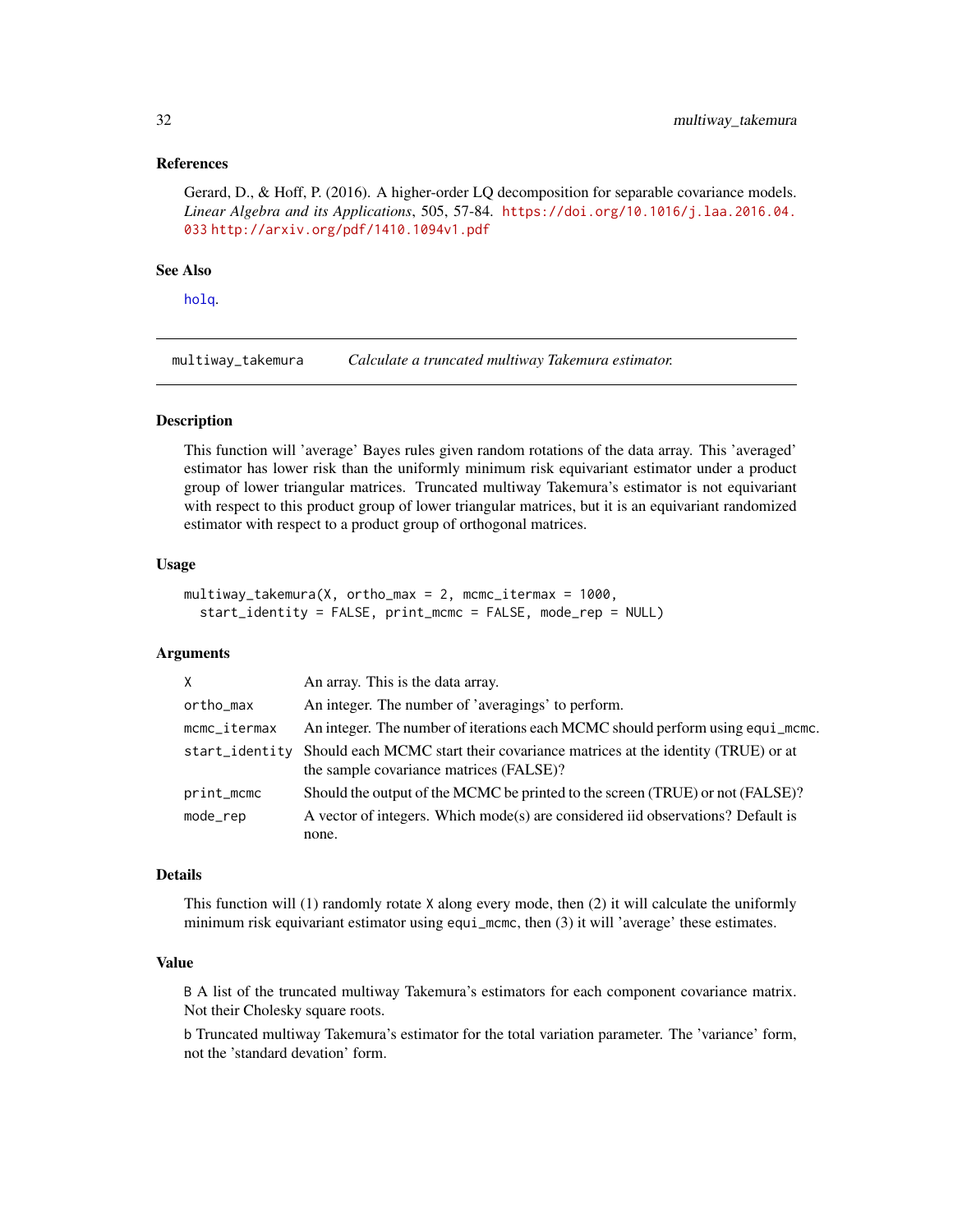#### <span id="page-31-0"></span>References

Gerard, D., & Hoff, P. (2016). A higher-order LQ decomposition for separable covariance models. *Linear Algebra and its Applications*, 505, 57-84. [https://doi.org/10.1016/j.laa.2016.04.](https://doi.org/10.1016/j.laa.2016.04.033) [033](https://doi.org/10.1016/j.laa.2016.04.033) <http://arxiv.org/pdf/1410.1094v1.pdf>

#### See Also

[holq](#page-15-1).

<span id="page-31-1"></span>multiway\_takemura *Calculate a truncated multiway Takemura estimator.*

#### **Description**

This function will 'average' Bayes rules given random rotations of the data array. This 'averaged' estimator has lower risk than the uniformly minimum risk equivariant estimator under a product group of lower triangular matrices. Truncated multiway Takemura's estimator is not equivariant with respect to this product group of lower triangular matrices, but it is an equivariant randomized estimator with respect to a product group of orthogonal matrices.

#### Usage

```
multiway_takemura(X, ortho_max = 2, mcmc_itermax = 1000,
  start_identity = FALSE, print_mcmc = FALSE, mode_rep = NULL)
```
### Arguments

| X              | An array. This is the data array.                                                                                        |
|----------------|--------------------------------------------------------------------------------------------------------------------------|
| ortho_max      | An integer. The number of 'averagings' to perform.                                                                       |
| mcmc_itermax   | An integer. The number of iterations each MCMC should perform using equi_mcmc.                                           |
| start_identity | Should each MCMC start their covariance matrices at the identity (TRUE) or at<br>the sample covariance matrices (FALSE)? |
| print_mcmc     | Should the output of the MCMC be printed to the screen (TRUE) or not (FALSE)?                                            |
| $mode_{rep}$   | A vector of integers. Which mode(s) are considered iid observations? Default is                                          |
|                | none.                                                                                                                    |

#### Details

This function will (1) randomly rotate X along every mode, then (2) it will calculate the uniformly minimum risk equivariant estimator using equi\_mcmc, then (3) it will 'average' these estimates.

# Value

B A list of the truncated multiway Takemura's estimators for each component covariance matrix. Not their Cholesky square roots.

b Truncated multiway Takemura's estimator for the total variation parameter. The 'variance' form, not the 'standard devation' form.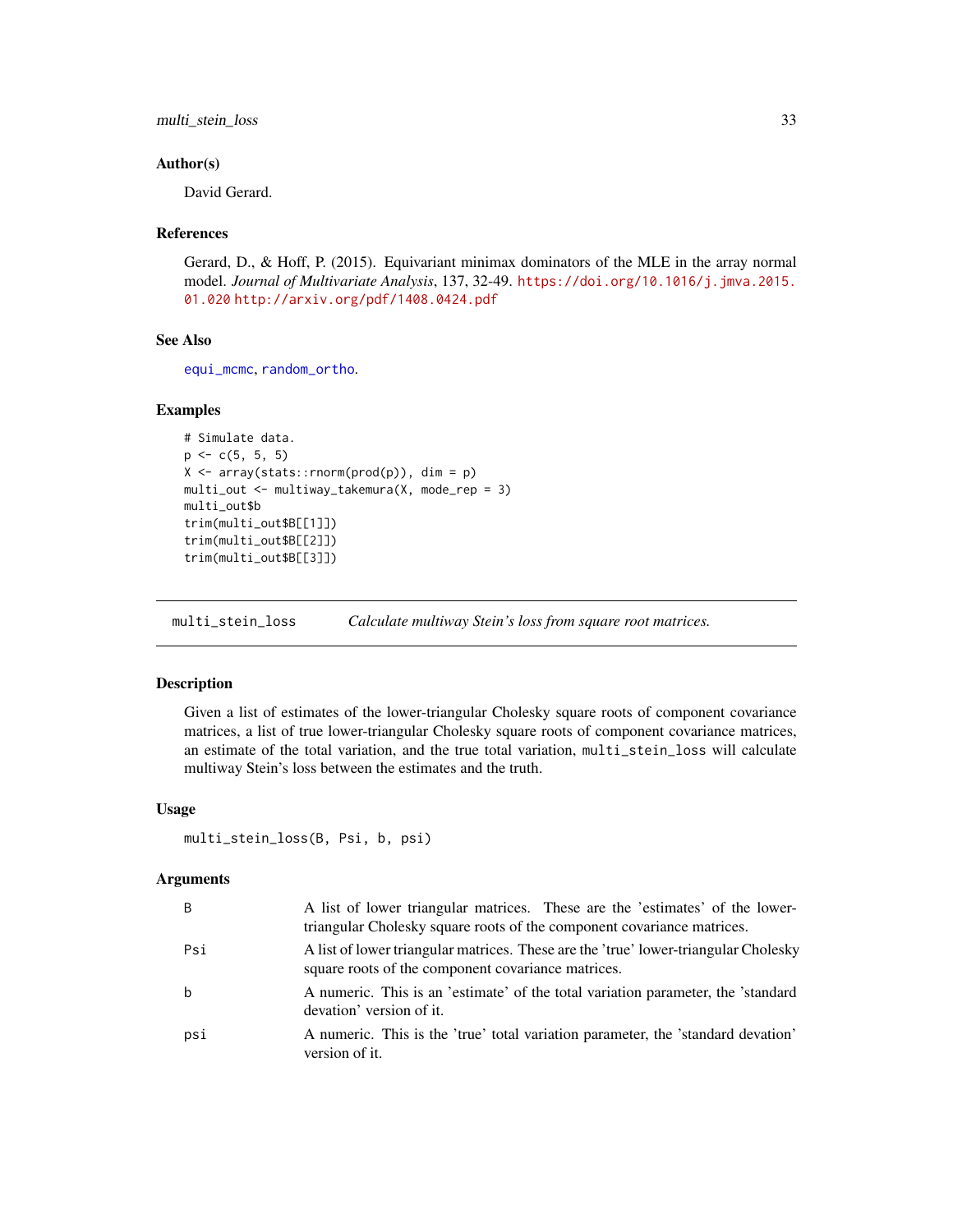<span id="page-32-0"></span>multi\_stein\_loss 33

#### Author(s)

David Gerard.

#### References

Gerard, D., & Hoff, P. (2015). Equivariant minimax dominators of the MLE in the array normal model. *Journal of Multivariate Analysis*, 137, 32-49. [https://doi.org/10.1016/j.jmva.2015.](https://doi.org/10.1016/j.jmva.2015.01.020) [01.020](https://doi.org/10.1016/j.jmva.2015.01.020) <http://arxiv.org/pdf/1408.0424.pdf>

#### See Also

[equi\\_mcmc](#page-10-1), [random\\_ortho](#page-36-1).

#### Examples

```
# Simulate data.
p \leftarrow c(5, 5, 5)X \leftarrow array(stats::rnorm(pred(p)), dim = p)
multi_out <- multiway_takemura(X, mode_rep = 3)
multi_out$b
trim(multi_out$B[[1]])
trim(multi_out$B[[2]])
trim(multi_out$B[[3]])
```
<span id="page-32-1"></span>multi\_stein\_loss *Calculate multiway Stein's loss from square root matrices.*

# Description

Given a list of estimates of the lower-triangular Cholesky square roots of component covariance matrices, a list of true lower-triangular Cholesky square roots of component covariance matrices, an estimate of the total variation, and the true total variation, multi\_stein\_loss will calculate multiway Stein's loss between the estimates and the truth.

#### Usage

```
multi_stein_loss(B, Psi, b, psi)
```
#### Arguments

| B   | A list of lower triangular matrices. These are the 'estimates' of the lower-<br>triangular Cholesky square roots of the component covariance matrices. |
|-----|--------------------------------------------------------------------------------------------------------------------------------------------------------|
| Psi | A list of lower triangular matrices. These are the 'true' lower-triangular Cholesky<br>square roots of the component covariance matrices.              |
| b   | A numeric. This is an 'estimate' of the total variation parameter, the 'standard<br>devation' version of it.                                           |
| psi | A numeric. This is the 'true' total variation parameter, the 'standard devation'<br>version of it.                                                     |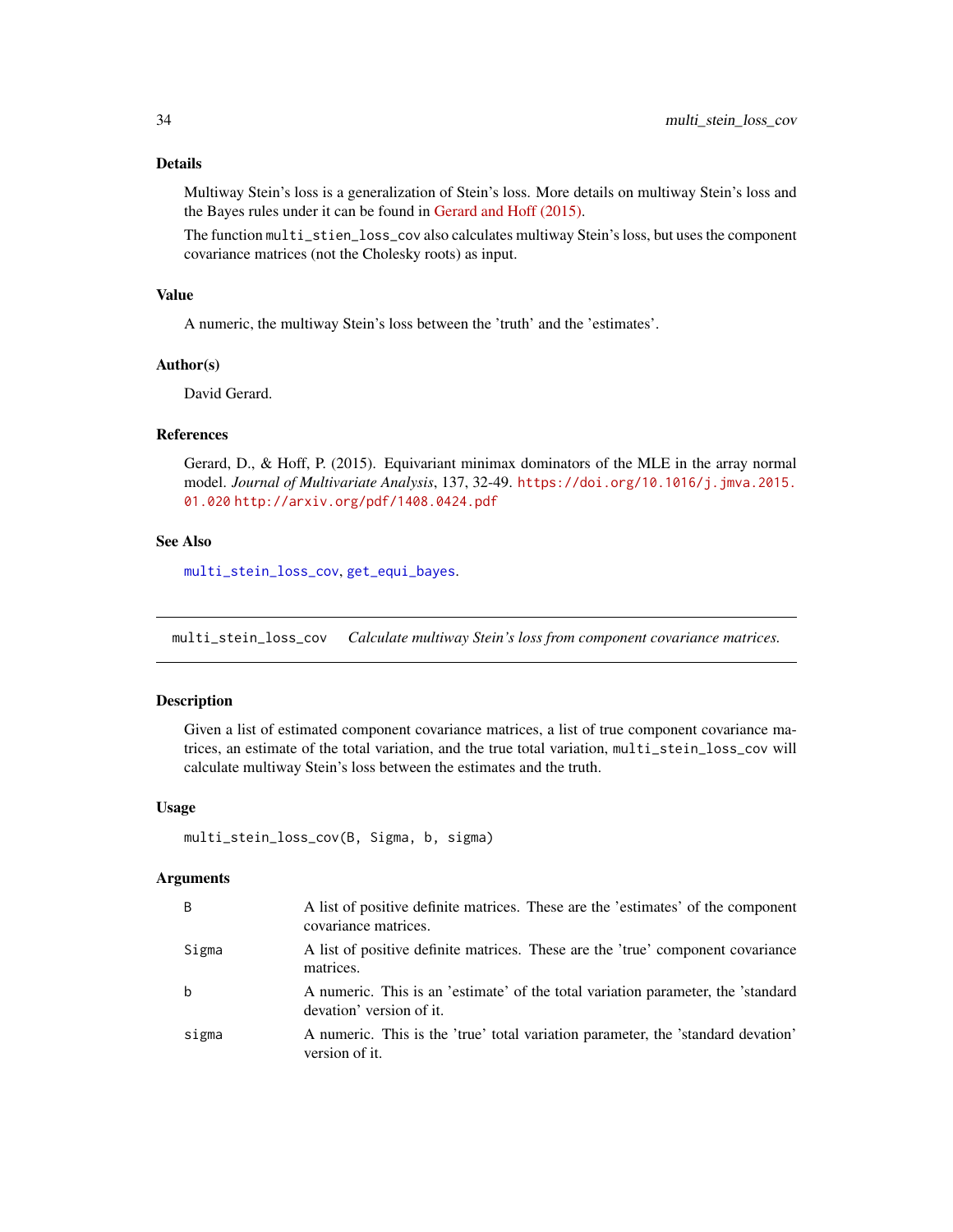# <span id="page-33-0"></span>Details

Multiway Stein's loss is a generalization of Stein's loss. More details on multiway Stein's loss and the Bayes rules under it can be found in [Gerard and Hoff \(2015\).](https://doi.org/10.1016/j.jmva.2015.01.020)

The function multi\_stien\_loss\_cov also calculates multiway Stein's loss, but uses the component covariance matrices (not the Cholesky roots) as input.

#### Value

A numeric, the multiway Stein's loss between the 'truth' and the 'estimates'.

#### Author(s)

David Gerard.

# References

Gerard, D., & Hoff, P. (2015). Equivariant minimax dominators of the MLE in the array normal model. *Journal of Multivariate Analysis*, 137, 32-49. [https://doi.org/10.1016/j.jmva.2015.](https://doi.org/10.1016/j.jmva.2015.01.020) [01.020](https://doi.org/10.1016/j.jmva.2015.01.020) <http://arxiv.org/pdf/1408.0424.pdf>

#### See Also

[multi\\_stein\\_loss\\_cov](#page-33-1), [get\\_equi\\_bayes](#page-13-1).

<span id="page-33-1"></span>multi\_stein\_loss\_cov *Calculate multiway Stein's loss from component covariance matrices.*

# Description

Given a list of estimated component covariance matrices, a list of true component covariance matrices, an estimate of the total variation, and the true total variation, multi\_stein\_loss\_cov will calculate multiway Stein's loss between the estimates and the truth.

#### Usage

```
multi_stein_loss_cov(B, Sigma, b, sigma)
```
#### Arguments

| B     | A list of positive definite matrices. These are the 'estimates' of the component<br>covariance matrices.     |
|-------|--------------------------------------------------------------------------------------------------------------|
| Sigma | A list of positive definite matrices. These are the 'true' component covariance<br>matrices.                 |
| b     | A numeric. This is an 'estimate' of the total variation parameter, the 'standard<br>devation' version of it. |
| sigma | A numeric. This is the 'true' total variation parameter, the 'standard devation'<br>version of it.           |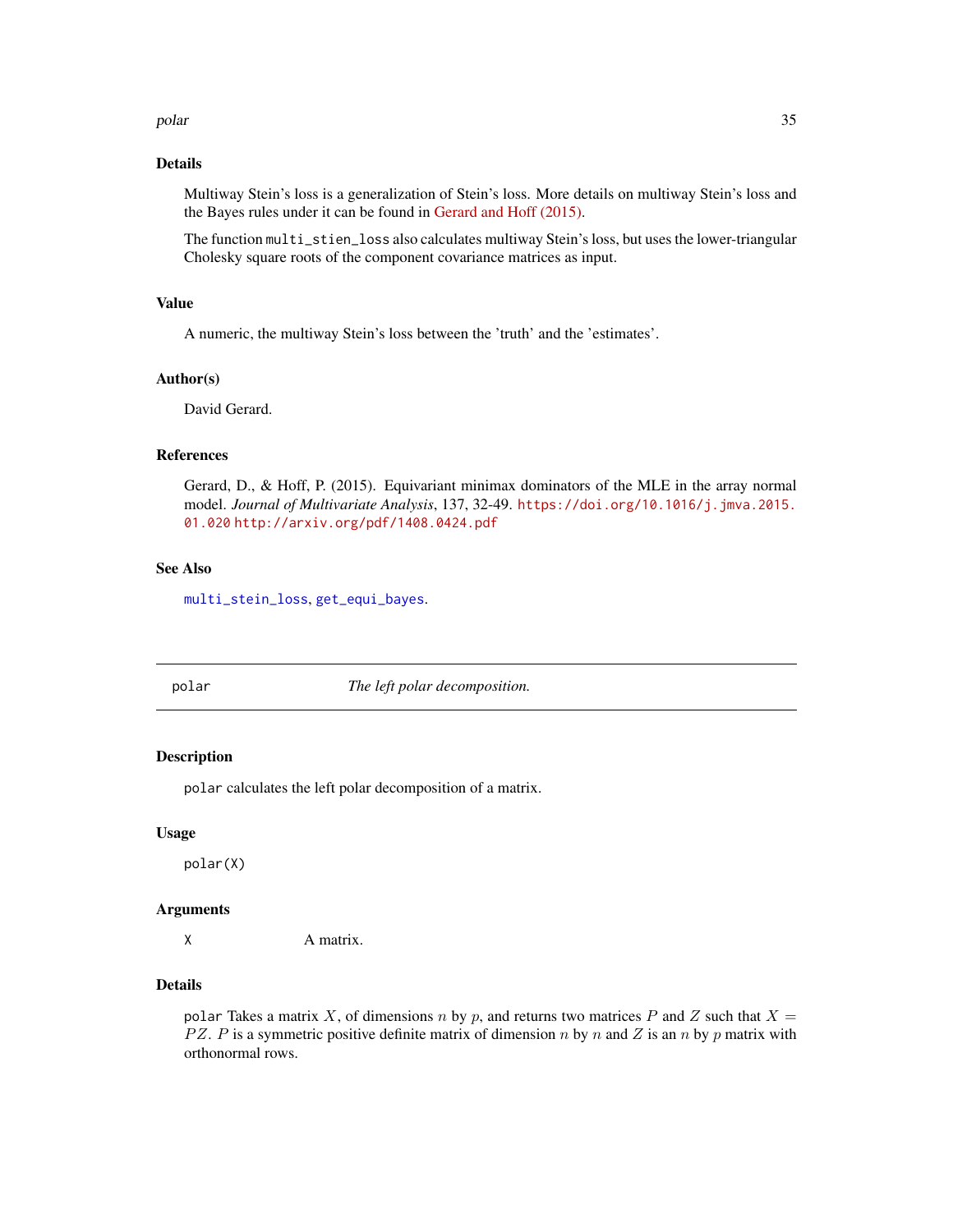#### <span id="page-34-0"></span>polar and 35

#### Details

Multiway Stein's loss is a generalization of Stein's loss. More details on multiway Stein's loss and the Bayes rules under it can be found in [Gerard and Hoff \(2015\).](https://doi.org/10.1016/j.jmva.2015.01.020)

The function multi\_stien\_loss also calculates multiway Stein's loss, but uses the lower-triangular Cholesky square roots of the component covariance matrices as input.

#### Value

A numeric, the multiway Stein's loss between the 'truth' and the 'estimates'.

# Author(s)

David Gerard.

#### References

Gerard, D., & Hoff, P. (2015). Equivariant minimax dominators of the MLE in the array normal model. *Journal of Multivariate Analysis*, 137, 32-49. [https://doi.org/10.1016/j.jmva.2015.](https://doi.org/10.1016/j.jmva.2015.01.020) [01.020](https://doi.org/10.1016/j.jmva.2015.01.020) <http://arxiv.org/pdf/1408.0424.pdf>

# See Also

[multi\\_stein\\_loss](#page-32-1), [get\\_equi\\_bayes](#page-13-1).

<span id="page-34-1"></span>

polar *The left polar decomposition.*

#### Description

polar calculates the left polar decomposition of a matrix.

#### Usage

polar(X)

#### Arguments

X A matrix.

#### Details

polar Takes a matrix X, of dimensions n by p, and returns two matrices P and Z such that  $X =$ PZ. P is a symmetric positive definite matrix of dimension n by n and Z is an n by p matrix with orthonormal rows.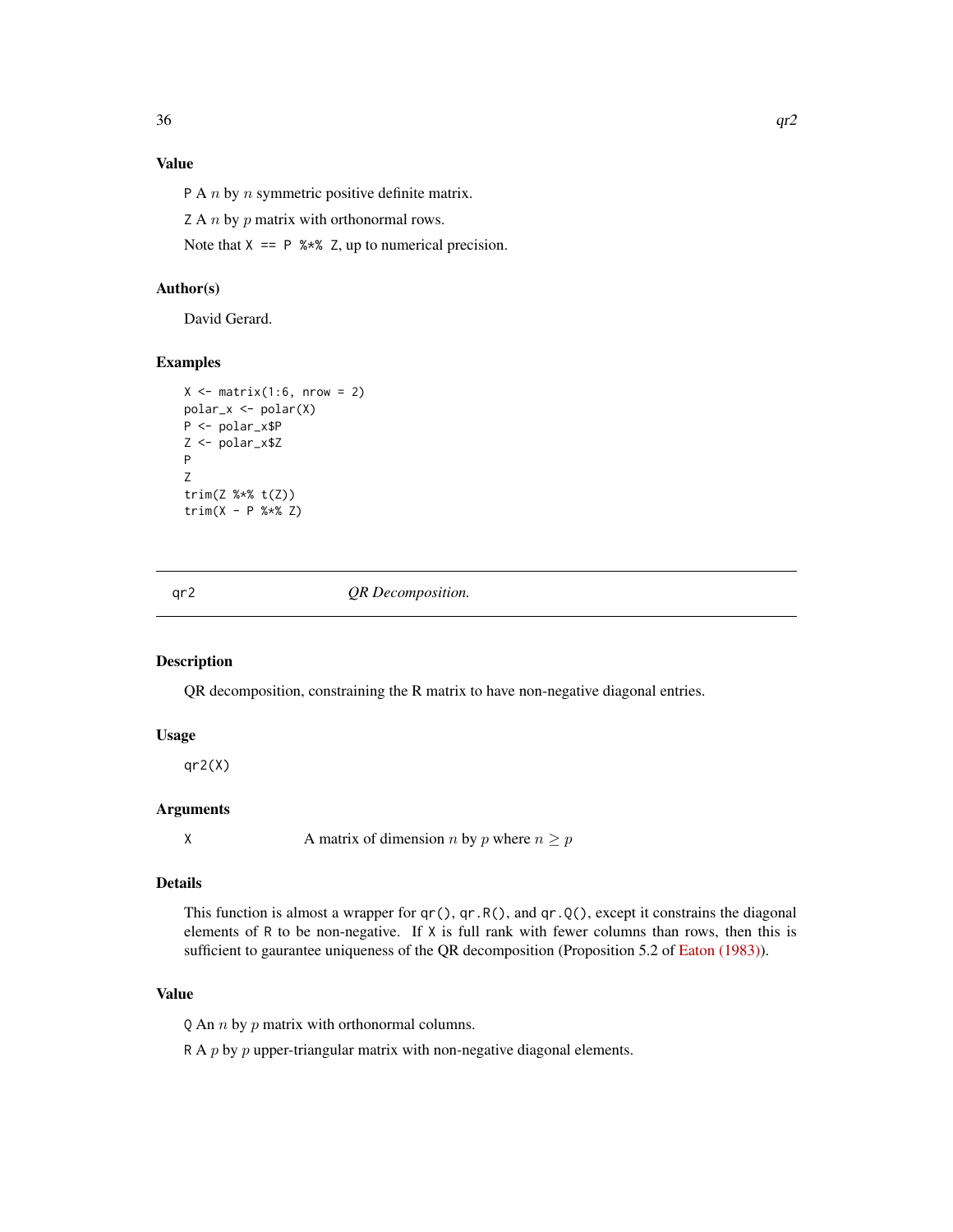# <span id="page-35-0"></span>Value

P A  $n$  by  $n$  symmetric positive definite matrix.

Z A  $n$  by  $p$  matrix with orthonormal rows.

Note that  $X = P$  %\*% Z, up to numerical precision.

# Author(s)

David Gerard.

# Examples

```
X \leftarrow matrix(1:6, nrow = 2)polar_x <- polar(X)
P <- polar_x$P
Z <- polar_x$Z
P
Z
trim(Z %*% t(Z))
trim(X - P % * X Z)
```
<span id="page-35-1"></span>qr2 *QR Decomposition.*

#### Description

QR decomposition, constraining the R matrix to have non-negative diagonal entries.

#### Usage

 $qr2(X)$ 

# Arguments

X A matrix of dimension *n* by *p* where  $n \geq p$ 

# Details

This function is almost a wrapper for  $qr()$ ,  $qr(R)$ , and  $qr(Q)$ , except it constrains the diagonal elements of R to be non-negative. If X is full rank with fewer columns than rows, then this is sufficient to gaurantee uniqueness of the QR decomposition (Proposition 5.2 of [Eaton \(1983\)\)](https://books.google.com/books?id=WyvvAAAAMAAJ).

# Value

Q An  $n$  by  $p$  matrix with orthonormal columns.

R A  $p$  by  $p$  upper-triangular matrix with non-negative diagonal elements.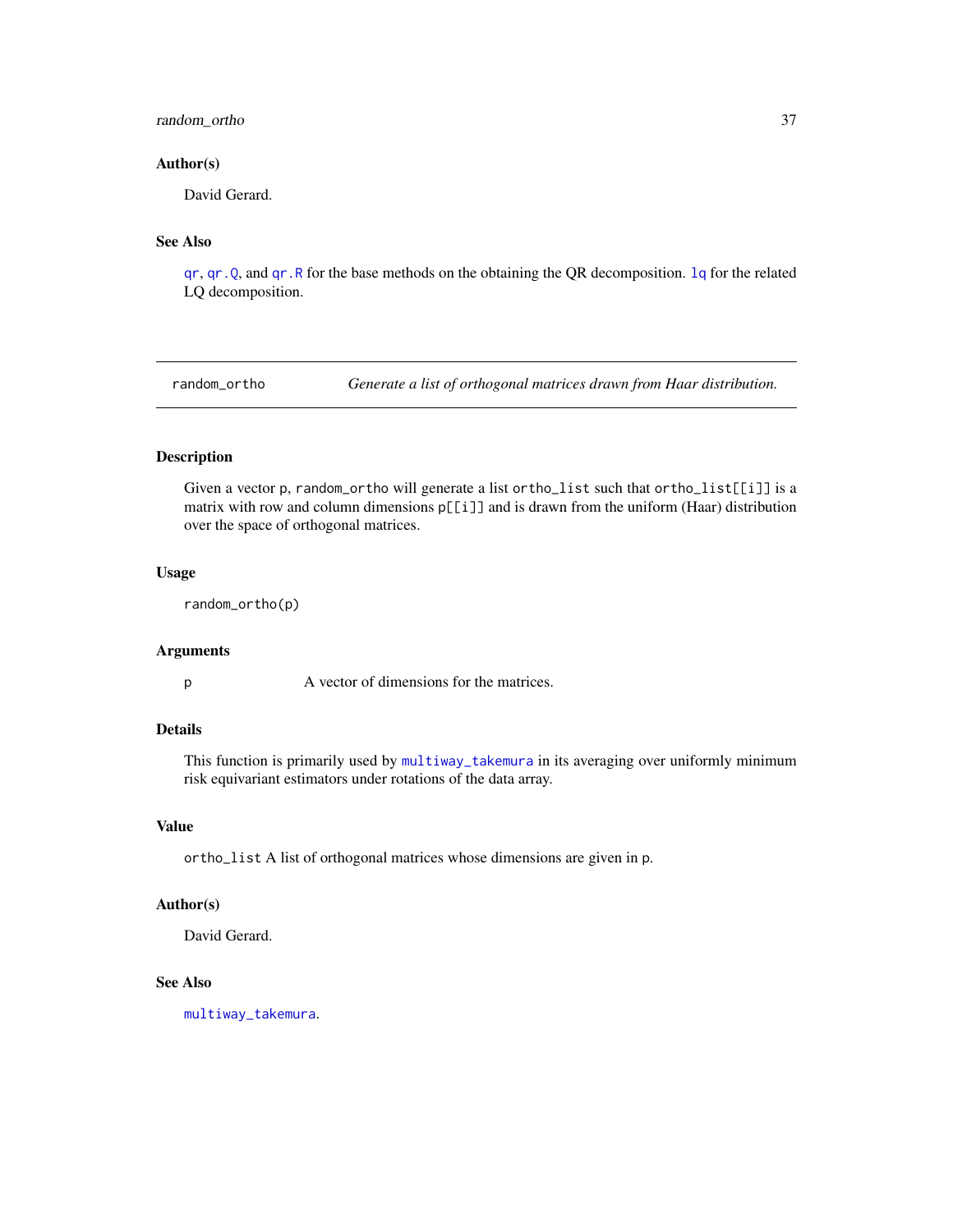# <span id="page-36-0"></span>random\_ortho 37

#### Author(s)

David Gerard.

# See Also

[qr](#page-0-0), [qr.Q](#page-0-0), and [qr.R](#page-0-0) for the base methods on the obtaining the QR decomposition. [lq](#page-24-1) for the related LQ decomposition.

<span id="page-36-1"></span>random\_ortho *Generate a list of orthogonal matrices drawn from Haar distribution.*

# Description

Given a vector p, random\_ortho will generate a list ortho\_list such that ortho\_list[[i]] is a matrix with row and column dimensions p[[i]] and is drawn from the uniform (Haar) distribution over the space of orthogonal matrices.

# Usage

random\_ortho(p)

#### Arguments

p A vector of dimensions for the matrices.

# Details

This function is primarily used by [multiway\\_takemura](#page-31-1) in its averaging over uniformly minimum risk equivariant estimators under rotations of the data array.

#### Value

ortho\_list A list of orthogonal matrices whose dimensions are given in p.

#### Author(s)

David Gerard.

# See Also

[multiway\\_takemura](#page-31-1).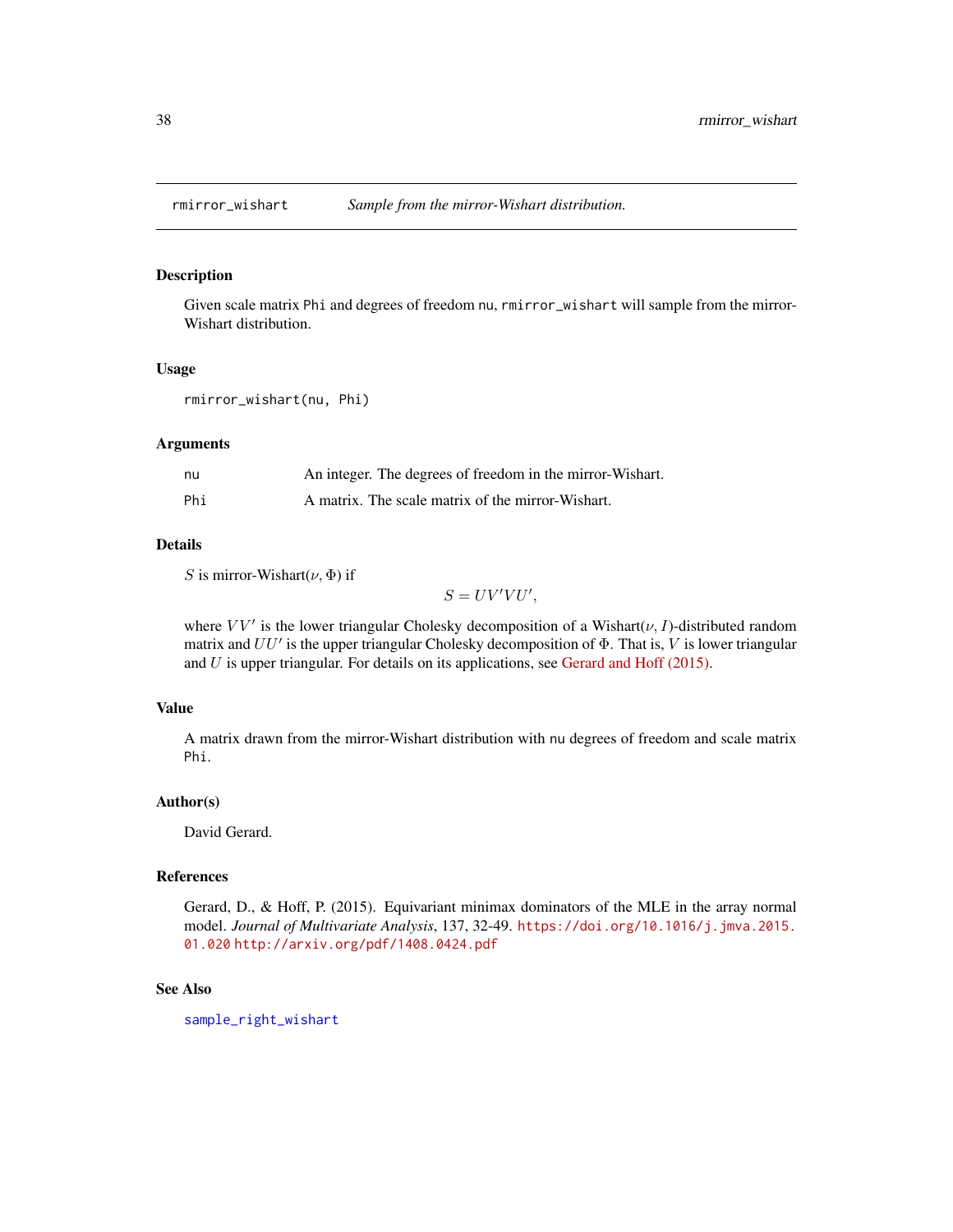<span id="page-37-1"></span><span id="page-37-0"></span>

Given scale matrix Phi and degrees of freedom nu, rmirror\_wishart will sample from the mirror-Wishart distribution.

#### Usage

rmirror\_wishart(nu, Phi)

# Arguments

| nu  | An integer. The degrees of freedom in the mirror-Wishart. |
|-----|-----------------------------------------------------------|
| Phi | A matrix. The scale matrix of the mirror-Wishart.         |

#### Details

S is mirror-Wishart $(\nu, \Phi)$  if

$$
S = UV'VU',
$$

where  $VV'$  is the lower triangular Cholesky decomposition of a Wishart( $\nu$ , I)-distributed random matrix and  $UU'$  is the upper triangular Cholesky decomposition of  $\Phi$ . That is, V is lower triangular and  $U$  is upper triangular. For details on its applications, see [Gerard and Hoff \(2015\).](https://doi.org/10.1016/j.jmva.2015.01.020)

# Value

A matrix drawn from the mirror-Wishart distribution with nu degrees of freedom and scale matrix Phi.

#### Author(s)

David Gerard.

# References

Gerard, D., & Hoff, P. (2015). Equivariant minimax dominators of the MLE in the array normal model. *Journal of Multivariate Analysis*, 137, 32-49. [https://doi.org/10.1016/j.jmva.2015.](https://doi.org/10.1016/j.jmva.2015.01.020) [01.020](https://doi.org/10.1016/j.jmva.2015.01.020) <http://arxiv.org/pdf/1408.0424.pdf>

#### See Also

[sample\\_right\\_wishart](#page-40-1)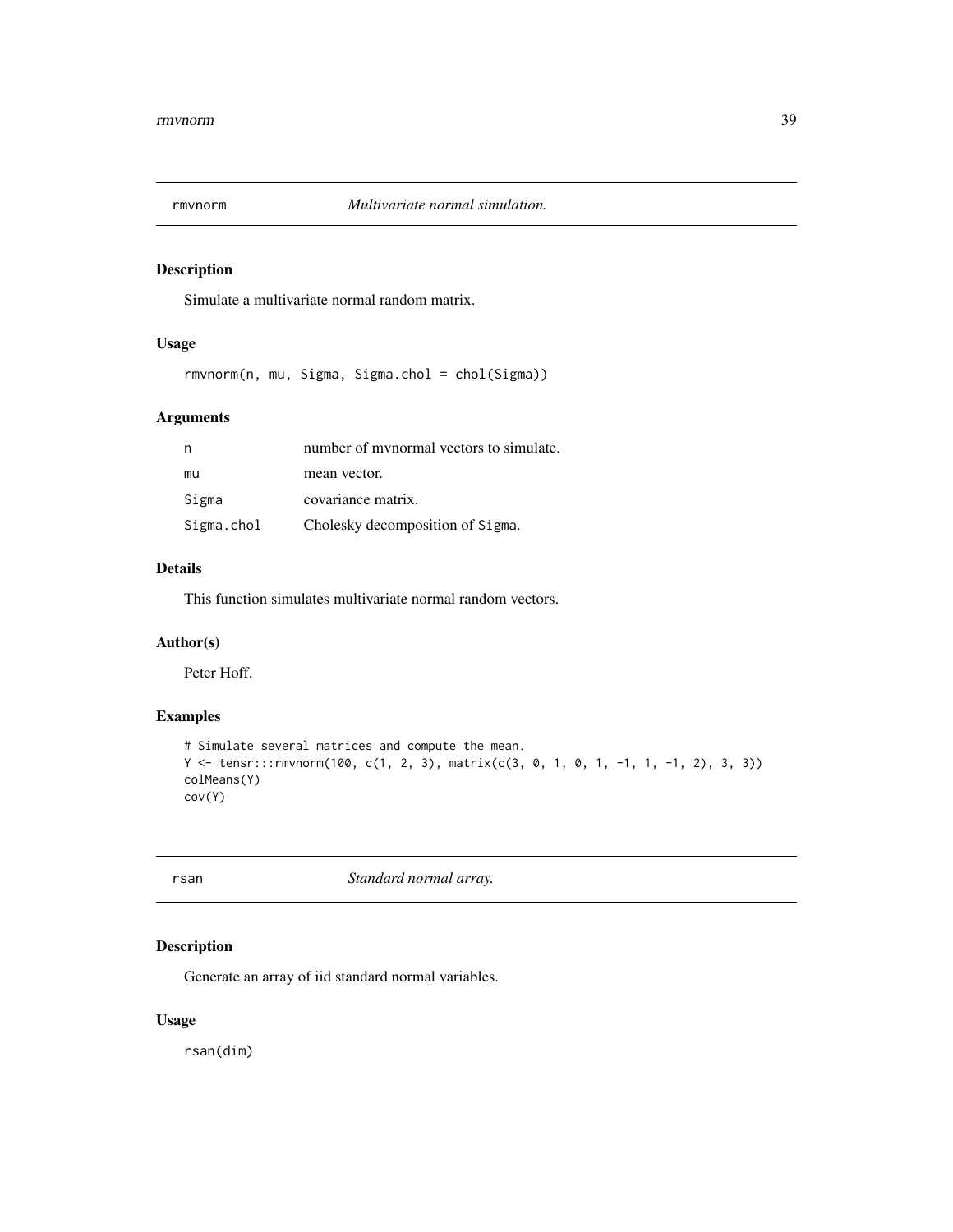<span id="page-38-0"></span>

Simulate a multivariate normal random matrix.

# Usage

rmvnorm(n, mu, Sigma, Sigma.chol = chol(Sigma))

# Arguments

| n          | number of mynormal vectors to simulate. |
|------------|-----------------------------------------|
| mu         | mean vector.                            |
| Sigma      | covariance matrix.                      |
| Sigma.chol | Cholesky decomposition of Sigma.        |

# Details

This function simulates multivariate normal random vectors.

# Author(s)

Peter Hoff.

# Examples

```
# Simulate several matrices and compute the mean.
Y <- tensr:::rmvnorm(100, c(1, 2, 3), matrix(c(3, 0, 1, 0, 1, -1, 1, -1, 2), 3, 3))
colMeans(Y)
cov(Y)
```
**randard** *Standard normal array.* 

# Description

Generate an array of iid standard normal variables.

# Usage

rsan(dim)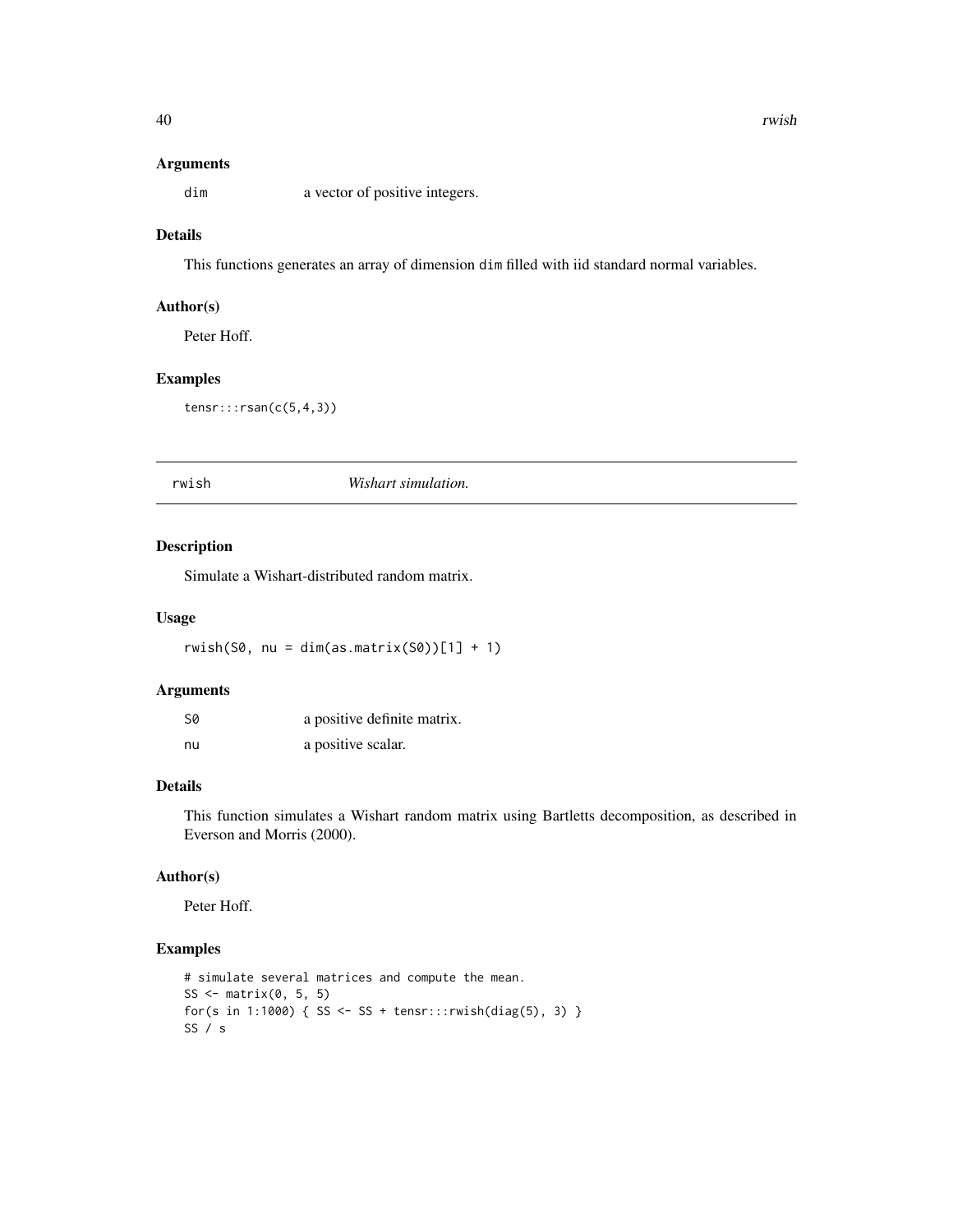<span id="page-39-0"></span>dim a vector of positive integers.

# Details

This functions generates an array of dimension dim filled with iid standard normal variables.

# Author(s)

Peter Hoff.

# Examples

```
tensr:::rsan(c(5,4,3))
```
rwish *Wishart simulation.*

# Description

Simulate a Wishart-distributed random matrix.

# Usage

rwish(S0, nu = dim(as.matrix(S0))[1] + 1)

#### Arguments

| S0 | a positive definite matrix. |
|----|-----------------------------|
| nu | a positive scalar.          |

# Details

This function simulates a Wishart random matrix using Bartletts decomposition, as described in Everson and Morris (2000).

# Author(s)

Peter Hoff.

# Examples

```
# simulate several matrices and compute the mean.
SS \leq matrix(0, 5, 5)
for(s in 1:1000) { SS <- SS + tensr:::rwish(diag(5), 3) }
SS / s
```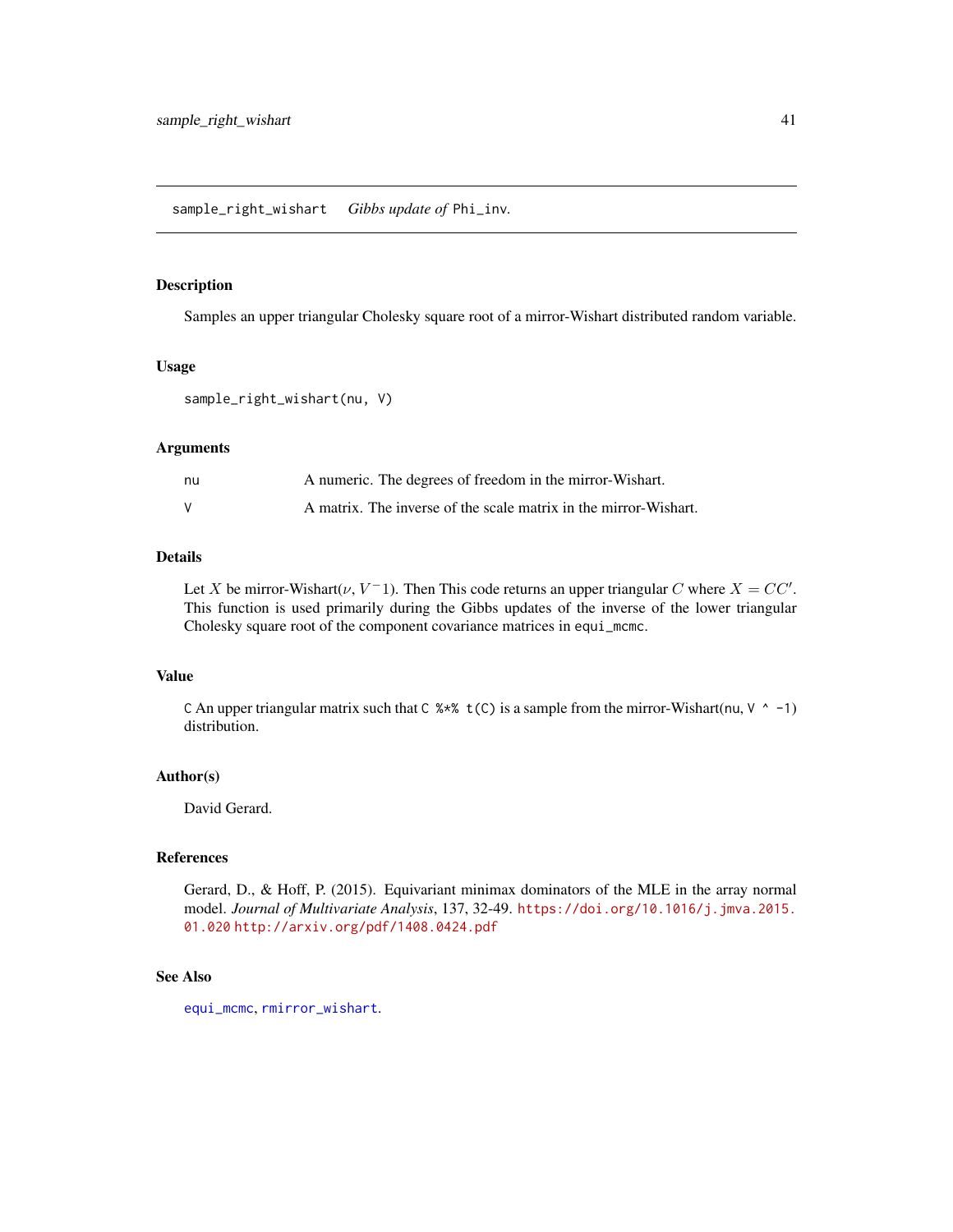<span id="page-40-1"></span><span id="page-40-0"></span>sample\_right\_wishart *Gibbs update of* Phi\_inv*.*

# Description

Samples an upper triangular Cholesky square root of a mirror-Wishart distributed random variable.

#### Usage

```
sample_right_wishart(nu, V)
```
#### Arguments

| nu | A numeric. The degrees of freedom in the mirror-Wishart.         |
|----|------------------------------------------------------------------|
|    | A matrix. The inverse of the scale matrix in the mirror-Wishart. |

# Details

Let X be mirror-Wishart( $\nu$ ,  $V^-$ 1). Then This code returns an upper triangular C where  $X = CC'$ . This function is used primarily during the Gibbs updates of the inverse of the lower triangular Cholesky square root of the component covariance matrices in equi\_mcmc.

# Value

C An upper triangular matrix such that C %\*% t(C) is a sample from the mirror-Wishart(nu,  $V \sim -1$ ) distribution.

#### Author(s)

David Gerard.

#### References

Gerard, D., & Hoff, P. (2015). Equivariant minimax dominators of the MLE in the array normal model. *Journal of Multivariate Analysis*, 137, 32-49. [https://doi.org/10.1016/j.jmva.2015.](https://doi.org/10.1016/j.jmva.2015.01.020) [01.020](https://doi.org/10.1016/j.jmva.2015.01.020) <http://arxiv.org/pdf/1408.0424.pdf>

#### See Also

[equi\\_mcmc](#page-10-1), [rmirror\\_wishart](#page-37-1).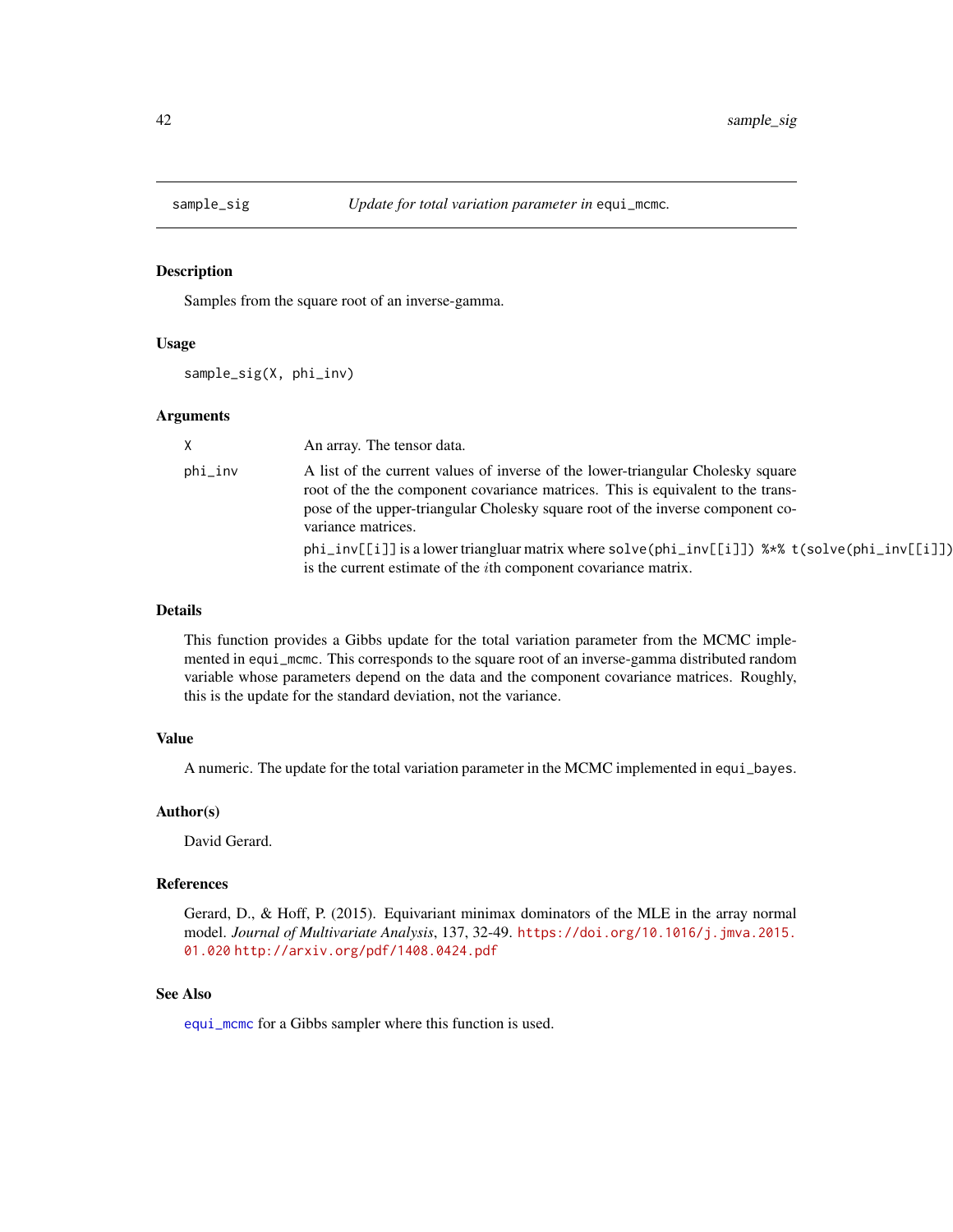<span id="page-41-1"></span><span id="page-41-0"></span>

Samples from the square root of an inverse-gamma.

#### Usage

sample\_sig(X, phi\_inv)

#### Arguments

| X       | An array. The tensor data.                                                                                                                                                                                                                                                 |
|---------|----------------------------------------------------------------------------------------------------------------------------------------------------------------------------------------------------------------------------------------------------------------------------|
| phi_inv | A list of the current values of inverse of the lower-triangular Cholesky square<br>root of the the component covariance matrices. This is equivalent to the trans-<br>pose of the upper-triangular Cholesky square root of the inverse component co-<br>variance matrices. |
|         | $phi_inv[[i]]$ is a lower triangluar matrix where solve( $phi_inv[[i]]$ ) %*% t(solve( $phi_inv[[i]]$ )<br>is the current estimate of the <i>i</i> th component covariance matrix.                                                                                         |

#### Details

This function provides a Gibbs update for the total variation parameter from the MCMC implemented in equi\_mcmc. This corresponds to the square root of an inverse-gamma distributed random variable whose parameters depend on the data and the component covariance matrices. Roughly, this is the update for the standard deviation, not the variance.

#### Value

A numeric. The update for the total variation parameter in the MCMC implemented in equi\_bayes.

#### Author(s)

David Gerard.

#### References

Gerard, D., & Hoff, P. (2015). Equivariant minimax dominators of the MLE in the array normal model. *Journal of Multivariate Analysis*, 137, 32-49. [https://doi.org/10.1016/j.jmva.2015.](https://doi.org/10.1016/j.jmva.2015.01.020) [01.020](https://doi.org/10.1016/j.jmva.2015.01.020) <http://arxiv.org/pdf/1408.0424.pdf>

#### See Also

[equi\\_mcmc](#page-10-1) for a Gibbs sampler where this function is used.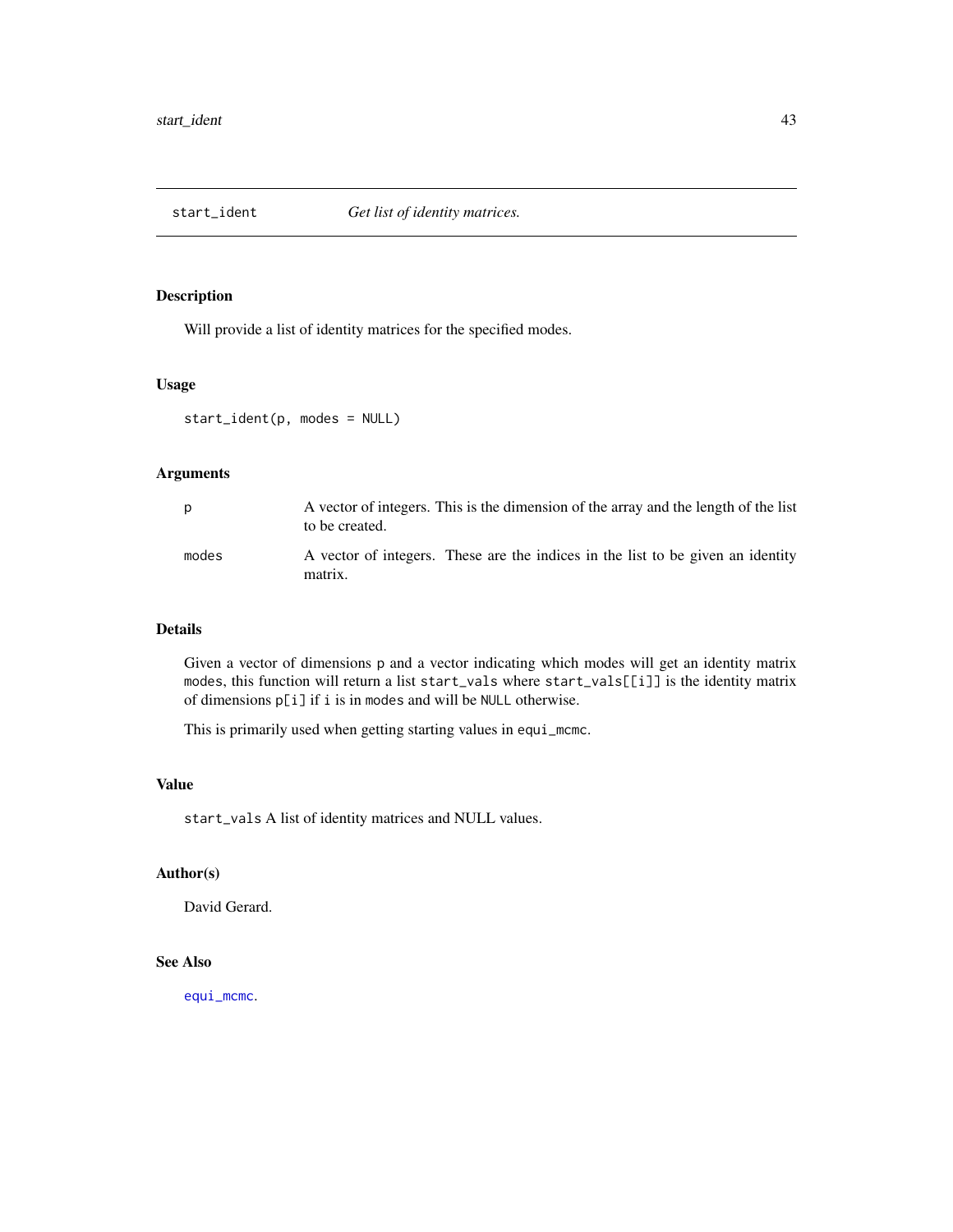<span id="page-42-1"></span><span id="page-42-0"></span>

Will provide a list of identity matrices for the specified modes.

### Usage

```
start_ident(p, modes = NULL)
```
# Arguments

| p     | A vector of integers. This is the dimension of the array and the length of the list<br>to be created. |
|-------|-------------------------------------------------------------------------------------------------------|
| modes | A vector of integers. These are the indices in the list to be given an identity<br>matrix.            |

# Details

Given a vector of dimensions p and a vector indicating which modes will get an identity matrix modes, this function will return a list start\_vals where start\_vals[[i]] is the identity matrix of dimensions p[i] if i is in modes and will be NULL otherwise.

This is primarily used when getting starting values in equi\_mcmc.

#### Value

start\_vals A list of identity matrices and NULL values.

# Author(s)

David Gerard.

# See Also

[equi\\_mcmc](#page-10-1).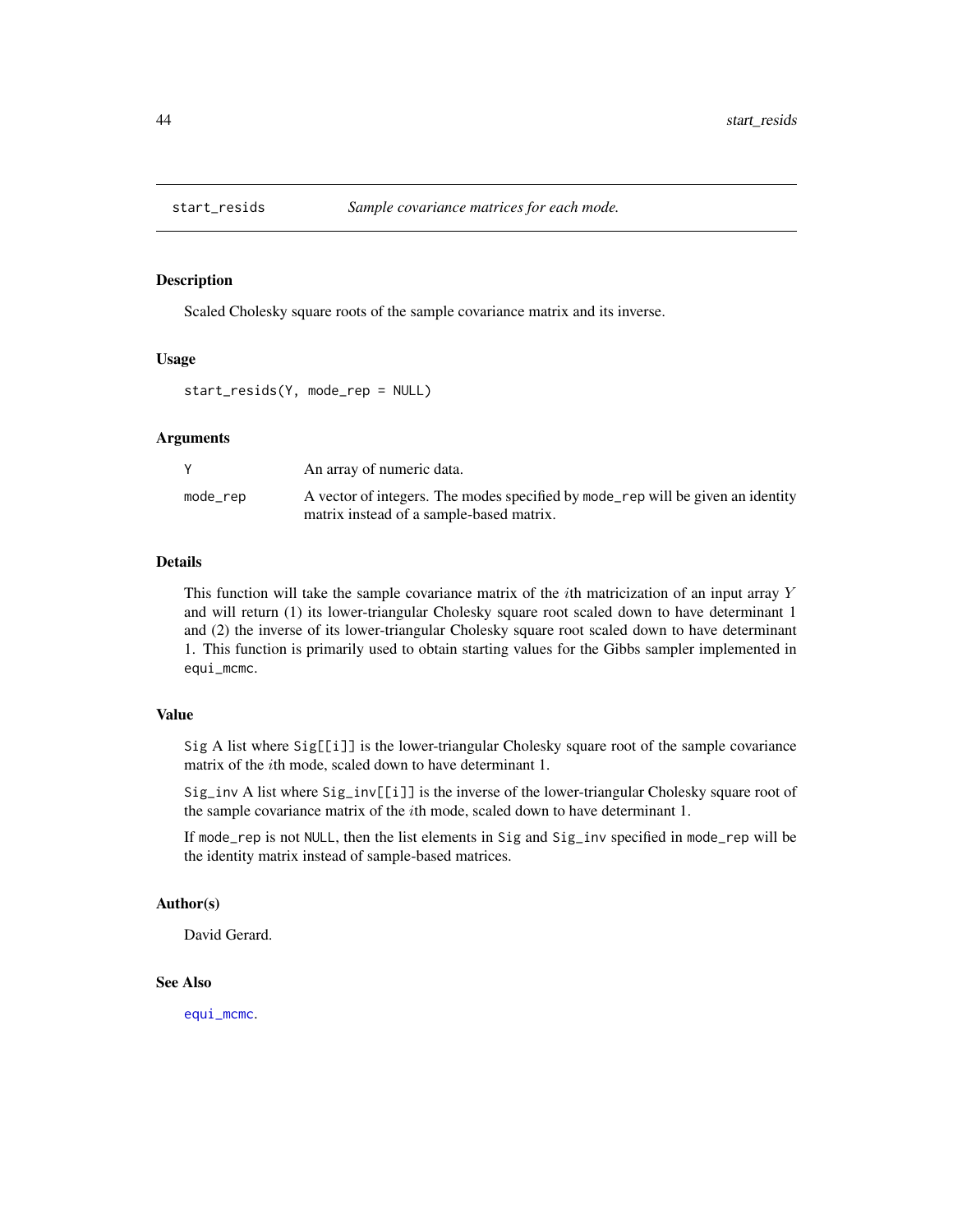<span id="page-43-1"></span><span id="page-43-0"></span>

Scaled Cholesky square roots of the sample covariance matrix and its inverse.

#### Usage

start\_resids(Y, mode\_rep = NULL)

#### Arguments

|          | An array of numeric data.                                                                                                   |
|----------|-----------------------------------------------------------------------------------------------------------------------------|
| mode_rep | A vector of integers. The modes specified by mode_rep will be given an identity<br>matrix instead of a sample-based matrix. |
|          |                                                                                                                             |

#### Details

This function will take the sample covariance matrix of the  $i$ th matricization of an input array Y and will return (1) its lower-triangular Cholesky square root scaled down to have determinant 1 and (2) the inverse of its lower-triangular Cholesky square root scaled down to have determinant 1. This function is primarily used to obtain starting values for the Gibbs sampler implemented in equi\_mcmc.

#### Value

Sig A list where Sig[[i]] is the lower-triangular Cholesky square root of the sample covariance matrix of the ith mode, scaled down to have determinant 1.

Sig\_inv A list where Sig\_inv[[i]] is the inverse of the lower-triangular Cholesky square root of the sample covariance matrix of the ith mode, scaled down to have determinant 1.

If mode\_rep is not NULL, then the list elements in Sig and Sig\_inv specified in mode\_rep will be the identity matrix instead of sample-based matrices.

#### Author(s)

David Gerard.

#### See Also

[equi\\_mcmc](#page-10-1).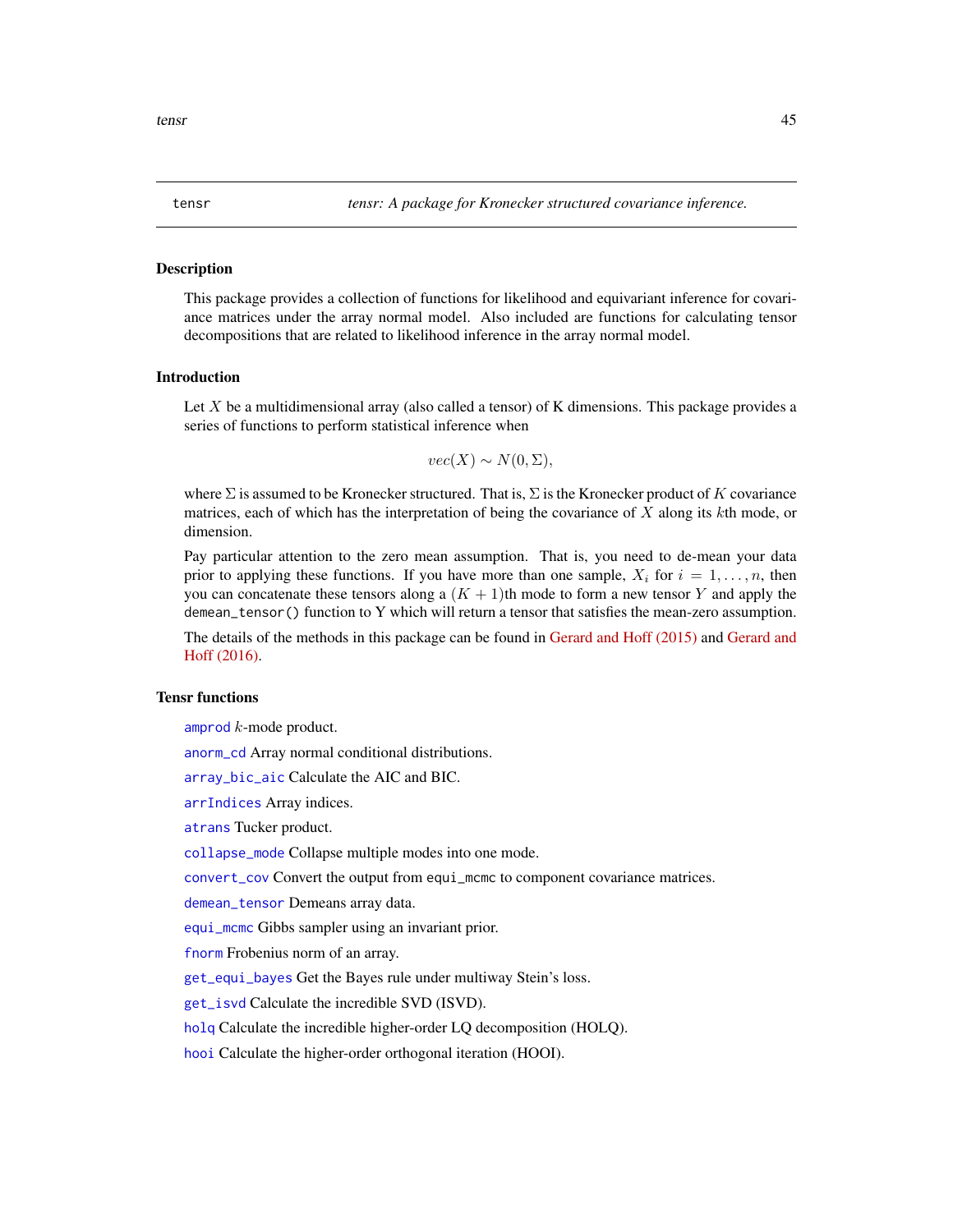<span id="page-44-0"></span>

This package provides a collection of functions for likelihood and equivariant inference for covariance matrices under the array normal model. Also included are functions for calculating tensor decompositions that are related to likelihood inference in the array normal model.

# Introduction

Let  $X$  be a multidimensional array (also called a tensor) of  $K$  dimensions. This package provides a series of functions to perform statistical inference when

 $vec(X) \sim N(0, \Sigma),$ 

where  $\Sigma$  is assumed to be Kronecker structured. That is,  $\Sigma$  is the Kronecker product of K covariance matrices, each of which has the interpretation of being the covariance of  $X$  along its  $k$ th mode, or dimension.

Pay particular attention to the zero mean assumption. That is, you need to de-mean your data prior to applying these functions. If you have more than one sample,  $X_i$  for  $i = 1, \ldots, n$ , then you can concatenate these tensors along a  $(K + 1)$ th mode to form a new tensor Y and apply the demean\_tensor() function to Y which will return a tensor that satisfies the mean-zero assumption.

The details of the methods in this package can be found in [Gerard and Hoff \(2015\)](https://doi.org/10.1016/j.jmva.2015.01.020) and [Gerard and](https://doi.org/10.1016/j.laa.2016.04.033) [Hoff \(2016\).](https://doi.org/10.1016/j.laa.2016.04.033)

#### Tensr functions

[amprod](#page-2-1) k-mode product.

[anorm\\_cd](#page-3-1) Array normal conditional distributions.

[array\\_bic\\_aic](#page-4-1) Calculate the AIC and BIC.

[arrIndices](#page-5-1) Array indices.

[atrans](#page-6-1) Tucker product.

[collapse\\_mode](#page-7-1) Collapse multiple modes into one mode.

[convert\\_cov](#page-8-1) Convert the output from equi\_mcmc to component covariance matrices.

[demean\\_tensor](#page-9-1) Demeans array data.

[equi\\_mcmc](#page-10-1) Gibbs sampler using an invariant prior.

[fnorm](#page-12-1) Frobenius norm of an array.

[get\\_equi\\_bayes](#page-13-1) Get the Bayes rule under multiway Stein's loss.

[get\\_isvd](#page-14-1) Calculate the incredible SVD (ISVD).

[holq](#page-15-1) Calculate the incredible higher-order LQ decomposition (HOLQ).

[hooi](#page-18-1) Calculate the higher-order orthogonal iteration (HOOI).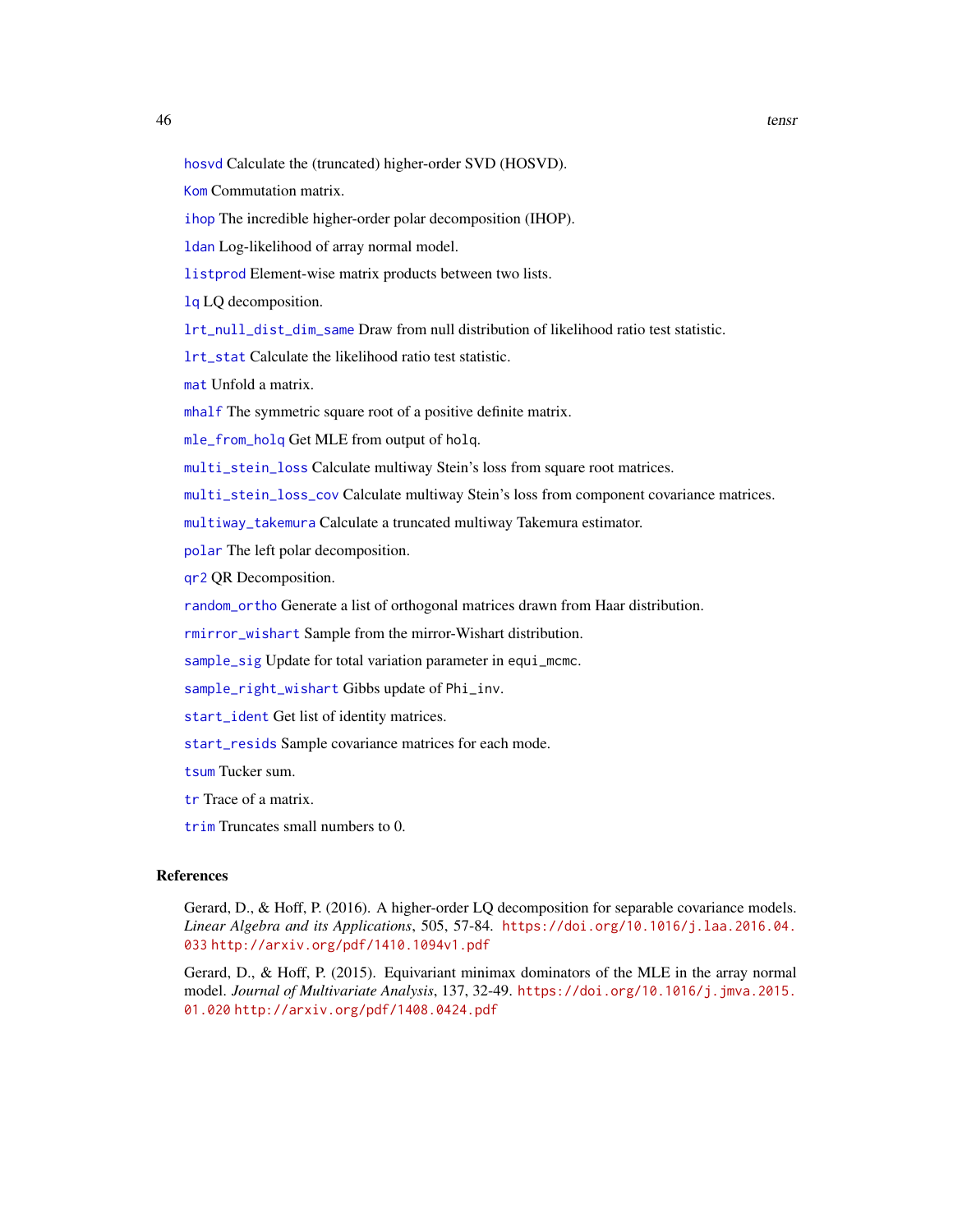<span id="page-45-0"></span>[hosvd](#page-19-1) Calculate the (truncated) higher-order SVD (HOSVD).

[Kom](#page-22-1) Commutation matrix.

[ihop](#page-20-1) The incredible higher-order polar decomposition (IHOP).

[ldan](#page-23-1) Log-likelihood of array normal model.

[listprod](#page-24-2) Element-wise matrix products between two lists.

[lq](#page-24-1) LQ decomposition.

[lrt\\_null\\_dist\\_dim\\_same](#page-25-1) Draw from null distribution of likelihood ratio test statistic.

[lrt\\_stat](#page-27-1) Calculate the likelihood ratio test statistic.

[mat](#page-28-1) Unfold a matrix.

[mhalf](#page-29-1) The symmetric square root of a positive definite matrix.

[mle\\_from\\_holq](#page-30-1) Get MLE from output of holq.

[multi\\_stein\\_loss](#page-32-1) Calculate multiway Stein's loss from square root matrices.

[multi\\_stein\\_loss\\_cov](#page-33-1) Calculate multiway Stein's loss from component covariance matrices.

[multiway\\_takemura](#page-31-1) Calculate a truncated multiway Takemura estimator.

[polar](#page-34-1) The left polar decomposition.

[qr2](#page-35-1) QR Decomposition.

[random\\_ortho](#page-36-1) Generate a list of orthogonal matrices drawn from Haar distribution.

[rmirror\\_wishart](#page-37-1) Sample from the mirror-Wishart distribution.

[sample\\_sig](#page-41-1) Update for total variation parameter in equi\_mcmc.

[sample\\_right\\_wishart](#page-40-1) Gibbs update of Phi\_inv.

[start\\_ident](#page-42-1) Get list of identity matrices.

[start\\_resids](#page-43-1) Sample covariance matrices for each mode.

[tsum](#page-48-1) Tucker sum.

[tr](#page-46-1) Trace of a matrix.

[trim](#page-47-1) Truncates small numbers to 0.

#### References

Gerard, D., & Hoff, P. (2016). A higher-order LQ decomposition for separable covariance models. *Linear Algebra and its Applications*, 505, 57-84. [https://doi.org/10.1016/j.laa.2016.04.](https://doi.org/10.1016/j.laa.2016.04.033) [033](https://doi.org/10.1016/j.laa.2016.04.033) <http://arxiv.org/pdf/1410.1094v1.pdf>

Gerard, D., & Hoff, P. (2015). Equivariant minimax dominators of the MLE in the array normal model. *Journal of Multivariate Analysis*, 137, 32-49. [https://doi.org/10.1016/j.jmva.2015.](https://doi.org/10.1016/j.jmva.2015.01.020) [01.020](https://doi.org/10.1016/j.jmva.2015.01.020) <http://arxiv.org/pdf/1408.0424.pdf>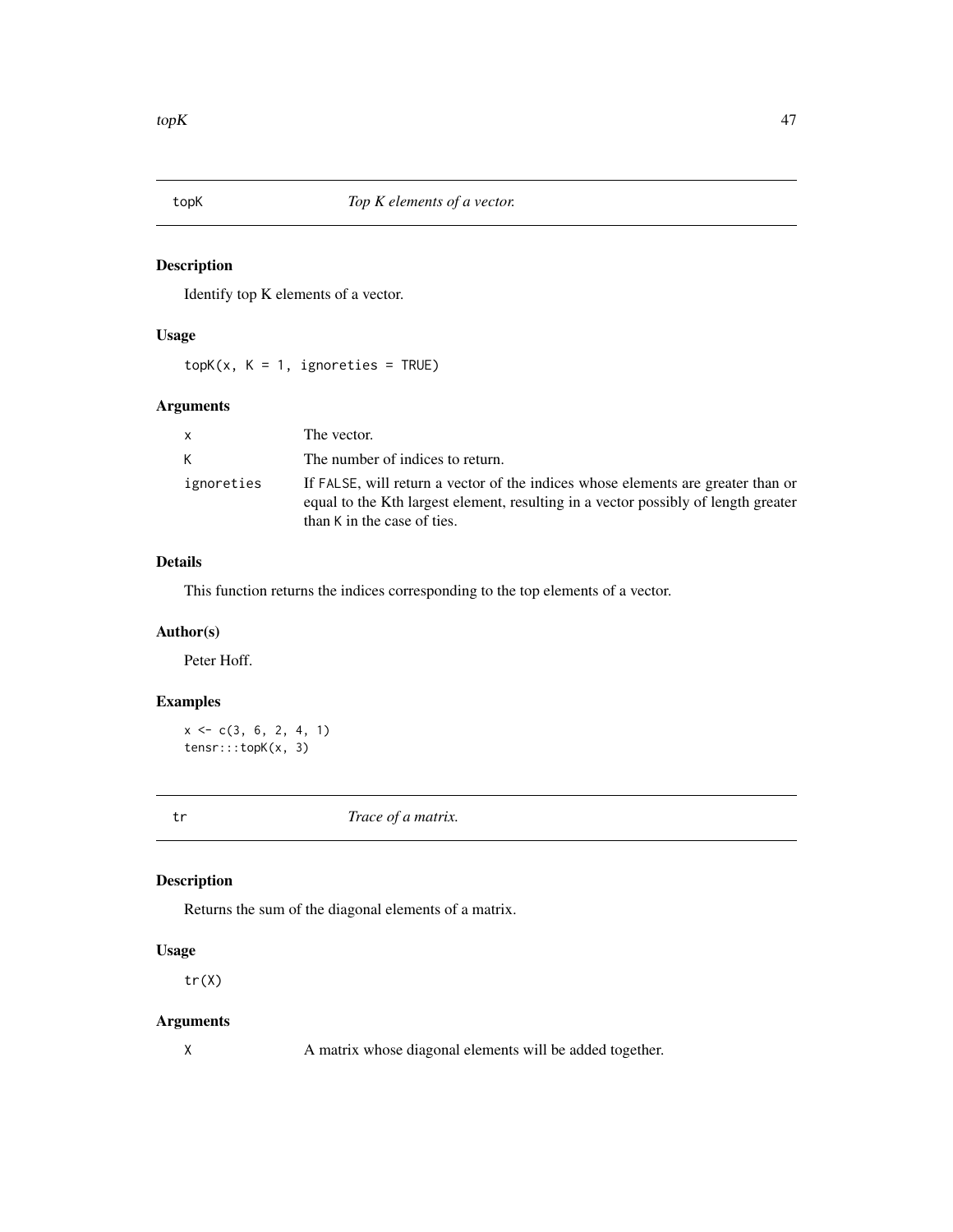<span id="page-46-0"></span>

Identify top K elements of a vector.

# Usage

 $topK(x, K = 1, ignoreties = TRUE)$ 

# Arguments

| X          | The vector.                                                                                                                                                                                                       |
|------------|-------------------------------------------------------------------------------------------------------------------------------------------------------------------------------------------------------------------|
| K          | The number of indices to return.                                                                                                                                                                                  |
| ignoreties | If FALSE, will return a vector of the indices whose elements are greater than or<br>equal to the K <sup>th</sup> largest element, resulting in a vector possibly of length greater<br>than K in the case of ties. |

# Details

This function returns the indices corresponding to the top elements of a vector.

# Author(s)

Peter Hoff.

# Examples

```
x \leq -c(3, 6, 2, 4, 1)tensr:::topK(x, 3)
```
<span id="page-46-1"></span>

tr *Trace of a matrix.*

# Description

Returns the sum of the diagonal elements of a matrix.

# Usage

tr(X)

# Arguments

X A matrix whose diagonal elements will be added together.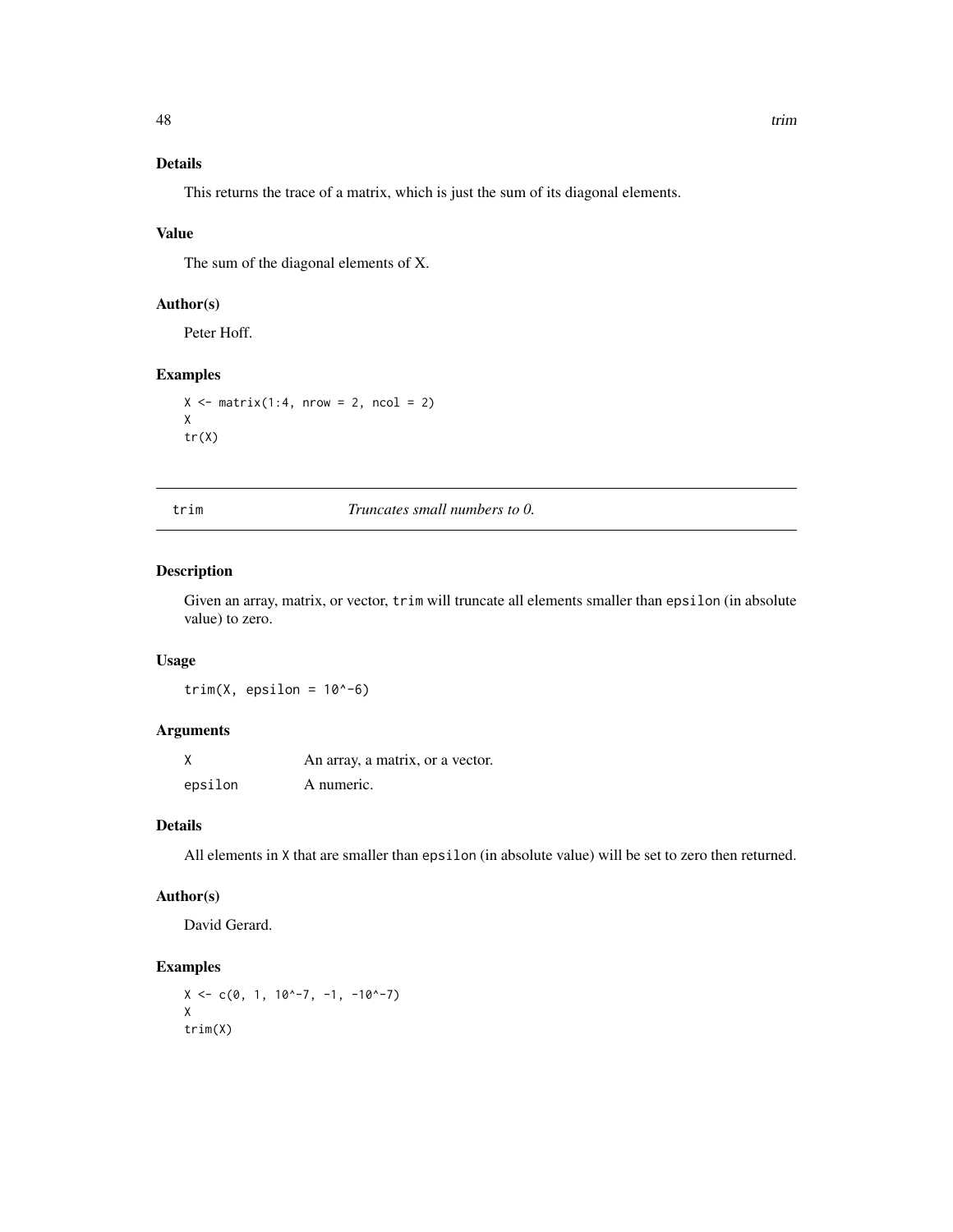# <span id="page-47-0"></span>Details

This returns the trace of a matrix, which is just the sum of its diagonal elements.

# Value

The sum of the diagonal elements of X.

# Author(s)

Peter Hoff.

# Examples

```
X \le - matrix(1:4, nrow = 2, ncol = 2)
X
tr(X)
```
trim *Truncates small numbers to 0.*

# Description

Given an array, matrix, or vector, trim will truncate all elements smaller than epsilon (in absolute value) to zero.

# Usage

trim(X, epsilon =  $10^{\circ}$ -6)

#### Arguments

|         | An array, a matrix, or a vector. |
|---------|----------------------------------|
| epsilon | A numeric.                       |

# Details

All elements in X that are smaller than epsilon (in absolute value) will be set to zero then returned.

# Author(s)

David Gerard.

# Examples

 $X \leq -c(0, 1, 10^{\wedge}-7, -1, -10^{\wedge}-7)$ X trim(X)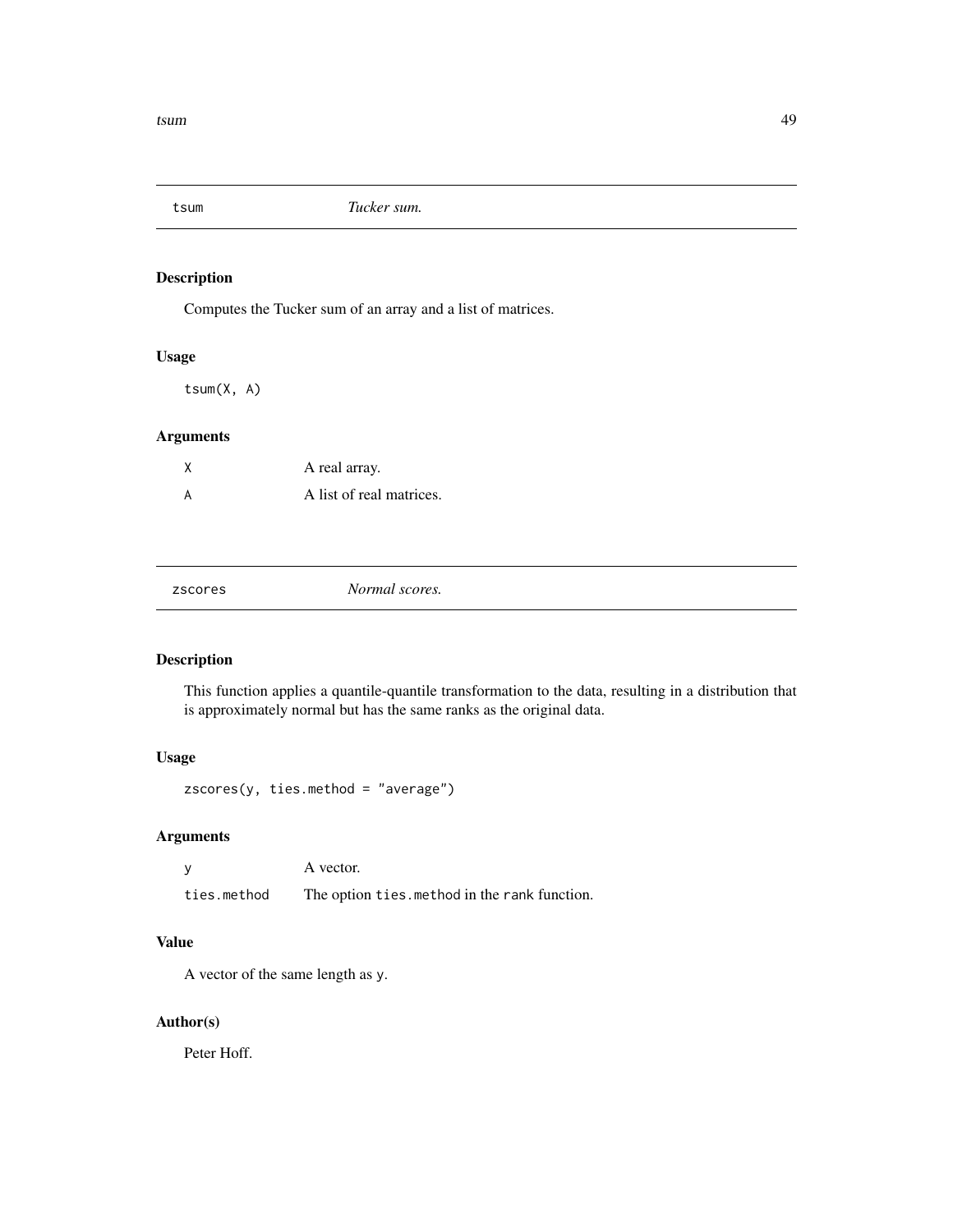<span id="page-48-1"></span><span id="page-48-0"></span>

Computes the Tucker sum of an array and a list of matrices.

#### Usage

tsum(X, A)

# Arguments

| A real array.            |
|--------------------------|
| A list of real matrices. |

| zscores | Normal scores. |
|---------|----------------|
|         |                |

# Description

This function applies a quantile-quantile transformation to the data, resulting in a distribution that is approximately normal but has the same ranks as the original data.

# Usage

zscores(y, ties.method = "average")

# Arguments

|             | A vector.                                     |
|-------------|-----------------------------------------------|
| ties.method | The option ties. method in the rank function. |

# Value

A vector of the same length as y.

# Author(s)

Peter Hoff.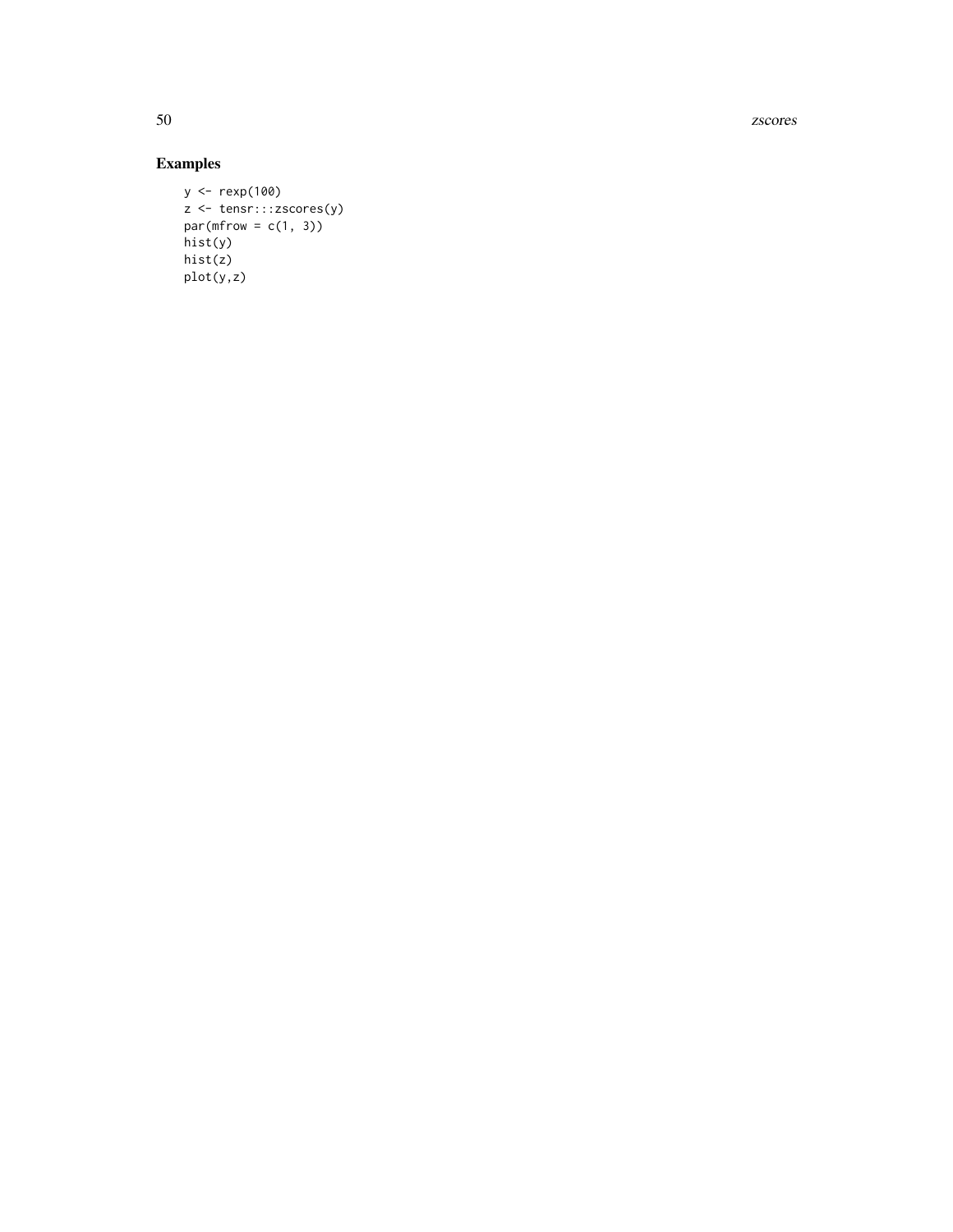50 zscores

# Examples

```
y <- rexp(100)
z <- tensr:::zscores(y)
par(mfrow = c(1, 3))hist(y)
hist(z)
plot(y,z)
```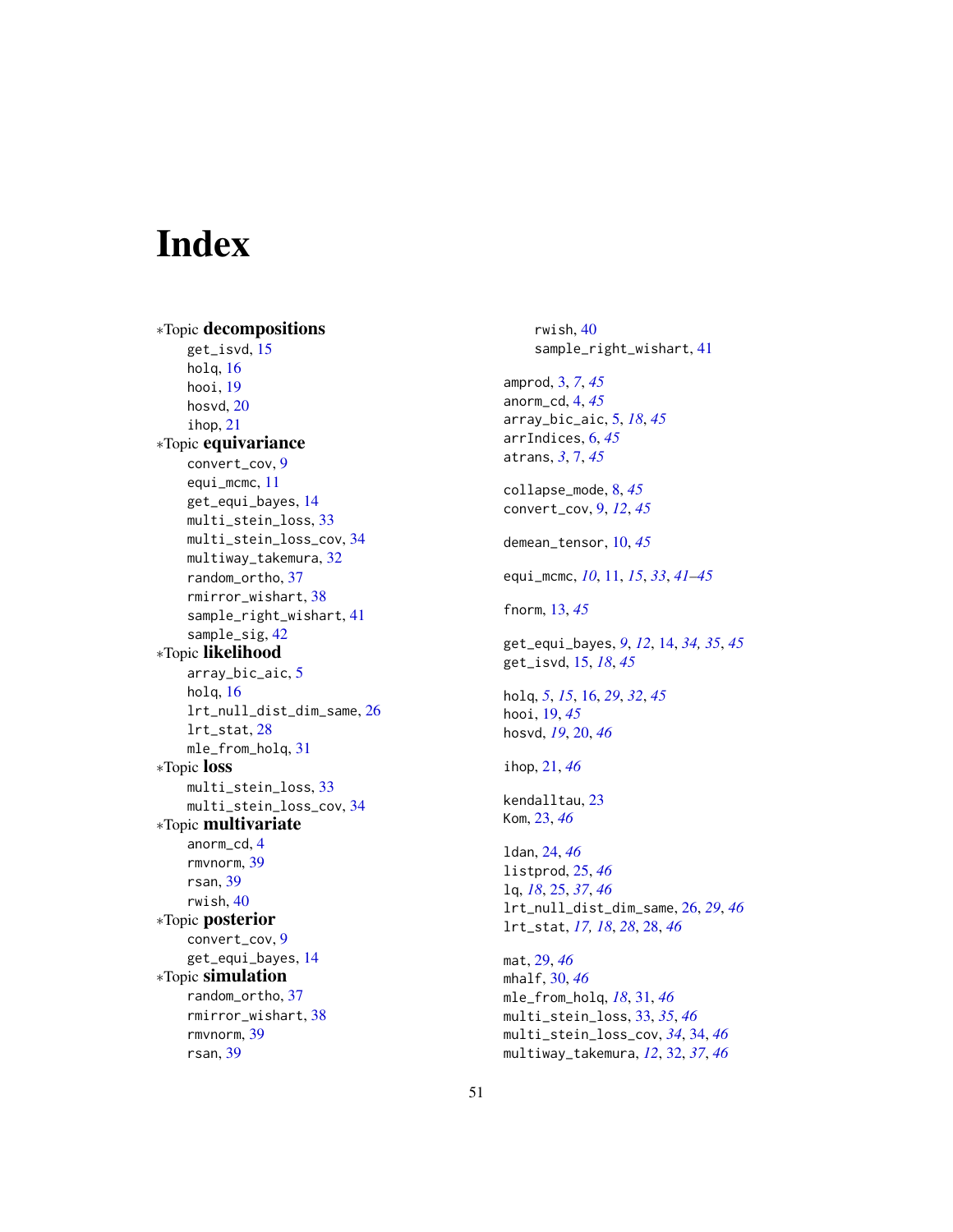# <span id="page-50-0"></span>Index

∗Topic decompositions get\_isvd, [15](#page-14-0) holq, [16](#page-15-0) hooi, [19](#page-18-0) hosvd, [20](#page-19-0) ihop, [21](#page-20-0) ∗Topic equivariance convert\_cov, [9](#page-8-0) equi\_mcmc, [11](#page-10-0) get\_equi\_bayes, [14](#page-13-0) multi\_stein\_loss, [33](#page-32-0) multi\_stein\_loss\_cov, [34](#page-33-0) multiway\_takemura, [32](#page-31-0) random\_ortho, [37](#page-36-0) rmirror\_wishart, [38](#page-37-0) sample\_right\_wishart, [41](#page-40-0) sample\_sig, [42](#page-41-0) ∗Topic likelihood array\_bic\_aic, [5](#page-4-0) holq, [16](#page-15-0) lrt\_null\_dist\_dim\_same, [26](#page-25-0) lrt\_stat, [28](#page-27-0) mle\_from\_holq, [31](#page-30-0) ∗Topic loss multi\_stein\_loss, [33](#page-32-0) multi\_stein\_loss\_cov, [34](#page-33-0) ∗Topic multivariate anorm\_cd, [4](#page-3-0) rmvnorm, [39](#page-38-0) rsan, [39](#page-38-0) rwish, [40](#page-39-0) ∗Topic posterior convert\_cov, [9](#page-8-0) get\_equi\_bayes, [14](#page-13-0) ∗Topic simulation random\_ortho, [37](#page-36-0) rmirror\_wishart, [38](#page-37-0) rmvnorm, [39](#page-38-0) rsan, [39](#page-38-0)

rwish, [40](#page-39-0) sample\_right\_wishart, [41](#page-40-0) amprod, [3,](#page-2-0) *[7](#page-6-0)*, *[45](#page-44-0)* anorm\_cd, [4,](#page-3-0) *[45](#page-44-0)* array\_bic\_aic, [5,](#page-4-0) *[18](#page-17-0)*, *[45](#page-44-0)* arrIndices, [6,](#page-5-0) *[45](#page-44-0)* atrans, *[3](#page-2-0)*, [7,](#page-6-0) *[45](#page-44-0)* collapse\_mode, [8,](#page-7-0) *[45](#page-44-0)* convert\_cov, [9,](#page-8-0) *[12](#page-11-0)*, *[45](#page-44-0)* demean\_tensor, [10,](#page-9-0) *[45](#page-44-0)* equi\_mcmc, *[10](#page-9-0)*, [11,](#page-10-0) *[15](#page-14-0)*, *[33](#page-32-0)*, *[41](#page-40-0)[–45](#page-44-0)* fnorm, [13,](#page-12-0) *[45](#page-44-0)* get\_equi\_bayes, *[9](#page-8-0)*, *[12](#page-11-0)*, [14,](#page-13-0) *[34,](#page-33-0) [35](#page-34-0)*, *[45](#page-44-0)* get\_isvd, [15,](#page-14-0) *[18](#page-17-0)*, *[45](#page-44-0)* holq, *[5](#page-4-0)*, *[15](#page-14-0)*, [16,](#page-15-0) *[29](#page-28-0)*, *[32](#page-31-0)*, *[45](#page-44-0)* hooi, [19,](#page-18-0) *[45](#page-44-0)* hosvd, *[19](#page-18-0)*, [20,](#page-19-0) *[46](#page-45-0)* ihop, [21,](#page-20-0) *[46](#page-45-0)* kendalltau, [23](#page-22-0) Kom, [23,](#page-22-0) *[46](#page-45-0)* ldan, [24,](#page-23-0) *[46](#page-45-0)* listprod, [25,](#page-24-0) *[46](#page-45-0)* lq, *[18](#page-17-0)*, [25,](#page-24-0) *[37](#page-36-0)*, *[46](#page-45-0)* lrt\_null\_dist\_dim\_same, [26,](#page-25-0) *[29](#page-28-0)*, *[46](#page-45-0)* lrt\_stat, *[17,](#page-16-0) [18](#page-17-0)*, *[28](#page-27-0)*, [28,](#page-27-0) *[46](#page-45-0)* mat, [29,](#page-28-0) *[46](#page-45-0)* mhalf, [30,](#page-29-0) *[46](#page-45-0)* mle\_from\_holq, *[18](#page-17-0)*, [31,](#page-30-0) *[46](#page-45-0)* multi\_stein\_loss, [33,](#page-32-0) *[35](#page-34-0)*, *[46](#page-45-0)* multi\_stein\_loss\_cov, *[34](#page-33-0)*, [34,](#page-33-0) *[46](#page-45-0)* multiway\_takemura, *[12](#page-11-0)*, [32,](#page-31-0) *[37](#page-36-0)*, *[46](#page-45-0)*